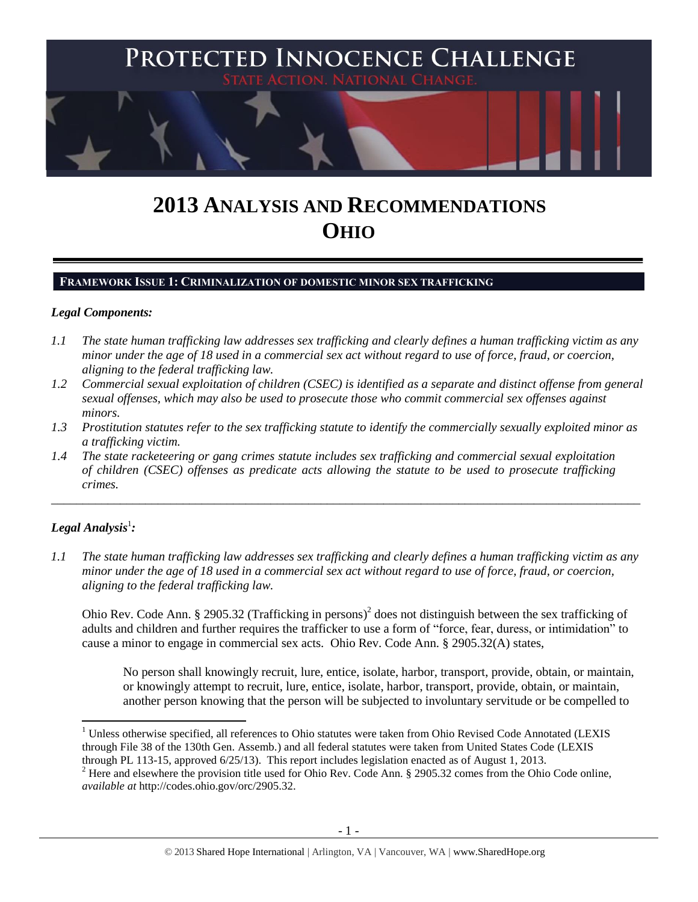

# **2013 ANALYSIS AND RECOMMENDATIONS OHIO**

## **FRAMEWORK ISSUE 1: CRIMINALIZATION OF DOMESTIC MINOR SEX TRAFFICKING**

#### *Legal Components:*

- *1.1 The state human trafficking law addresses sex trafficking and clearly defines a human trafficking victim as any minor under the age of 18 used in a commercial sex act without regard to use of force, fraud, or coercion, aligning to the federal trafficking law.*
- *1.2 Commercial sexual exploitation of children (CSEC) is identified as a separate and distinct offense from general sexual offenses, which may also be used to prosecute those who commit commercial sex offenses against minors.*
- *1.3 Prostitution statutes refer to the sex trafficking statute to identify the commercially sexually exploited minor as a trafficking victim.*

\_\_\_\_\_\_\_\_\_\_\_\_\_\_\_\_\_\_\_\_\_\_\_\_\_\_\_\_\_\_\_\_\_\_\_\_\_\_\_\_\_\_\_\_\_\_\_\_\_\_\_\_\_\_\_\_\_\_\_\_\_\_\_\_\_\_\_\_\_\_\_\_\_\_\_\_\_\_\_\_\_\_\_\_\_\_\_\_\_\_\_\_\_\_

*1.4 The state racketeering or gang crimes statute includes sex trafficking and commercial sexual exploitation of children (CSEC) offenses as predicate acts allowing the statute to be used to prosecute trafficking crimes.* 

# $\bm{L}$ egal Analysis $^1$ :

*1.1 The state human trafficking law addresses sex trafficking and clearly defines a human trafficking victim as any minor under the age of 18 used in a commercial sex act without regard to use of force, fraud, or coercion, aligning to the federal trafficking law.*

Ohio Rev. Code Ann. § 2905.32 (Trafficking in persons)<sup>2</sup> does not distinguish between the sex trafficking of adults and children and further requires the trafficker to use a form of "force, fear, duress, or intimidation" to cause a minor to engage in commercial sex acts. Ohio Rev. Code Ann. § 2905.32(A) states,

No person shall knowingly recruit, lure, entice, isolate, harbor, transport, provide, obtain, or maintain, or knowingly attempt to recruit, lure, entice, isolate, harbor, transport, provide, obtain, or maintain, another person knowing that the person will be subjected to involuntary servitude or be compelled to

 $\overline{a}$  $<sup>1</sup>$  Unless otherwise specified, all references to Ohio statutes were taken from Ohio Revised Code Annotated (LEXIS</sup> through File 38 of the 130th Gen. Assemb.) and all federal statutes were taken from United States Code (LEXIS through PL 113-15, approved 6/25/13). This report includes legislation enacted as of August 1, 2013.

 $2$  Here and elsewhere the provision title used for Ohio Rev. Code Ann. § 2905.32 comes from the Ohio Code online, *available at* http://codes.ohio.gov/orc/2905.32.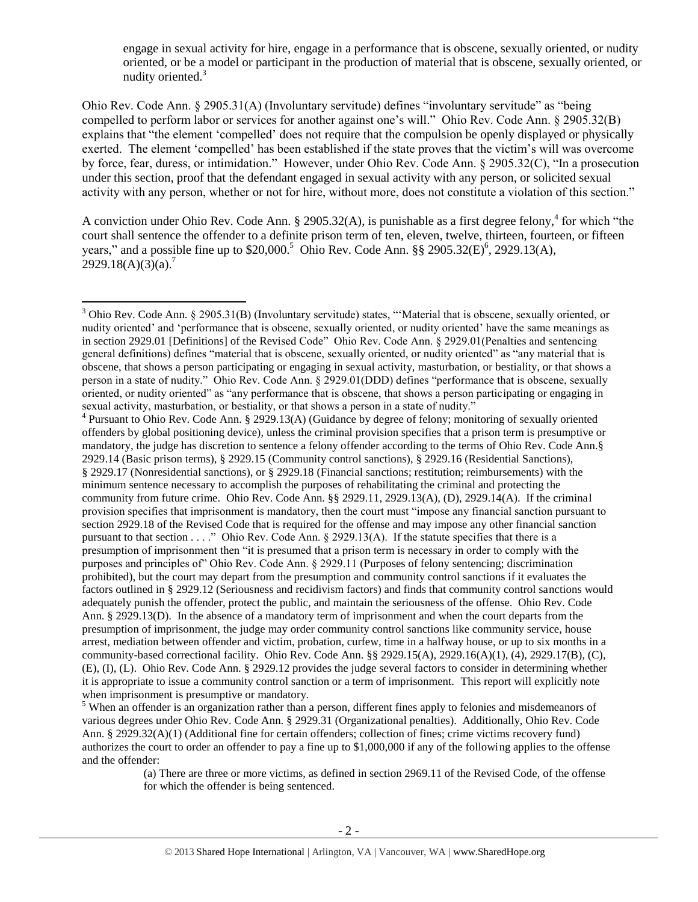engage in sexual activity for hire, engage in a performance that is obscene, sexually oriented, or nudity oriented, or be a model or participant in the production of material that is obscene, sexually oriented, or nudity oriented.<sup>3</sup>

Ohio Rev. Code Ann. § 2905.31(A) (Involuntary servitude) defines "involuntary servitude" as "being compelled to perform labor or services for another against one's will." Ohio Rev. Code Ann. § 2905.32(B) explains that "the element 'compelled' does not require that the compulsion be openly displayed or physically exerted. The element 'compelled' has been established if the state proves that the victim's will was overcome by force, fear, duress, or intimidation." However, under Ohio Rev. Code Ann. § 2905.32(C), "In a prosecution under this section, proof that the defendant engaged in sexual activity with any person, or solicited sexual activity with any person, whether or not for hire, without more, does not constitute a violation of this section."

A conviction under Ohio Rev. Code Ann. § 2905.32(A), is punishable as a first degree felony,<sup>4</sup> for which "the court shall sentence the offender to a definite prison term of ten, eleven, twelve, thirteen, fourteen, or fifteen years," and a possible fine up to  $$20,000$ .<sup>5</sup> Ohio Rev. Code Ann.  $\S$ § 2905.32(E)<sup>6</sup>, 2929.13(A),  $2929.18(A)(3)(a)^7$ 

<span id="page-1-1"></span><span id="page-1-0"></span> $\overline{\phantom{a}}$ 

(a) There are three or more victims, as defined in section 2969.11 of the Revised Code, of the offense for which the offender is being sentenced.

<sup>&</sup>lt;sup>3</sup> Ohio Rev. Code Ann. § 2905.31(B) (Involuntary servitude) states, "'Material that is obscene, sexually oriented, or nudity oriented' and 'performance that is obscene, sexually oriented, or nudity oriented' have the same meanings as in section 2929.01 [Definitions] of the Revised Code" Ohio Rev. Code Ann. § 2929.01(Penalties and sentencing general definitions) defines "material that is obscene, sexually oriented, or nudity oriented" as "any material that is obscene, that shows a person participating or engaging in sexual activity, masturbation, or bestiality, or that shows a person in a state of nudity." Ohio Rev. Code Ann. § 2929.01(DDD) defines "performance that is obscene, sexually oriented, or nudity oriented" as "any performance that is obscene, that shows a person participating or engaging in sexual activity, masturbation, or bestiality, or that shows a person in a state of nudity."

<sup>&</sup>lt;sup>4</sup> Pursuant to Ohio Rev. Code Ann. § 2929.13(A) (Guidance by degree of felony; monitoring of sexually oriented offenders by global positioning device), unless the criminal provision specifies that a prison term is presumptive or mandatory, the judge has discretion to sentence a felony offender according to the terms of Ohio Rev. Code Ann.§ 2929.14 (Basic prison terms), § 2929.15 (Community control sanctions), § 2929.16 (Residential Sanctions), § 2929.17 (Nonresidential sanctions), or § 2929.18 (Financial sanctions; restitution; reimbursements) with the minimum sentence necessary to accomplish the purposes of rehabilitating the criminal and protecting the community from future crime. Ohio Rev. Code Ann. §§ 2929.11, 2929.13(A), (D), 2929.14(A). If the criminal provision specifies that imprisonment is mandatory, then the court must "impose any financial sanction pursuant to section 2929.18 of the Revised Code that is required for the offense and may impose any other financial sanction pursuant to that section . . . ." Ohio Rev. Code Ann. § 2929.13(A). If the statute specifies that there is a presumption of imprisonment then "it is presumed that a prison term is necessary in order to comply with the purposes and principles of" Ohio Rev. Code Ann. § 2929.11 (Purposes of felony sentencing; discrimination prohibited), but the court may depart from the presumption and community control sanctions if it evaluates the factors outlined in § 2929.12 (Seriousness and recidivism factors) and finds that community control sanctions would adequately punish the offender, protect the public, and maintain the seriousness of the offense. Ohio Rev. Code Ann. § 2929.13(D). In the absence of a mandatory term of imprisonment and when the court departs from the presumption of imprisonment, the judge may order community control sanctions like community service, house arrest, mediation between offender and victim, probation, curfew, time in a halfway house, or up to six months in a community-based correctional facility. Ohio Rev. Code Ann. §§ 2929.15(A), 2929.16(A)(1), (4), 2929.17(B), (C), (E), (I), (L). Ohio Rev. Code Ann. § 2929.12 provides the judge several factors to consider in determining whether it is appropriate to issue a community control sanction or a term of imprisonment. This report will explicitly note when imprisonment is presumptive or mandatory.

<sup>&</sup>lt;sup>5</sup> When an offender is an organization rather than a person, different fines apply to felonies and misdemeanors of various degrees under Ohio Rev. Code Ann. § 2929.31 (Organizational penalties). Additionally, Ohio Rev. Code Ann. § 2929.32(A)(1) (Additional fine for certain offenders; collection of fines; crime victims recovery fund) authorizes the court to order an offender to pay a fine up to \$1,000,000 if any of the following applies to the offense and the offender: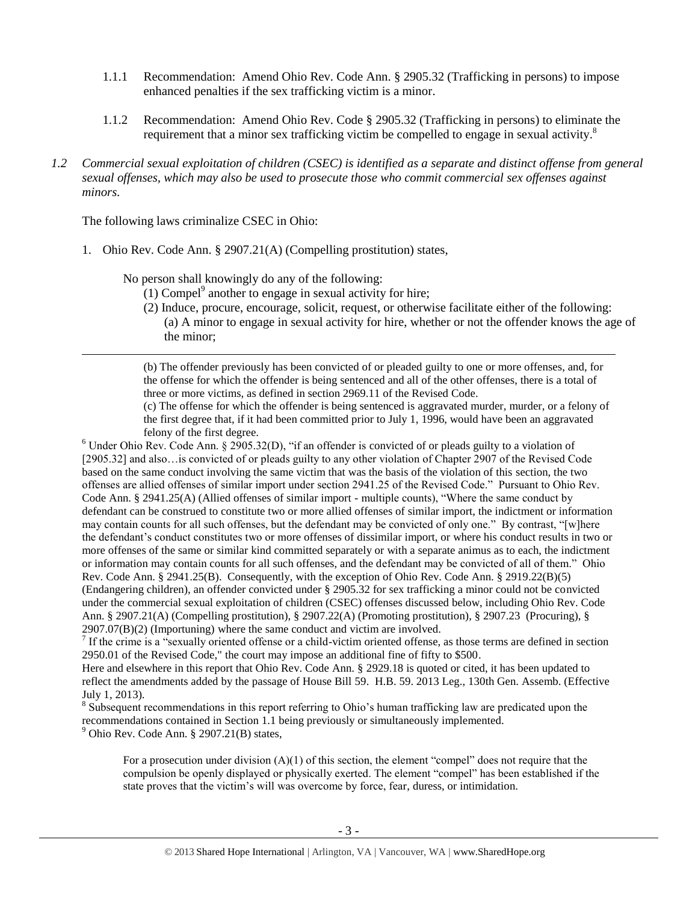- 1.1.1 Recommendation: Amend Ohio Rev. Code Ann. § 2905.32 (Trafficking in persons) to impose enhanced penalties if the sex trafficking victim is a minor.
- 1.1.2 Recommendation: Amend Ohio Rev. Code § 2905.32 (Trafficking in persons) to eliminate the requirement that a minor sex trafficking victim be compelled to engage in sexual activity.<sup>8</sup>
- *1.2 Commercial sexual exploitation of children (CSEC) is identified as a separate and distinct offense from general sexual offenses, which may also be used to prosecute those who commit commercial sex offenses against minors.*

The following laws criminalize CSEC in Ohio:

l

1. Ohio Rev. Code Ann. § 2907.21(A) (Compelling prostitution) states,

No person shall knowingly do any of the following:

- $(1)$  Compel<sup>9</sup> another to engage in sexual activity for hire;
- (2) Induce, procure, encourage, solicit, request, or otherwise facilitate either of the following: (a) A minor to engage in sexual activity for hire, whether or not the offender knows the age of the minor;

(b) The offender previously has been convicted of or pleaded guilty to one or more offenses, and, for the offense for which the offender is being sentenced and all of the other offenses, there is a total of three or more victims, as defined in section 2969.11 of the Revised Code.

(c) The offense for which the offender is being sentenced is aggravated murder, murder, or a felony of the first degree that, if it had been committed prior to July 1, 1996, would have been an aggravated felony of the first degree.

<sup>6</sup> Under Ohio Rev. Code Ann. § 2905.32(D), "if an offender is convicted of or pleads guilty to a violation of [2905.32] and also…is convicted of or pleads guilty to any other violation of Chapter 2907 of the Revised Code based on the same conduct involving the same victim that was the basis of the violation of this section, the two offenses are allied offenses of similar import under section 2941.25 of the Revised Code." Pursuant to Ohio Rev. Code Ann. § 2941.25(A) (Allied offenses of similar import - multiple counts), "Where the same conduct by defendant can be construed to constitute two or more allied offenses of similar import, the indictment or information may contain counts for all such offenses, but the defendant may be convicted of only one." By contrast, "[w]here the defendant's conduct constitutes two or more offenses of dissimilar import, or where his conduct results in two or more offenses of the same or similar kind committed separately or with a separate animus as to each, the indictment or information may contain counts for all such offenses, and the defendant may be convicted of all of them." Ohio Rev. Code Ann. § 2941.25(B). Consequently, with the exception of Ohio Rev. Code Ann. § 2919.22(B)(5) (Endangering children), an offender convicted under § 2905.32 for sex trafficking a minor could not be convicted under the commercial sexual exploitation of children (CSEC) offenses discussed below, including Ohio Rev. Code Ann. § 2907.21(A) (Compelling prostitution), § 2907.22(A) (Promoting prostitution), § 2907.23 (Procuring), §  $2907.07(B)(2)$  (Importuning) where the same conduct and victim are involved.

 $<sup>7</sup>$  If the crime is a "sexually oriented offense or a child-victim oriented offense, as those terms are defined in section</sup> 2950.01 of the Revised Code," the court may impose an additional fine of fifty to \$500.

Here and elsewhere in this report that Ohio Rev. Code Ann. § 2929.18 is quoted or cited, it has been updated to reflect the amendments added by the passage of House Bill 59. H.B. 59. 2013 Leg., 130th Gen. Assemb. (Effective July 1, 2013).

<sup>8</sup> Subsequent recommendations in this report referring to Ohio's human trafficking law are predicated upon the recommendations contained in Section 1.1 being previously or simultaneously implemented.

 $9$  Ohio Rev. Code Ann. § 2907.21(B) states,

For a prosecution under division (A)(1) of this section, the element "compel" does not require that the compulsion be openly displayed or physically exerted. The element "compel" has been established if the state proves that the victim's will was overcome by force, fear, duress, or intimidation.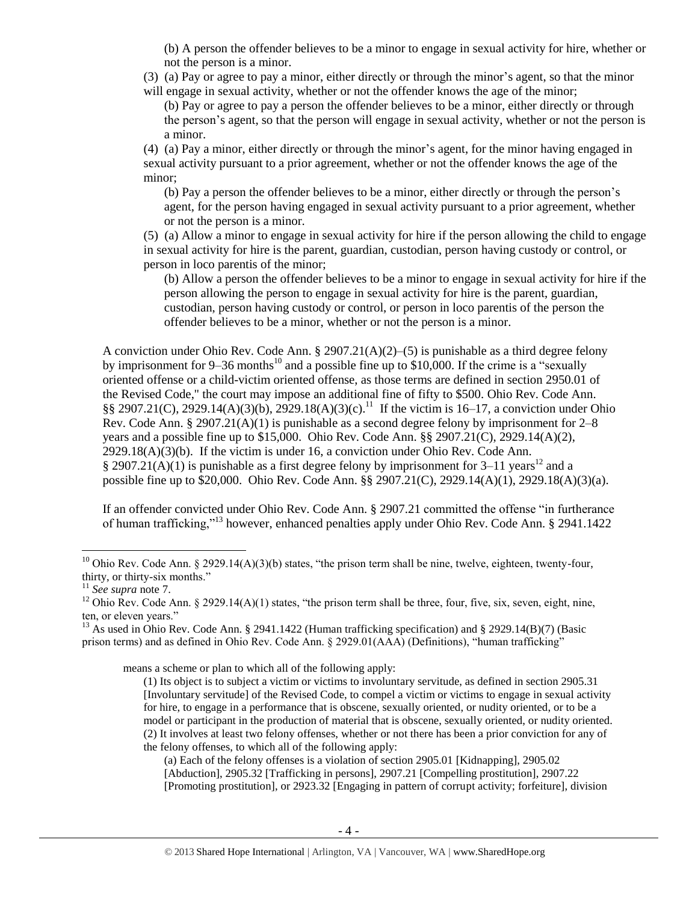(b) A person the offender believes to be a minor to engage in sexual activity for hire, whether or not the person is a minor.

(3) (a) Pay or agree to pay a minor, either directly or through the minor's agent, so that the minor

will engage in sexual activity, whether or not the offender knows the age of the minor; (b) Pay or agree to pay a person the offender believes to be a minor, either directly or through the person's agent, so that the person will engage in sexual activity, whether or not the person is a minor.

(4) (a) Pay a minor, either directly or through the minor's agent, for the minor having engaged in sexual activity pursuant to a prior agreement, whether or not the offender knows the age of the minor;

(b) Pay a person the offender believes to be a minor, either directly or through the person's agent, for the person having engaged in sexual activity pursuant to a prior agreement, whether or not the person is a minor.

(5) (a) Allow a minor to engage in sexual activity for hire if the person allowing the child to engage in sexual activity for hire is the parent, guardian, custodian, person having custody or control, or person in loco parentis of the minor;

<span id="page-3-1"></span><span id="page-3-0"></span>(b) Allow a person the offender believes to be a minor to engage in sexual activity for hire if the person allowing the person to engage in sexual activity for hire is the parent, guardian, custodian, person having custody or control, or person in loco parentis of the person the offender believes to be a minor, whether or not the person is a minor.

A conviction under Ohio Rev. Code Ann. § 2907.21(A)(2)–(5) is punishable as a third degree felony by imprisonment for 9–36 months<sup>10</sup> and a possible fine up to \$10,000. If the crime is a "sexually oriented offense or a child-victim oriented offense, as those terms are defined in section 2950.01 of the Revised Code," the court may impose an additional fine of fifty to \$500. Ohio Rev. Code Ann.  $\S$ § 2907.21(C), 2929.14(A)(3)(b), 2929.18(A)(3)(c).<sup>11</sup> If the victim is 16–17, a conviction under Ohio Rev. Code Ann. § 2907.21(A)(1) is punishable as a second degree felony by imprisonment for 2–8 years and a possible fine up to \$15,000. Ohio Rev. Code Ann. §§ 2907.21(C), 2929.14(A)(2),  $2929.18(A)(3)(b)$ . If the victim is under 16, a conviction under Ohio Rev. Code Ann. § 2907.21(A)(1) is punishable as a first degree felony by imprisonment for 3–11 years<sup>12</sup> and a possible fine up to \$20,000. Ohio Rev. Code Ann. §§ 2907.21(C), 2929.14(A)(1), 2929.18(A)(3)(a).

<span id="page-3-2"></span>If an offender convicted under Ohio Rev. Code Ann. § 2907.21 committed the offense "in furtherance of human trafficking,"<sup>13</sup> however, enhanced penalties apply under Ohio Rev. Code Ann. § 2941.1422

 $\overline{a}$ 

means a scheme or plan to which all of the following apply:

<sup>&</sup>lt;sup>10</sup> Ohio Rev. Code Ann. § 2929.14(A)(3)(b) states, "the prison term shall be nine, twelve, eighteen, twenty-four, thirty, or thirty-six months."

<sup>11</sup> *See supra* note [7.](#page-1-0)

<sup>&</sup>lt;sup>12</sup> Ohio Rev. Code Ann. § 2929.14(A)(1) states, "the prison term shall be three, four, five, six, seven, eight, nine, ten, or eleven years."

<sup>&</sup>lt;sup>13</sup> As used in Ohio Rev. Code Ann. § 2941.1422 (Human trafficking specification) and § 2929.14(B)(7) (Basic prison terms) and as defined in Ohio Rev. Code Ann. § 2929.01(AAA) (Definitions), "human trafficking"

<sup>(1)</sup> Its object is to subject a victim or victims to involuntary servitude, as defined in section 2905.31 [Involuntary servitude] of the Revised Code, to compel a victim or victims to engage in sexual activity for hire, to engage in a performance that is obscene, sexually oriented, or nudity oriented, or to be a model or participant in the production of material that is obscene, sexually oriented, or nudity oriented. (2) It involves at least two felony offenses, whether or not there has been a prior conviction for any of the felony offenses, to which all of the following apply:

<sup>(</sup>a) Each of the felony offenses is a violation of section 2905.01 [Kidnapping], 2905.02 [Abduction], 2905.32 [Trafficking in persons], 2907.21 [Compelling prostitution], 2907.22 [Promoting prostitution], or 2923.32 [Engaging in pattern of corrupt activity; forfeiture], division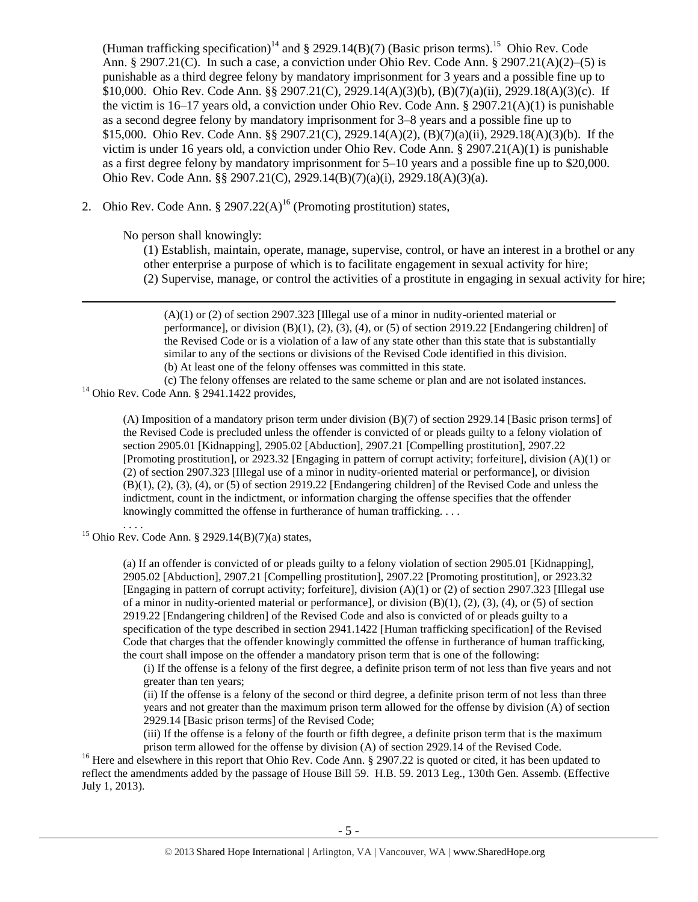(Human trafficking specification)<sup>14</sup> and § 2929.14(B)(7) (Basic prison terms).<sup>15</sup> Ohio Rev. Code Ann. § 2907.21(C). In such a case, a conviction under Ohio Rev. Code Ann. § 2907.21(A)(2)–(5) is punishable as a third degree felony by mandatory imprisonment for 3 years and a possible fine up to \$10,000. Ohio Rev. Code Ann. §§ 2907.21(C), 2929.14(A)(3)(b), (B)(7)(a)(ii), 2929.18(A)(3)(c). If the victim is 16–17 years old, a conviction under Ohio Rev. Code Ann.  $\S 2907.21(A)(1)$  is punishable as a second degree felony by mandatory imprisonment for 3–8 years and a possible fine up to \$15,000. Ohio Rev. Code Ann. §§ 2907.21(C), 2929.14(A)(2), (B)(7)(a)(ii), 2929.18(A)(3)(b). If the victim is under 16 years old, a conviction under Ohio Rev. Code Ann. § 2907.21(A)(1) is punishable as a first degree felony by mandatory imprisonment for 5–10 years and a possible fine up to \$20,000. Ohio Rev. Code Ann. §§ 2907.21(C), 2929.14(B)(7)(a)(i), 2929.18(A)(3)(a).

2. Ohio Rev. Code Ann. § 2907.22(A)<sup>16</sup> (Promoting prostitution) states,

No person shall knowingly:

(1) Establish, maintain, operate, manage, supervise, control, or have an interest in a brothel or any other enterprise a purpose of which is to facilitate engagement in sexual activity for hire; (2) Supervise, manage, or control the activities of a prostitute in engaging in sexual activity for hire;

(A)(1) or (2) of section 2907.323 [Illegal use of a minor in nudity-oriented material or performance], or division  $(B)(1)$ ,  $(2)$ ,  $(3)$ ,  $(4)$ , or  $(5)$  of section 2919.22 [Endangering children] of the Revised Code or is a violation of a law of any state other than this state that is substantially similar to any of the sections or divisions of the Revised Code identified in this division. (b) At least one of the felony offenses was committed in this state.

(c) The felony offenses are related to the same scheme or plan and are not isolated instances. <sup>14</sup> Ohio Rev. Code Ann. § 2941.1422 provides,

(A) Imposition of a mandatory prison term under division (B)(7) of section 2929.14 [Basic prison terms] of the Revised Code is precluded unless the offender is convicted of or pleads guilty to a felony violation of section 2905.01 [Kidnapping], 2905.02 [Abduction], 2907.21 [Compelling prostitution], 2907.22 [Promoting prostitution], or 2923.32 [Engaging in pattern of corrupt activity; forfeiture], division (A)(1) or (2) of section 2907.323 [Illegal use of a minor in nudity-oriented material or performance], or division (B)(1), (2), (3), (4), or (5) of section 2919.22 [Endangering children] of the Revised Code and unless the indictment, count in the indictment, or information charging the offense specifies that the offender knowingly committed the offense in furtherance of human trafficking. . . .

. . . .

 $\overline{\phantom{a}}$ 

<sup>15</sup> Ohio Rev. Code Ann. § 2929.14(B)(7)(a) states,

(a) If an offender is convicted of or pleads guilty to a felony violation of section 2905.01 [Kidnapping], 2905.02 [Abduction], 2907.21 [Compelling prostitution], 2907.22 [Promoting prostitution], or 2923.32 [Engaging in pattern of corrupt activity; forfeiture], division (A)(1) or (2) of section 2907.323 [Illegal use of a minor in nudity-oriented material or performance], or division (B)(1), (2), (3), (4), or (5) of section 2919.22 [Endangering children] of the Revised Code and also is convicted of or pleads guilty to a specification of the type described in section 2941.1422 [Human trafficking specification] of the Revised Code that charges that the offender knowingly committed the offense in furtherance of human trafficking, the court shall impose on the offender a mandatory prison term that is one of the following:

(i) If the offense is a felony of the first degree, a definite prison term of not less than five years and not greater than ten years;

(ii) If the offense is a felony of the second or third degree, a definite prison term of not less than three years and not greater than the maximum prison term allowed for the offense by division (A) of section 2929.14 [Basic prison terms] of the Revised Code;

(iii) If the offense is a felony of the fourth or fifth degree, a definite prison term that is the maximum prison term allowed for the offense by division (A) of section 2929.14 of the Revised Code.

<sup>16</sup> Here and elsewhere in this report that Ohio Rev. Code Ann. § 2907.22 is quoted or cited, it has been updated to reflect the amendments added by the passage of House Bill 59. H.B. 59. 2013 Leg., 130th Gen. Assemb. (Effective July 1, 2013).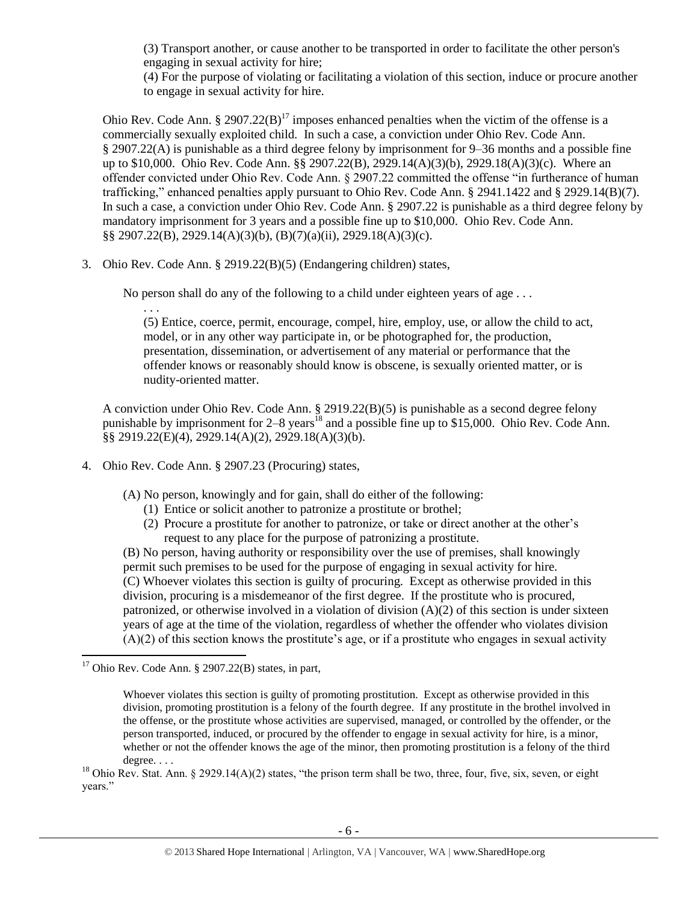(3) Transport another, or cause another to be transported in order to facilitate the other person's engaging in sexual activity for hire;

<span id="page-5-1"></span>(4) For the purpose of violating or facilitating a violation of this section, induce or procure another to engage in sexual activity for hire.

Ohio Rev. Code Ann. § 2907.22(B)<sup>17</sup> imposes enhanced penalties when the victim of the offense is a commercially sexually exploited child. In such a case, a conviction under Ohio Rev. Code Ann. § 2907.22(A) is punishable as a third degree felony by imprisonment for 9–36 months and a possible fine up to \$10,000. Ohio Rev. Code Ann. §§ 2907.22(B), 2929.14(A)(3)(b), 2929.18(A)(3)(c). Where an offender convicted under Ohio Rev. Code Ann. § 2907.22 committed the offense "in furtherance of human trafficking," enhanced penalties apply pursuant to Ohio Rev. Code Ann. § 2941.1422 and § 2929.14(B)(7). In such a case, a conviction under Ohio Rev. Code Ann. § 2907.22 is punishable as a third degree felony by mandatory imprisonment for 3 years and a possible fine up to \$10,000. Ohio Rev. Code Ann. §§ 2907.22(B), 2929.14(A)(3)(b), (B)(7)(a)(ii), 2929.18(A)(3)(c).

3. Ohio Rev. Code Ann. § 2919.22(B)(5) (Endangering children) states,

No person shall do any of the following to a child under eighteen years of age . . .

. . . (5) Entice, coerce, permit, encourage, compel, hire, employ, use, or allow the child to act, model, or in any other way participate in, or be photographed for, the production, presentation, dissemination, or advertisement of any material or performance that the offender knows or reasonably should know is obscene, is sexually oriented matter, or is nudity-oriented matter.

A conviction under Ohio Rev. Code Ann. § 2919.22(B)(5) is punishable as a second degree felony punishable by imprisonment for  $2-8$  years<sup>18</sup> and a possible fine up to \$15,000. Ohio Rev. Code Ann. §§ 2919.22(E)(4), 2929.14(A)(2), 2929.18(A)(3)(b).

4. Ohio Rev. Code Ann. § 2907.23 (Procuring) states,

(A) No person, knowingly and for gain, shall do either of the following:

- <span id="page-5-0"></span>(1) Entice or solicit another to patronize a prostitute or brothel;
- (2) Procure a prostitute for another to patronize, or take or direct another at the other's request to any place for the purpose of patronizing a prostitute.

(B) No person, having authority or responsibility over the use of premises, shall knowingly permit such premises to be used for the purpose of engaging in sexual activity for hire. (C) Whoever violates this section is guilty of procuring. Except as otherwise provided in this division, procuring is a misdemeanor of the first degree. If the prostitute who is procured, patronized, or otherwise involved in a violation of division (A)(2) of this section is under sixteen years of age at the time of the violation, regardless of whether the offender who violates division (A)(2) of this section knows the prostitute's age, or if a prostitute who engages in sexual activity

 $\overline{\phantom{a}}$ 

<sup>18</sup> Ohio Rev. Stat. Ann. § 2929.14(A)(2) states, "the prison term shall be two, three, four, five, six, seven, or eight years."

 $17$  Ohio Rev. Code Ann. § 2907.22(B) states, in part,

Whoever violates this section is guilty of promoting prostitution. Except as otherwise provided in this division, promoting prostitution is a felony of the fourth degree. If any prostitute in the brothel involved in the offense, or the prostitute whose activities are supervised, managed, or controlled by the offender, or the person transported, induced, or procured by the offender to engage in sexual activity for hire, is a minor, whether or not the offender knows the age of the minor, then promoting prostitution is a felony of the third degree. . . .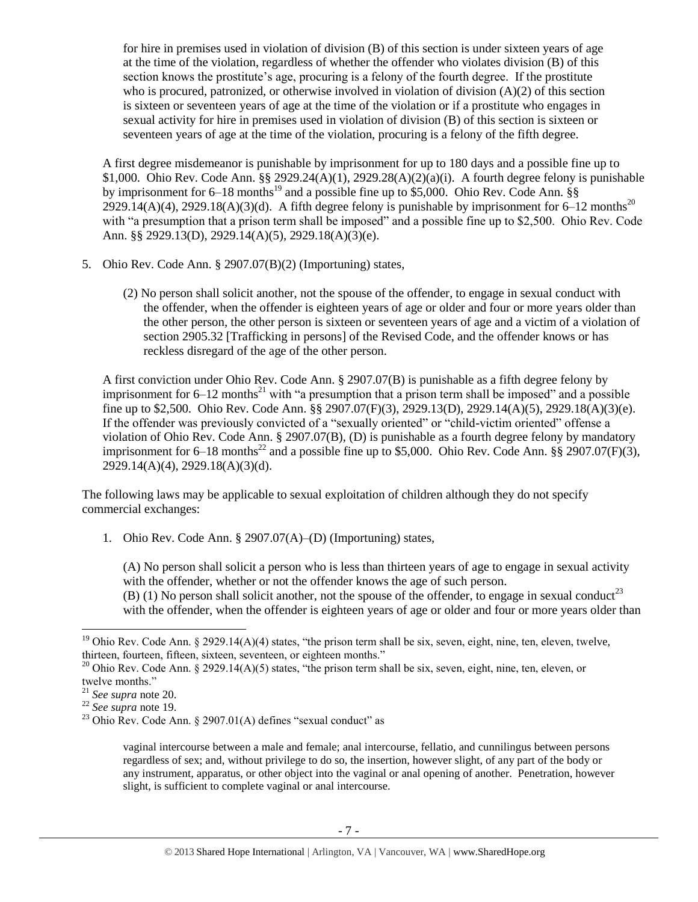for hire in premises used in violation of division (B) of this section is under sixteen years of age at the time of the violation, regardless of whether the offender who violates division (B) of this section knows the prostitute's age, procuring is a felony of the fourth degree. If the prostitute who is procured, patronized, or otherwise involved in violation of division (A)(2) of this section is sixteen or seventeen years of age at the time of the violation or if a prostitute who engages in sexual activity for hire in premises used in violation of division (B) of this section is sixteen or seventeen years of age at the time of the violation, procuring is a felony of the fifth degree.

<span id="page-6-1"></span><span id="page-6-0"></span>A first degree misdemeanor is punishable by imprisonment for up to 180 days and a possible fine up to \$1,000. Ohio Rev. Code Ann. §§ 2929.24(A)(1), 2929.28(A)(2)(a)(i). A fourth degree felony is punishable by imprisonment for  $6-18$  months<sup>19</sup> and a possible fine up to \$5,000. Ohio Rev. Code Ann. §§ 2929.14(A)(4), 2929.18(A)(3)(d). A fifth degree felony is punishable by imprisonment for  $6-12$  months<sup>20</sup> with "a presumption that a prison term shall be imposed" and a possible fine up to \$2,500. Ohio Rev. Code Ann. §§ 2929.13(D), 2929.14(A)(5), 2929.18(A)(3)(e).

- 5. Ohio Rev. Code Ann. § 2907.07(B)(2) (Importuning) states,
	- (2) No person shall solicit another, not the spouse of the offender, to engage in sexual conduct with the offender, when the offender is eighteen years of age or older and four or more years older than the other person, the other person is sixteen or seventeen years of age and a victim of a violation of section 2905.32 [Trafficking in persons] of the Revised Code, and the offender knows or has reckless disregard of the age of the other person.

A first conviction under Ohio Rev. Code Ann. § 2907.07(B) is punishable as a fifth degree felony by imprisonment for  $6-12$  months<sup>21</sup> with "a presumption that a prison term shall be imposed" and a possible fine up to \$2,500. Ohio Rev. Code Ann. §§ 2907.07(F)(3), 2929.13(D), 2929.14(A)(5), 2929.18(A)(3)(e). If the offender was previously convicted of a "sexually oriented" or "child-victim oriented" offense a violation of Ohio Rev. Code Ann. § 2907.07(B), (D) is punishable as a fourth degree felony by mandatory imprisonment for  $6-18$  months<sup>22</sup> and a possible fine up to \$5,000. Ohio Rev. Code Ann. §§ 2907.07(F)(3), 2929.14(A)(4), 2929.18(A)(3)(d).

The following laws may be applicable to sexual exploitation of children although they do not specify commercial exchanges:

1. Ohio Rev. Code Ann. § 2907.07(A)–(D) (Importuning) states,

<span id="page-6-2"></span>(A) No person shall solicit a person who is less than thirteen years of age to engage in sexual activity with the offender, whether or not the offender knows the age of such person. (B) (1) No person shall solicit another, not the spouse of the offender, to engage in sexual conduct<sup>23</sup> with the offender, when the offender is eighteen years of age or older and four or more years older than

 $\overline{a}$ <sup>19</sup> Ohio Rev. Code Ann. § 2929.14(A)(4) states, "the prison term shall be six, seven, eight, nine, ten, eleven, twelve, thirteen, fourteen, fifteen, sixteen, seventeen, or eighteen months."

<sup>&</sup>lt;sup>20</sup> Ohio Rev. Code Ann. § 2929.14(A)(5) states, "the prison term shall be six, seven, eight, nine, ten, eleven, or twelve months."

<sup>21</sup> *See supra* note [20.](#page-6-0)

<sup>22</sup> *See supra* note [19.](#page-6-1)

 $^{23}$  Ohio Rev. Code Ann. § 2907.01(A) defines "sexual conduct" as

vaginal intercourse between a male and female; anal intercourse, fellatio, and cunnilingus between persons regardless of sex; and, without privilege to do so, the insertion, however slight, of any part of the body or any instrument, apparatus, or other object into the vaginal or anal opening of another. Penetration, however slight, is sufficient to complete vaginal or anal intercourse.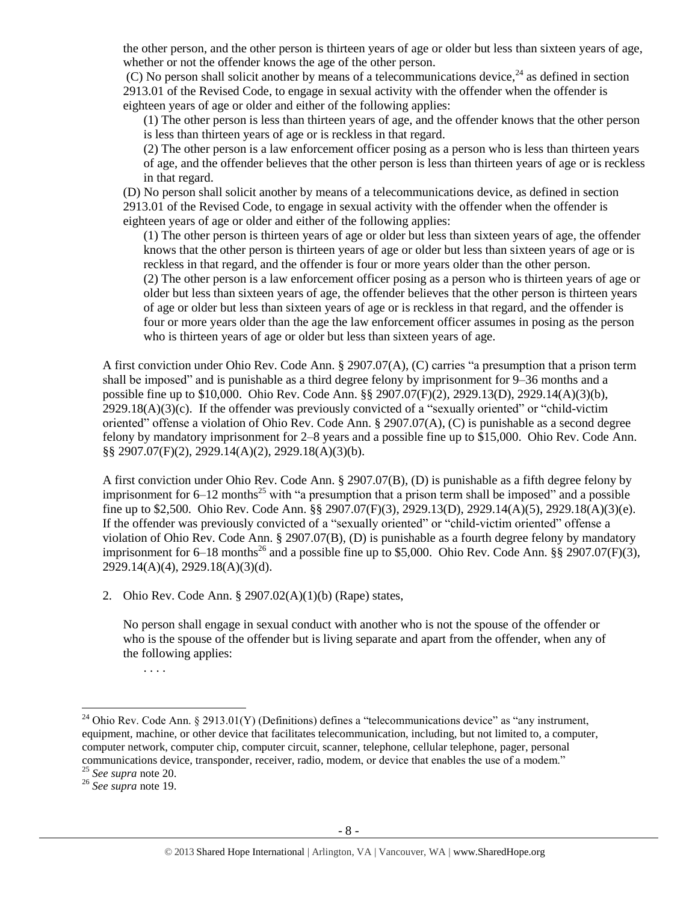the other person, and the other person is thirteen years of age or older but less than sixteen years of age, whether or not the offender knows the age of the other person.

(C) No person shall solicit another by means of a telecommunications device.<sup>24</sup> as defined in section 2913.01 of the Revised Code, to engage in sexual activity with the offender when the offender is eighteen years of age or older and either of the following applies:

(1) The other person is less than thirteen years of age, and the offender knows that the other person is less than thirteen years of age or is reckless in that regard.

(2) The other person is a law enforcement officer posing as a person who is less than thirteen years of age, and the offender believes that the other person is less than thirteen years of age or is reckless in that regard.

(D) No person shall solicit another by means of a telecommunications device, as defined in section 2913.01 of the Revised Code, to engage in sexual activity with the offender when the offender is eighteen years of age or older and either of the following applies:

(1) The other person is thirteen years of age or older but less than sixteen years of age, the offender knows that the other person is thirteen years of age or older but less than sixteen years of age or is reckless in that regard, and the offender is four or more years older than the other person. (2) The other person is a law enforcement officer posing as a person who is thirteen years of age or older but less than sixteen years of age, the offender believes that the other person is thirteen years of age or older but less than sixteen years of age or is reckless in that regard, and the offender is four or more years older than the age the law enforcement officer assumes in posing as the person who is thirteen years of age or older but less than sixteen years of age.

A first conviction under Ohio Rev. Code Ann. § 2907.07(A), (C) carries "a presumption that a prison term shall be imposed" and is punishable as a third degree felony by imprisonment for 9–36 months and a possible fine up to \$10,000. Ohio Rev. Code Ann. §§ 2907.07(F)(2), 2929.13(D), 2929.14(A)(3)(b),  $2929.18(A)(3)(c)$ . If the offender was previously convicted of a "sexually oriented" or "child-victim" oriented" offense a violation of Ohio Rev. Code Ann. § 2907.07(A), (C) is punishable as a second degree felony by mandatory imprisonment for 2–8 years and a possible fine up to \$15,000. Ohio Rev. Code Ann. §§ 2907.07(F)(2), 2929.14(A)(2), 2929.18(A)(3)(b).

A first conviction under Ohio Rev. Code Ann. § 2907.07(B), (D) is punishable as a fifth degree felony by imprisonment for  $6-12$  months<sup>25</sup> with "a presumption that a prison term shall be imposed" and a possible fine up to \$2,500. Ohio Rev. Code Ann. §§ 2907.07(F)(3), 2929.13(D), 2929.14(A)(5), 2929.18(A)(3)(e). If the offender was previously convicted of a "sexually oriented" or "child-victim oriented" offense a violation of Ohio Rev. Code Ann. § 2907.07(B), (D) is punishable as a fourth degree felony by mandatory imprisonment for  $6-18$  months<sup>26</sup> and a possible fine up to \$5,000. Ohio Rev. Code Ann. §§ 2907.07(F)(3), 2929.14(A)(4), 2929.18(A)(3)(d).

2. Ohio Rev. Code Ann. § 2907.02(A)(1)(b) (Rape) states,

No person shall engage in sexual conduct with another who is not the spouse of the offender or who is the spouse of the offender but is living separate and apart from the offender, when any of the following applies:

. . . .

l

<sup>&</sup>lt;sup>24</sup> Ohio Rev. Code Ann. § 2913.01(Y) (Definitions) defines a "telecommunications device" as "any instrument, equipment, machine, or other device that facilitates telecommunication, including, but not limited to, a computer, computer network, computer chip, computer circuit, scanner, telephone, cellular telephone, pager, personal communications device, transponder, receiver, radio, modem, or device that enables the use of a modem."

<sup>25</sup> *See supra* note [20.](#page-6-0)

<sup>26</sup> *See supra* note [19.](#page-6-1)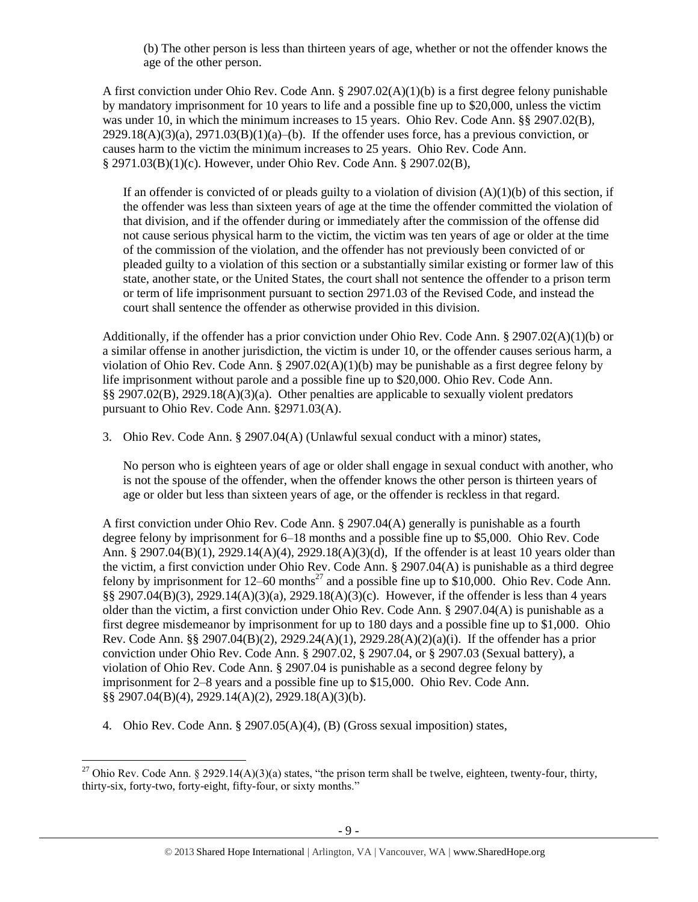(b) The other person is less than thirteen years of age, whether or not the offender knows the age of the other person.

A first conviction under Ohio Rev. Code Ann. § 2907.02(A)(1)(b) is a first degree felony punishable by mandatory imprisonment for 10 years to life and a possible fine up to \$20,000, unless the victim was under 10, in which the minimum increases to 15 years. Ohio Rev. Code Ann. §§ 2907.02(B),  $2929.18(A)(3)(a)$ ,  $2971.03(B)(1)(a)$ –(b). If the offender uses force, has a previous conviction, or causes harm to the victim the minimum increases to 25 years. Ohio Rev. Code Ann. § 2971.03(B)(1)(c). However, under Ohio Rev. Code Ann. § 2907.02(B),

If an offender is convicted of or pleads guilty to a violation of division  $(A)(1)(b)$  of this section, if the offender was less than sixteen years of age at the time the offender committed the violation of that division, and if the offender during or immediately after the commission of the offense did not cause serious physical harm to the victim, the victim was ten years of age or older at the time of the commission of the violation, and the offender has not previously been convicted of or pleaded guilty to a violation of this section or a substantially similar existing or former law of this state, another state, or the United States, the court shall not sentence the offender to a prison term or term of life imprisonment pursuant to section 2971.03 of the Revised Code, and instead the court shall sentence the offender as otherwise provided in this division.

Additionally, if the offender has a prior conviction under Ohio Rev. Code Ann. § 2907.02(A)(1)(b) or a similar offense in another jurisdiction, the victim is under 10, or the offender causes serious harm, a violation of Ohio Rev. Code Ann.  $\S$  2907.02(A)(1)(b) may be punishable as a first degree felony by life imprisonment without parole and a possible fine up to \$20,000. Ohio Rev. Code Ann. §§ 2907.02(B), 2929.18(A)(3)(a). Other penalties are applicable to sexually violent predators pursuant to Ohio Rev. Code Ann. §2971.03(A).

3. Ohio Rev. Code Ann. § 2907.04(A) (Unlawful sexual conduct with a minor) states,

No person who is eighteen years of age or older shall engage in sexual conduct with another, who is not the spouse of the offender, when the offender knows the other person is thirteen years of age or older but less than sixteen years of age, or the offender is reckless in that regard.

A first conviction under Ohio Rev. Code Ann. § 2907.04(A) generally is punishable as a fourth degree felony by imprisonment for 6–18 months and a possible fine up to \$5,000. Ohio Rev. Code Ann. § 2907.04(B)(1), 2929.14(A)(4), 2929.18(A)(3)(d), If the offender is at least 10 years older than the victim, a first conviction under Ohio Rev. Code Ann. § 2907.04(A) is punishable as a third degree felony by imprisonment for 12–60 months<sup>27</sup> and a possible fine up to \$10,000. Ohio Rev. Code Ann. §§ 2907.04(B)(3), 2929.14(A)(3)(a), 2929.18(A)(3)(c). However, if the offender is less than 4 years older than the victim, a first conviction under Ohio Rev. Code Ann. § 2907.04(A) is punishable as a first degree misdemeanor by imprisonment for up to 180 days and a possible fine up to \$1,000. Ohio Rev. Code Ann. §§ 2907.04(B)(2), 2929.24(A)(1), 2929.28(A)(2)(a)(i). If the offender has a prior conviction under Ohio Rev. Code Ann. § 2907.02, § 2907.04, or § 2907.03 (Sexual battery), a violation of Ohio Rev. Code Ann. § 2907.04 is punishable as a second degree felony by imprisonment for 2–8 years and a possible fine up to \$15,000. Ohio Rev. Code Ann. §§ 2907.04(B)(4), 2929.14(A)(2), 2929.18(A)(3)(b).

4. Ohio Rev. Code Ann. § 2907.05(A)(4), (B) (Gross sexual imposition) states,

 $\overline{a}$ 

<sup>&</sup>lt;sup>27</sup> Ohio Rev. Code Ann. § 2929.14(A)(3)(a) states, "the prison term shall be twelve, eighteen, twenty-four, thirty, thirty-six, forty-two, forty-eight, fifty-four, or sixty months."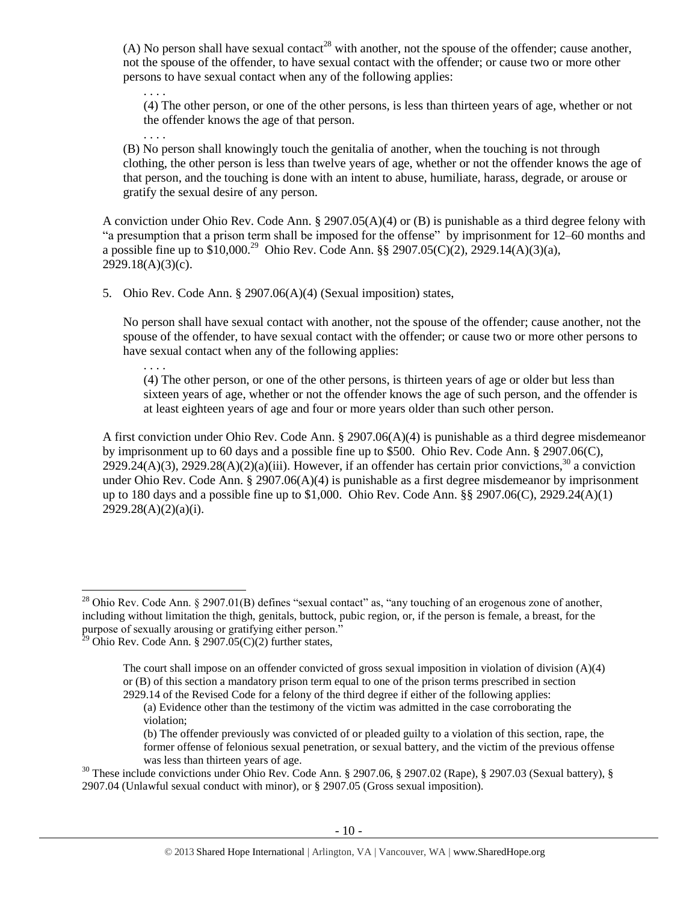(A) No person shall have sexual contact<sup>28</sup> with another, not the spouse of the offender; cause another, not the spouse of the offender, to have sexual contact with the offender; or cause two or more other persons to have sexual contact when any of the following applies:

. . . . (4) The other person, or one of the other persons, is less than thirteen years of age, whether or not the offender knows the age of that person.

(B) No person shall knowingly touch the genitalia of another, when the touching is not through clothing, the other person is less than twelve years of age, whether or not the offender knows the age of that person, and the touching is done with an intent to abuse, humiliate, harass, degrade, or arouse or gratify the sexual desire of any person.

A conviction under Ohio Rev. Code Ann. § 2907.05(A)(4) or (B) is punishable as a third degree felony with "a presumption that a prison term shall be imposed for the offense" by imprisonment for 12–60 months and a possible fine up to  $$10,000.<sup>29</sup>$  Ohio Rev. Code Ann. §§ 2907.05(C)(2), 2929.14(A)(3)(a),  $2929.18(A)(3)(c)$ .

5. Ohio Rev. Code Ann. § 2907.06(A)(4) (Sexual imposition) states,

. . . .

. . . .

l

No person shall have sexual contact with another, not the spouse of the offender; cause another, not the spouse of the offender, to have sexual contact with the offender; or cause two or more other persons to have sexual contact when any of the following applies:

(4) The other person, or one of the other persons, is thirteen years of age or older but less than sixteen years of age, whether or not the offender knows the age of such person, and the offender is at least eighteen years of age and four or more years older than such other person.

A first conviction under Ohio Rev. Code Ann. § 2907.06(A)(4) is punishable as a third degree misdemeanor by imprisonment up to 60 days and a possible fine up to \$500. Ohio Rev. Code Ann. § 2907.06(C), 2929.24(A)(3), 2929.28(A)(2)(a)(iii). However, if an offender has certain prior convictions,<sup>30</sup> a conviction under Ohio Rev. Code Ann. § 2907.06(A)(4) is punishable as a first degree misdemeanor by imprisonment up to 180 days and a possible fine up to \$1,000. Ohio Rev. Code Ann. §§ 2907.06(C), 2929.24(A)(1)  $2929.28(A)(2)(a)(i).$ 

<sup>&</sup>lt;sup>28</sup> Ohio Rev. Code Ann. § 2907.01(B) defines "sexual contact" as, "any touching of an erogenous zone of another, including without limitation the thigh, genitals, buttock, pubic region, or, if the person is female, a breast, for the purpose of sexually arousing or gratifying either person."

 $^{29}$  Ohio Rev. Code Ann. § 2907.05(C)(2) further states,

The court shall impose on an offender convicted of gross sexual imposition in violation of division  $(A)(4)$ or (B) of this section a mandatory prison term equal to one of the prison terms prescribed in section 2929.14 of the Revised Code for a felony of the third degree if either of the following applies:

<sup>(</sup>a) Evidence other than the testimony of the victim was admitted in the case corroborating the violation;

<sup>(</sup>b) The offender previously was convicted of or pleaded guilty to a violation of this section, rape, the former offense of felonious sexual penetration, or sexual battery, and the victim of the previous offense was less than thirteen years of age.

<sup>&</sup>lt;sup>30</sup> These include convictions under Ohio Rev. Code Ann. § 2907.06, § 2907.02 (Rape), § 2907.03 (Sexual battery), § 2907.04 (Unlawful sexual conduct with minor), or § 2907.05 (Gross sexual imposition).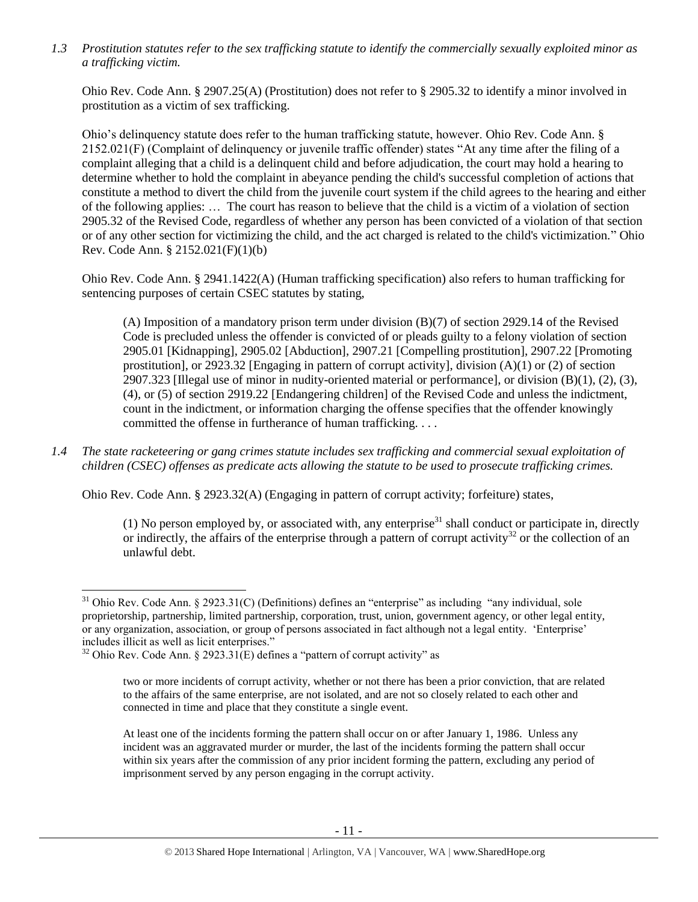*1.3 Prostitution statutes refer to the sex trafficking statute to identify the commercially sexually exploited minor as a trafficking victim.* 

Ohio Rev. Code Ann. § 2907.25(A) (Prostitution) does not refer to § 2905.32 to identify a minor involved in prostitution as a victim of sex trafficking.

Ohio's delinquency statute does refer to the human trafficking statute, however. Ohio Rev. Code Ann. § 2152.021(F) (Complaint of delinquency or juvenile traffic offender) states "At any time after the filing of a complaint alleging that a child is a delinquent child and before adjudication, the court may hold a hearing to determine whether to hold the complaint in abeyance pending the child's successful completion of actions that constitute a method to divert the child from the juvenile court system if the child agrees to the hearing and either of the following applies: … The court has reason to believe that the child is a victim of a violation of section 2905.32 of the Revised Code, regardless of whether any person has been convicted of a violation of that section or of any other section for victimizing the child, and the act charged is related to the child's victimization." Ohio Rev. Code Ann. § 2152.021(F)(1)(b)

Ohio Rev. Code Ann. § 2941.1422(A) (Human trafficking specification) also refers to human trafficking for sentencing purposes of certain CSEC statutes by stating,

(A) Imposition of a mandatory prison term under division (B)(7) of section 2929.14 of the Revised Code is precluded unless the offender is convicted of or pleads guilty to a felony violation of section 2905.01 [Kidnapping], 2905.02 [Abduction], 2907.21 [Compelling prostitution], 2907.22 [Promoting prostitution], or 2923.32 [Engaging in pattern of corrupt activity], division (A)(1) or (2) of section 2907.323 [Illegal use of minor in nudity-oriented material or performance], or division  $(B)(1)$ ,  $(2)$ ,  $(3)$ , (4), or (5) of section 2919.22 [Endangering children] of the Revised Code and unless the indictment, count in the indictment, or information charging the offense specifies that the offender knowingly committed the offense in furtherance of human trafficking. . . .

*1.4 The state racketeering or gang crimes statute includes sex trafficking and commercial sexual exploitation of children (CSEC) offenses as predicate acts allowing the statute to be used to prosecute trafficking crimes.* 

Ohio Rev. Code Ann. § 2923.32(A) (Engaging in pattern of corrupt activity; forfeiture) states,

(1) No person employed by, or associated with, any enterprise<sup>31</sup> shall conduct or participate in, directly or indirectly, the affairs of the enterprise through a pattern of corrupt activity<sup>32</sup> or the collection of an unlawful debt.

l

 $31$  Ohio Rev. Code Ann. § 2923.31(C) (Definitions) defines an "enterprise" as including "any individual, sole proprietorship, partnership, limited partnership, corporation, trust, union, government agency, or other legal entity, or any organization, association, or group of persons associated in fact although not a legal entity. 'Enterprise' includes illicit as well as licit enterprises."

 $32$  Ohio Rev. Code Ann. § 2923.31(E) defines a "pattern of corrupt activity" as

two or more incidents of corrupt activity, whether or not there has been a prior conviction, that are related to the affairs of the same enterprise, are not isolated, and are not so closely related to each other and connected in time and place that they constitute a single event.

At least one of the incidents forming the pattern shall occur on or after January 1, 1986. Unless any incident was an aggravated murder or murder, the last of the incidents forming the pattern shall occur within six years after the commission of any prior incident forming the pattern, excluding any period of imprisonment served by any person engaging in the corrupt activity.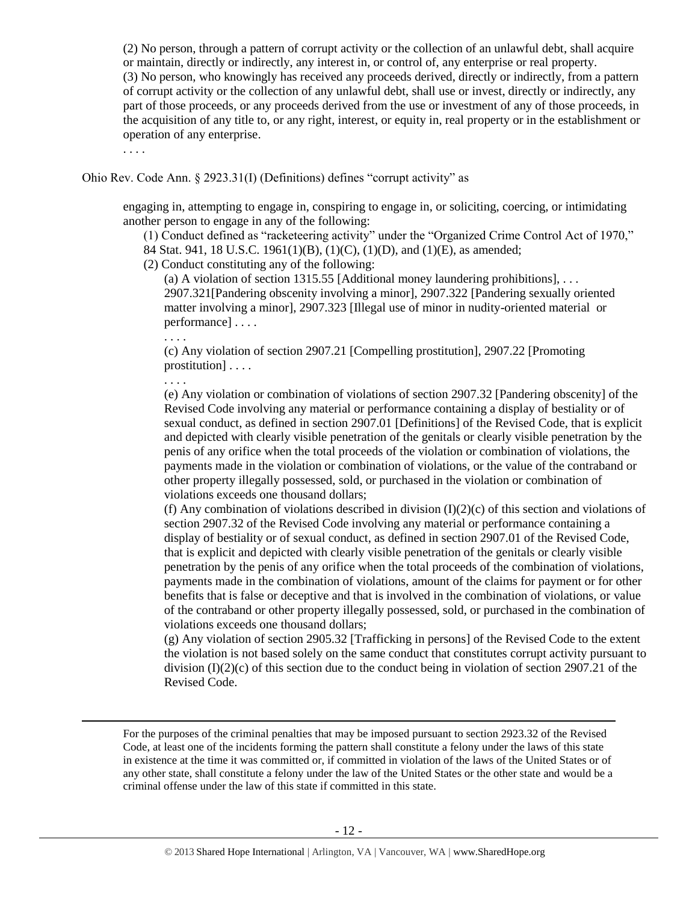(2) No person, through a pattern of corrupt activity or the collection of an unlawful debt, shall acquire or maintain, directly or indirectly, any interest in, or control of, any enterprise or real property. (3) No person, who knowingly has received any proceeds derived, directly or indirectly, from a pattern of corrupt activity or the collection of any unlawful debt, shall use or invest, directly or indirectly, any part of those proceeds, or any proceeds derived from the use or investment of any of those proceeds, in the acquisition of any title to, or any right, interest, or equity in, real property or in the establishment or operation of any enterprise.

. . . .

Ohio Rev. Code Ann. § 2923.31(I) (Definitions) defines "corrupt activity" as

engaging in, attempting to engage in, conspiring to engage in, or soliciting, coercing, or intimidating another person to engage in any of the following:

(1) Conduct defined as "racketeering activity" under the "Organized Crime Control Act of 1970," 84 Stat. 941, 18 U.S.C. 1961(1)(B), (1)(C), (1)(D), and (1)(E), as amended;

(2) Conduct constituting any of the following:

(a) A violation of section 1315.55 [Additional money laundering prohibitions], . . . 2907.321[Pandering obscenity involving a minor], 2907.322 [Pandering sexually oriented matter involving a minor], 2907.323 [Illegal use of minor in nudity-oriented material or performance] . . . .

. . . .

(c) Any violation of section 2907.21 [Compelling prostitution], 2907.22 [Promoting prostitution] . . . .

. . . .

 $\overline{a}$ 

(e) Any violation or combination of violations of section 2907.32 [Pandering obscenity] of the Revised Code involving any material or performance containing a display of bestiality or of sexual conduct, as defined in section 2907.01 [Definitions] of the Revised Code, that is explicit and depicted with clearly visible penetration of the genitals or clearly visible penetration by the penis of any orifice when the total proceeds of the violation or combination of violations, the payments made in the violation or combination of violations, or the value of the contraband or other property illegally possessed, sold, or purchased in the violation or combination of violations exceeds one thousand dollars;

(f) Any combination of violations described in division  $(I)(2)(c)$  of this section and violations of section 2907.32 of the Revised Code involving any material or performance containing a display of bestiality or of sexual conduct, as defined in section 2907.01 of the Revised Code, that is explicit and depicted with clearly visible penetration of the genitals or clearly visible penetration by the penis of any orifice when the total proceeds of the combination of violations, payments made in the combination of violations, amount of the claims for payment or for other benefits that is false or deceptive and that is involved in the combination of violations, or value of the contraband or other property illegally possessed, sold, or purchased in the combination of violations exceeds one thousand dollars;

(g) Any violation of section 2905.32 [Trafficking in persons] of the Revised Code to the extent the violation is not based solely on the same conduct that constitutes corrupt activity pursuant to division  $(I)(2)(c)$  of this section due to the conduct being in violation of section 2907.21 of the Revised Code.

For the purposes of the criminal penalties that may be imposed pursuant to section 2923.32 of the Revised Code, at least one of the incidents forming the pattern shall constitute a felony under the laws of this state in existence at the time it was committed or, if committed in violation of the laws of the United States or of any other state, shall constitute a felony under the law of the United States or the other state and would be a criminal offense under the law of this state if committed in this state.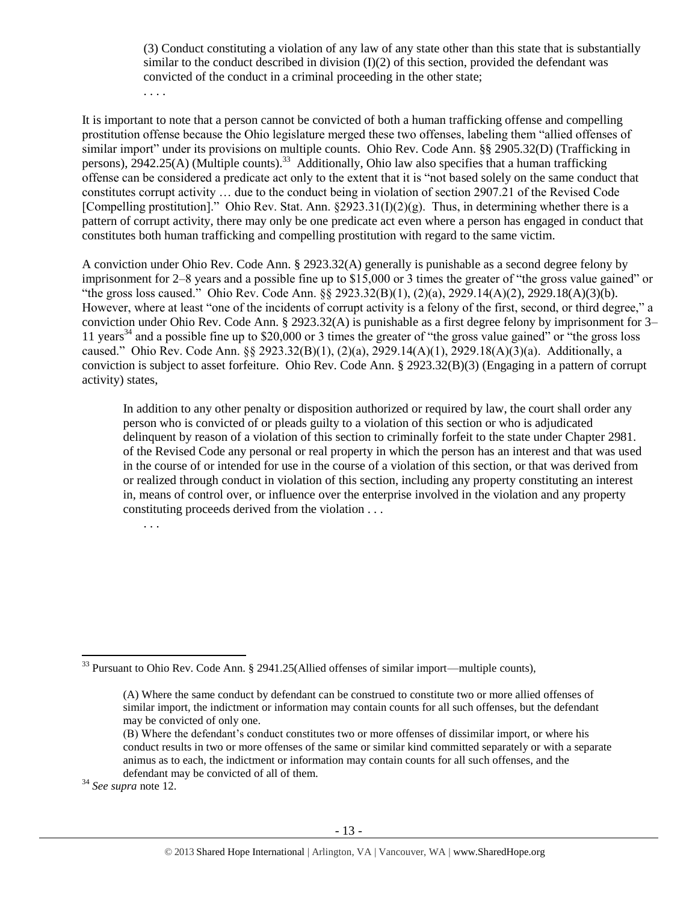(3) Conduct constituting a violation of any law of any state other than this state that is substantially similar to the conduct described in division  $(I)(2)$  of this section, provided the defendant was convicted of the conduct in a criminal proceeding in the other state; . . . .

It is important to note that a person cannot be convicted of both a human trafficking offense and compelling prostitution offense because the Ohio legislature merged these two offenses, labeling them "allied offenses of similar import" under its provisions on multiple counts. Ohio Rev. Code Ann. §§ 2905.32(D) (Trafficking in persons), 2942.25(A) (Multiple counts).<sup>33</sup> Additionally, Ohio law also specifies that a human trafficking offense can be considered a predicate act only to the extent that it is "not based solely on the same conduct that constitutes corrupt activity … due to the conduct being in violation of section 2907.21 of the Revised Code [Compelling prostitution]." Ohio Rev. Stat. Ann.  $\S2923.31(I)(2)(g)$ . Thus, in determining whether there is a pattern of corrupt activity, there may only be one predicate act even where a person has engaged in conduct that constitutes both human trafficking and compelling prostitution with regard to the same victim.

A conviction under Ohio Rev. Code Ann. § 2923.32(A) generally is punishable as a second degree felony by imprisonment for 2–8 years and a possible fine up to \$15,000 or 3 times the greater of "the gross value gained" or "the gross loss caused." Ohio Rev. Code Ann. §§ 2923.32(B)(1), (2)(a), 2929.14(A)(2), 2929.18(A)(3)(b). However, where at least "one of the incidents of corrupt activity is a felony of the first, second, or third degree," a conviction under Ohio Rev. Code Ann. § 2923.32(A) is punishable as a first degree felony by imprisonment for 3– 11 years<sup>34</sup> and a possible fine up to \$20,000 or 3 times the greater of "the gross value gained" or "the gross loss caused." Ohio Rev. Code Ann. §§ 2923.32(B)(1), (2)(a), 2929.14(A)(1), 2929.18(A)(3)(a). Additionally, a conviction is subject to asset forfeiture. Ohio Rev. Code Ann. § 2923.32(B)(3) (Engaging in a pattern of corrupt activity) states,

In addition to any other penalty or disposition authorized or required by law, the court shall order any person who is convicted of or pleads guilty to a violation of this section or who is adjudicated delinquent by reason of a violation of this section to criminally forfeit to the state under Chapter 2981. of the Revised Code any personal or real property in which the person has an interest and that was used in the course of or intended for use in the course of a violation of this section, or that was derived from or realized through conduct in violation of this section, including any property constituting an interest in, means of control over, or influence over the enterprise involved in the violation and any property constituting proceeds derived from the violation . . .

. . .

<sup>34</sup> *See supra* note [12.](#page-3-0)

 $\overline{\phantom{a}}$ 

<sup>&</sup>lt;sup>33</sup> Pursuant to Ohio Rev. Code Ann. § 2941.25(Allied offenses of similar import—multiple counts),

<sup>(</sup>A) Where the same conduct by defendant can be construed to constitute two or more allied offenses of similar import, the indictment or information may contain counts for all such offenses, but the defendant may be convicted of only one.

<sup>(</sup>B) Where the defendant's conduct constitutes two or more offenses of dissimilar import, or where his conduct results in two or more offenses of the same or similar kind committed separately or with a separate animus as to each, the indictment or information may contain counts for all such offenses, and the defendant may be convicted of all of them.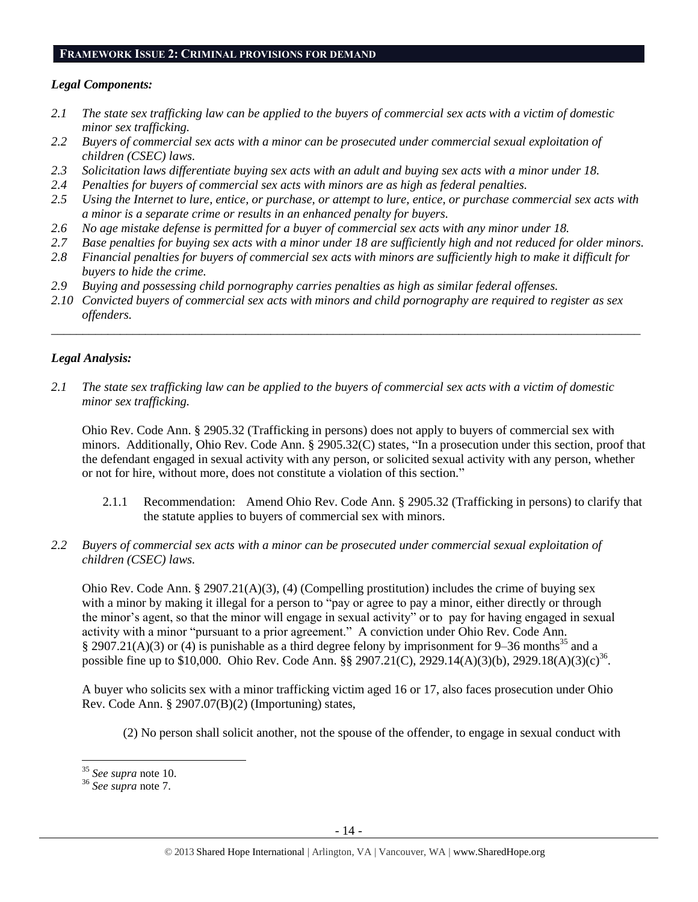#### **FRAMEWORK ISSUE 2: CRIMINAL PROVISIONS FOR DEMAND**

## *Legal Components:*

- *2.1 The state sex trafficking law can be applied to the buyers of commercial sex acts with a victim of domestic minor sex trafficking.*
- *2.2 Buyers of commercial sex acts with a minor can be prosecuted under commercial sexual exploitation of children (CSEC) laws.*
- *2.3 Solicitation laws differentiate buying sex acts with an adult and buying sex acts with a minor under 18.*
- *2.4 Penalties for buyers of commercial sex acts with minors are as high as federal penalties.*
- *2.5 Using the Internet to lure, entice, or purchase, or attempt to lure, entice, or purchase commercial sex acts with a minor is a separate crime or results in an enhanced penalty for buyers.*
- *2.6 No age mistake defense is permitted for a buyer of commercial sex acts with any minor under 18.*
- *2.7 Base penalties for buying sex acts with a minor under 18 are sufficiently high and not reduced for older minors.*
- *2.8 Financial penalties for buyers of commercial sex acts with minors are sufficiently high to make it difficult for buyers to hide the crime.*
- *2.9 Buying and possessing child pornography carries penalties as high as similar federal offenses.*
- *2.10 Convicted buyers of commercial sex acts with minors and child pornography are required to register as sex offenders.*

\_\_\_\_\_\_\_\_\_\_\_\_\_\_\_\_\_\_\_\_\_\_\_\_\_\_\_\_\_\_\_\_\_\_\_\_\_\_\_\_\_\_\_\_\_\_\_\_\_\_\_\_\_\_\_\_\_\_\_\_\_\_\_\_\_\_\_\_\_\_\_\_\_\_\_\_\_\_\_\_\_\_\_\_\_\_\_\_\_\_\_\_\_\_

## *Legal Analysis:*

*2.1 The state sex trafficking law can be applied to the buyers of commercial sex acts with a victim of domestic minor sex trafficking.*

Ohio Rev. Code Ann. § 2905.32 (Trafficking in persons) does not apply to buyers of commercial sex with minors. Additionally, Ohio Rev. Code Ann. § 2905.32(C) states, "In a prosecution under this section, proof that the defendant engaged in sexual activity with any person, or solicited sexual activity with any person, whether or not for hire, without more, does not constitute a violation of this section."

- 2.1.1 Recommendation: Amend Ohio Rev. Code Ann. § 2905.32 (Trafficking in persons) to clarify that the statute applies to buyers of commercial sex with minors.
- *2.2 Buyers of commercial sex acts with a minor can be prosecuted under commercial sexual exploitation of children (CSEC) laws.*

Ohio Rev. Code Ann. § 2907.21(A)(3), (4) (Compelling prostitution) includes the crime of buying sex with a minor by making it illegal for a person to "pay or agree to pay a minor, either directly or through the minor's agent, so that the minor will engage in sexual activity" or to pay for having engaged in sexual activity with a minor "pursuant to a prior agreement." A conviction under Ohio Rev. Code Ann. § 2907.21(A)(3) or (4) is punishable as a third degree felony by imprisonment for 9–36 months<sup>35</sup> and a possible fine up to \$10,000. Ohio Rev. Code Ann. §§ 2907.21(C), 2929.14(A)(3)(b), 2929.18(A)(3)(c)<sup>36</sup>.

A buyer who solicits sex with a minor trafficking victim aged 16 or 17, also faces prosecution under Ohio Rev. Code Ann. § 2907.07(B)(2) (Importuning) states,

(2) No person shall solicit another, not the spouse of the offender, to engage in sexual conduct with

 $\overline{a}$ <sup>35</sup> *See supra* note [10.](#page-3-1)

<sup>36</sup> *See supra* note [7.](#page-1-1)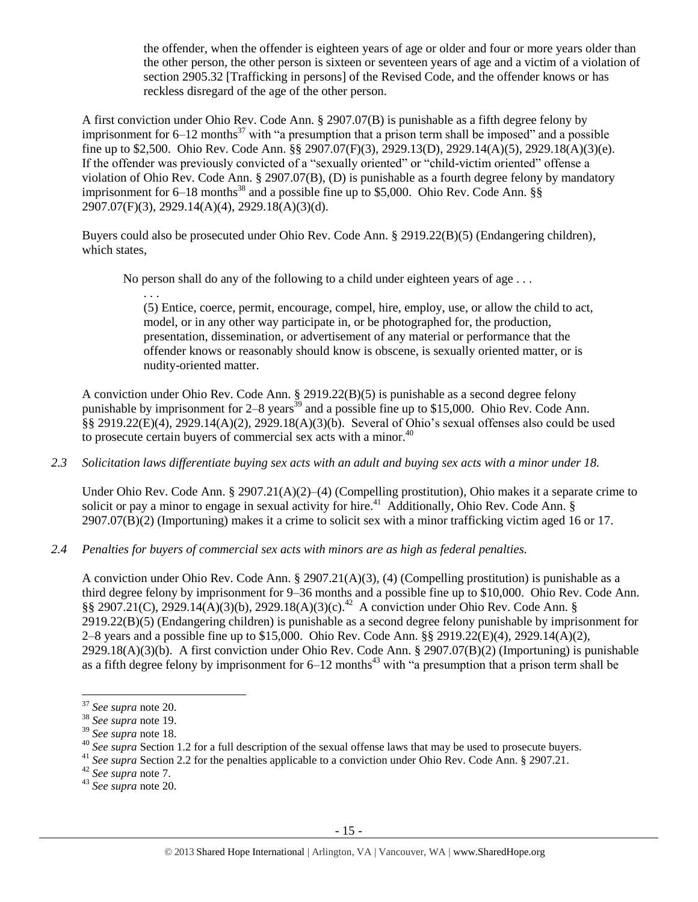the offender, when the offender is eighteen years of age or older and four or more years older than the other person, the other person is sixteen or seventeen years of age and a victim of a violation of section 2905.32 [Trafficking in persons] of the Revised Code, and the offender knows or has reckless disregard of the age of the other person.

A first conviction under Ohio Rev. Code Ann. § 2907.07(B) is punishable as a fifth degree felony by imprisonment for  $6-12$  months<sup>37</sup> with "a presumption that a prison term shall be imposed" and a possible fine up to \$2,500. Ohio Rev. Code Ann. §§ 2907.07(F)(3), 2929.13(D), 2929.14(A)(5), 2929.18(A)(3)(e). If the offender was previously convicted of a "sexually oriented" or "child-victim oriented" offense a violation of Ohio Rev. Code Ann. § 2907.07(B), (D) is punishable as a fourth degree felony by mandatory imprisonment for  $6-18$  months<sup>38</sup> and a possible fine up to \$5,000. Ohio Rev. Code Ann. §§ 2907.07(F)(3), 2929.14(A)(4), 2929.18(A)(3)(d).

Buyers could also be prosecuted under Ohio Rev. Code Ann. § 2919.22(B)(5) (Endangering children), which states,

No person shall do any of the following to a child under eighteen years of age . . .

. . .

(5) Entice, coerce, permit, encourage, compel, hire, employ, use, or allow the child to act, model, or in any other way participate in, or be photographed for, the production, presentation, dissemination, or advertisement of any material or performance that the offender knows or reasonably should know is obscene, is sexually oriented matter, or is nudity-oriented matter.

A conviction under Ohio Rev. Code Ann. § 2919.22(B)(5) is punishable as a second degree felony punishable by imprisonment for  $2-8$  years<sup>39</sup> and a possible fine up to \$15,000. Ohio Rev. Code Ann. §§ 2919.22(E)(4), 2929.14(A)(2), 2929.18(A)(3)(b). Several of Ohio's sexual offenses also could be used to prosecute certain buyers of commercial sex acts with a minor.<sup>40</sup>

*2.3 Solicitation laws differentiate buying sex acts with an adult and buying sex acts with a minor under 18.*

Under Ohio Rev. Code Ann. § 2907.21(A)(2)–(4) (Compelling prostitution), Ohio makes it a separate crime to solicit or pay a minor to engage in sexual activity for hire.<sup>41</sup> Additionally, Ohio Rev. Code Ann. § 2907.07(B)(2) (Importuning) makes it a crime to solicit sex with a minor trafficking victim aged 16 or 17.

*2.4 Penalties for buyers of commercial sex acts with minors are as high as federal penalties.*

A conviction under Ohio Rev. Code Ann. § 2907.21(A)(3), (4) (Compelling prostitution) is punishable as a third degree felony by imprisonment for 9–36 months and a possible fine up to \$10,000. Ohio Rev. Code Ann.  $\S$ § 2907.21(C), 2929.14(A)(3)(b), 2929.18(A)(3)(c).<sup>42</sup> A conviction under Ohio Rev. Code Ann. § 2919.22(B)(5) (Endangering children) is punishable as a second degree felony punishable by imprisonment for 2–8 years and a possible fine up to \$15,000. Ohio Rev. Code Ann. §§ 2919.22(E)(4), 2929.14(A)(2), 2929.18(A)(3)(b). A first conviction under Ohio Rev. Code Ann. § 2907.07(B)(2) (Importuning) is punishable as a fifth degree felony by imprisonment for  $6-12$  months<sup>43</sup> with "a presumption that a prison term shall be

 $\overline{\phantom{a}}$ <sup>37</sup> *See supra* note [20.](#page-6-0)

<sup>38</sup> *See supra* note [19.](#page-6-1)

<sup>39</sup> *See supra* note [18.](#page-5-0)

<sup>&</sup>lt;sup>40</sup> See supra Section 1.2 for a full description of the sexual offense laws that may be used to prosecute buyers.

<sup>&</sup>lt;sup>41</sup> See supra Section 2.2 for the penalties applicable to a conviction under Ohio Rev. Code Ann. § 2907.21.

<sup>42</sup> *See supra* note [7.](#page-1-1)

<sup>43</sup> *See supra* note [20.](#page-6-0)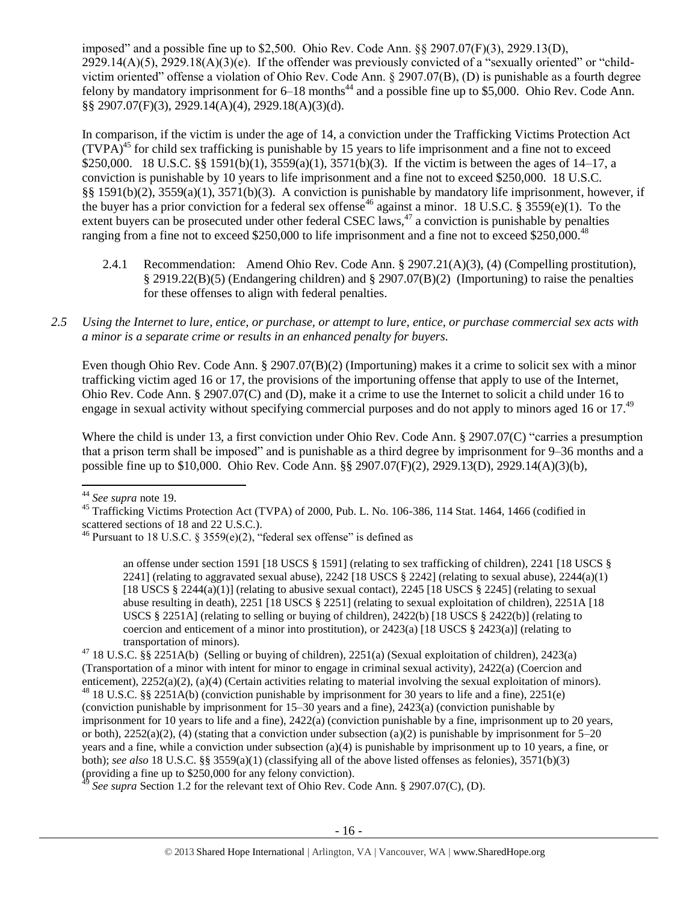imposed" and a possible fine up to \$2,500. Ohio Rev. Code Ann. §§ 2907.07(F)(3), 2929.13(D),  $2929.14(A)(5)$ ,  $2929.18(A)(3)(e)$ . If the offender was previously convicted of a "sexually oriented" or "childvictim oriented" offense a violation of Ohio Rev. Code Ann. § 2907.07(B), (D) is punishable as a fourth degree felony by mandatory imprisonment for  $6-18$  months<sup>44</sup> and a possible fine up to \$5,000. Ohio Rev. Code Ann. §§ 2907.07(F)(3), 2929.14(A)(4), 2929.18(A)(3)(d).

<span id="page-15-0"></span>In comparison, if the victim is under the age of 14, a conviction under the Trafficking Victims Protection Act  $(TVPA)^{45}$  for child sex trafficking is punishable by 15 years to life imprisonment and a fine not to exceed \$250,000. 18 U.S.C. §§ 1591(b)(1), 3559(a)(1), 3571(b)(3). If the victim is between the ages of 14–17, a conviction is punishable by 10 years to life imprisonment and a fine not to exceed \$250,000. 18 U.S.C. §§ 1591(b)(2), 3559(a)(1), 3571(b)(3). A conviction is punishable by mandatory life imprisonment, however, if the buyer has a prior conviction for a federal sex offense<sup>46</sup> against a minor. 18 U.S.C. § 3559(e)(1). To the extent buyers can be prosecuted under other federal CSEC laws, $47$  a conviction is punishable by penalties ranging from a fine not to exceed \$250,000 to life imprisonment and a fine not to exceed \$250,000.<sup>48</sup>

- <span id="page-15-1"></span>2.4.1 Recommendation: Amend Ohio Rev. Code Ann. § 2907.21(A)(3), (4) (Compelling prostitution), § 2919.22(B)(5) (Endangering children) and § 2907.07(B)(2) (Importuning) to raise the penalties for these offenses to align with federal penalties.
- *2.5 Using the Internet to lure, entice, or purchase, or attempt to lure, entice, or purchase commercial sex acts with a minor is a separate crime or results in an enhanced penalty for buyers.*

Even though Ohio Rev. Code Ann. § 2907.07(B)(2) (Importuning) makes it a crime to solicit sex with a minor trafficking victim aged 16 or 17, the provisions of the importuning offense that apply to use of the Internet, Ohio Rev. Code Ann. § 2907.07(C) and (D), make it a crime to use the Internet to solicit a child under 16 to engage in sexual activity without specifying commercial purposes and do not apply to minors aged 16 or 17.<sup>49</sup>

Where the child is under 13, a first conviction under Ohio Rev. Code Ann. § 2907.07(C) "carries a presumption that a prison term shall be imposed" and is punishable as a third degree by imprisonment for 9–36 months and a possible fine up to \$10,000. Ohio Rev. Code Ann. §§ 2907.07(F)(2), 2929.13(D), 2929.14(A)(3)(b),

an offense under section 1591 [18 USCS § 1591] (relating to sex trafficking of children), 2241 [18 USCS § 2241] (relating to aggravated sexual abuse),  $2242$  [18 USCS § 2242] (relating to sexual abuse),  $2244(a)(1)$ [18 USCS § 2244(a)(1)] (relating to abusive sexual contact), 2245 [18 USCS § 2245] (relating to sexual abuse resulting in death), 2251 [18 USCS § 2251] (relating to sexual exploitation of children), 2251A [18 USCS § 2251A] (relating to selling or buying of children), 2422(b) [18 USCS § 2422(b)] (relating to coercion and enticement of a minor into prostitution), or 2423(a) [18 USCS § 2423(a)] (relating to transportation of minors).

<sup>47</sup> 18 U.S.C. §§ 2251A(b) (Selling or buying of children), 2251(a) (Sexual exploitation of children), 2423(a) (Transportation of a minor with intent for minor to engage in criminal sexual activity), 2422(a) (Coercion and enticement), 2252(a)(2), (a)(4) (Certain activities relating to material involving the sexual exploitation of minors).  $^{48}$  18 U.S.C. §§ 2251A(b) (conviction punishable by imprisonment for 30 years to life and a fine), 2251(e) (conviction punishable by imprisonment for 15–30 years and a fine), 2423(a) (conviction punishable by imprisonment for 10 years to life and a fine), 2422(a) (conviction punishable by a fine, imprisonment up to 20 years, or both),  $2252(a)(2)$ , (4) (stating that a conviction under subsection (a)(2) is punishable by imprisonment for 5–20 years and a fine, while a conviction under subsection (a)(4) is punishable by imprisonment up to 10 years, a fine, or

both); *see also* 18 U.S.C. §§ 3559(a)(1) (classifying all of the above listed offenses as felonies), 3571(b)(3) (providing a fine up to \$250,000 for any felony conviction).

<sup>49</sup> *See supra* Section 1.2 for the relevant text of Ohio Rev. Code Ann. § 2907.07(C), (D).

 $\overline{\phantom{a}}$ <sup>44</sup> *See supra* note [19.](#page-6-1)

<sup>&</sup>lt;sup>45</sup> Trafficking Victims Protection Act (TVPA) of 2000, Pub. L. No. 106-386, 114 Stat. 1464, 1466 (codified in scattered sections of 18 and 22 U.S.C.).

<sup>&</sup>lt;sup>46</sup> Pursuant to 18 U.S.C. § 3559(e)(2), "federal sex offense" is defined as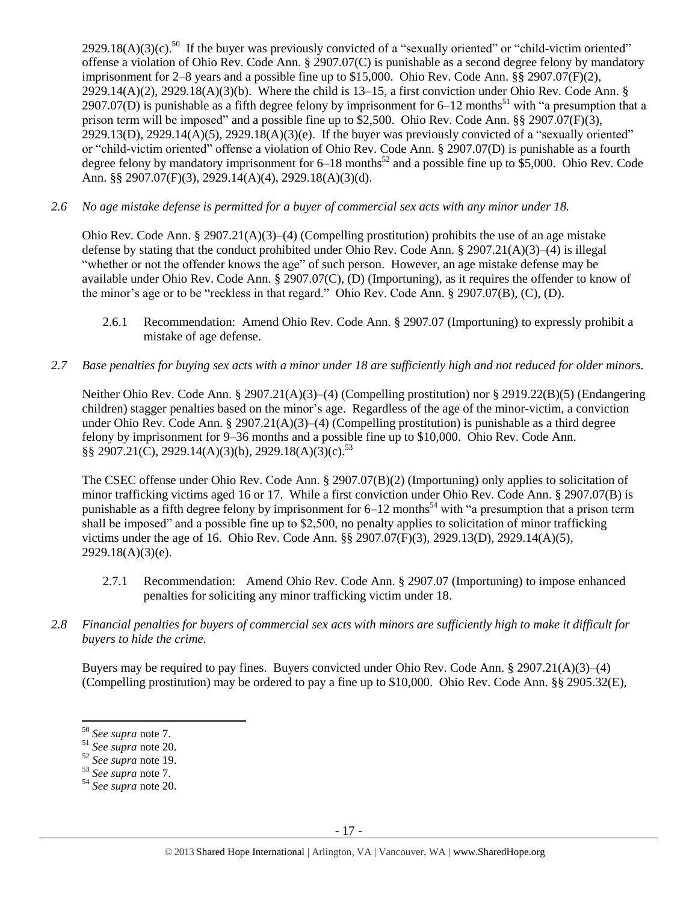$2929.18(A)(3)(c)$ <sup>50</sup> If the buyer was previously convicted of a "sexually oriented" or "child-victim oriented" offense a violation of Ohio Rev. Code Ann. § 2907.07(C) is punishable as a second degree felony by mandatory imprisonment for 2–8 years and a possible fine up to \$15,000. Ohio Rev. Code Ann. §§ 2907.07(F)(2),  $2929.14(A)(2)$ ,  $2929.18(A)(3)(b)$ . Where the child is 13–15, a first conviction under Ohio Rev. Code Ann. § 2907.07(D) is punishable as a fifth degree felony by imprisonment for  $6-12$  months<sup>51</sup> with "a presumption that a prison term will be imposed" and a possible fine up to \$2,500. Ohio Rev. Code Ann. §§ 2907.07(F)(3), 2929.13(D), 2929.14(A)(5), 2929.18(A)(3)(e). If the buyer was previously convicted of a "sexually oriented" or "child-victim oriented" offense a violation of Ohio Rev. Code Ann. § 2907.07(D) is punishable as a fourth degree felony by mandatory imprisonment for  $6-18$  months<sup>52</sup> and a possible fine up to \$5,000. Ohio Rev. Code Ann. §§ 2907.07(F)(3), 2929.14(A)(4), 2929.18(A)(3)(d).

*2.6 No age mistake defense is permitted for a buyer of commercial sex acts with any minor under 18.*

Ohio Rev. Code Ann. § 2907.21(A)(3)–(4) (Compelling prostitution) prohibits the use of an age mistake defense by stating that the conduct prohibited under Ohio Rev. Code Ann. § 2907.21(A)(3)–(4) is illegal "whether or not the offender knows the age" of such person. However, an age mistake defense may be available under Ohio Rev. Code Ann. § 2907.07(C), (D) (Importuning), as it requires the offender to know of the minor's age or to be "reckless in that regard." Ohio Rev. Code Ann. § 2907.07(B), (C), (D).

- 2.6.1 Recommendation: Amend Ohio Rev. Code Ann. § 2907.07 (Importuning) to expressly prohibit a mistake of age defense.
- *2.7 Base penalties for buying sex acts with a minor under 18 are sufficiently high and not reduced for older minors.*

Neither Ohio Rev. Code Ann. § 2907.21(A)(3)–(4) (Compelling prostitution) nor § 2919.22(B)(5) (Endangering children) stagger penalties based on the minor's age. Regardless of the age of the minor-victim, a conviction under Ohio Rev. Code Ann. § 2907.21(A)(3)–(4) (Compelling prostitution) is punishable as a third degree felony by imprisonment for 9–36 months and a possible fine up to \$10,000. Ohio Rev. Code Ann. §§ 2907.21(C), 2929.14(A)(3)(b), 2929.18(A)(3)(c).<sup>53</sup>

The CSEC offense under Ohio Rev. Code Ann. § 2907.07(B)(2) (Importuning) only applies to solicitation of minor trafficking victims aged 16 or 17. While a first conviction under Ohio Rev. Code Ann. § 2907.07(B) is punishable as a fifth degree felony by imprisonment for  $6-12$  months<sup>54</sup> with "a presumption that a prison term shall be imposed" and a possible fine up to \$2,500, no penalty applies to solicitation of minor trafficking victims under the age of 16. Ohio Rev. Code Ann. §§ 2907.07(F)(3), 2929.13(D), 2929.14(A)(5), 2929.18(A)(3)(e).

- 2.7.1 Recommendation: Amend Ohio Rev. Code Ann. § 2907.07 (Importuning) to impose enhanced penalties for soliciting any minor trafficking victim under 18.
- *2.8 Financial penalties for buyers of commercial sex acts with minors are sufficiently high to make it difficult for buyers to hide the crime.*

Buyers may be required to pay fines. Buyers convicted under Ohio Rev. Code Ann. § 2907.21(A)(3)–(4) (Compelling prostitution) may be ordered to pay a fine up to \$10,000. Ohio Rev. Code Ann. §§ 2905.32(E),

 $\overline{a}$ <sup>50</sup> *See supra* note [7.](#page-1-1)

<sup>51</sup> *See supra* note [20.](#page-6-0)

<sup>52</sup> *See supra* note [19.](#page-6-1)

<sup>53</sup> *See supra* note [7.](#page-1-1)

<sup>54</sup> *See supra* note [20.](#page-6-0)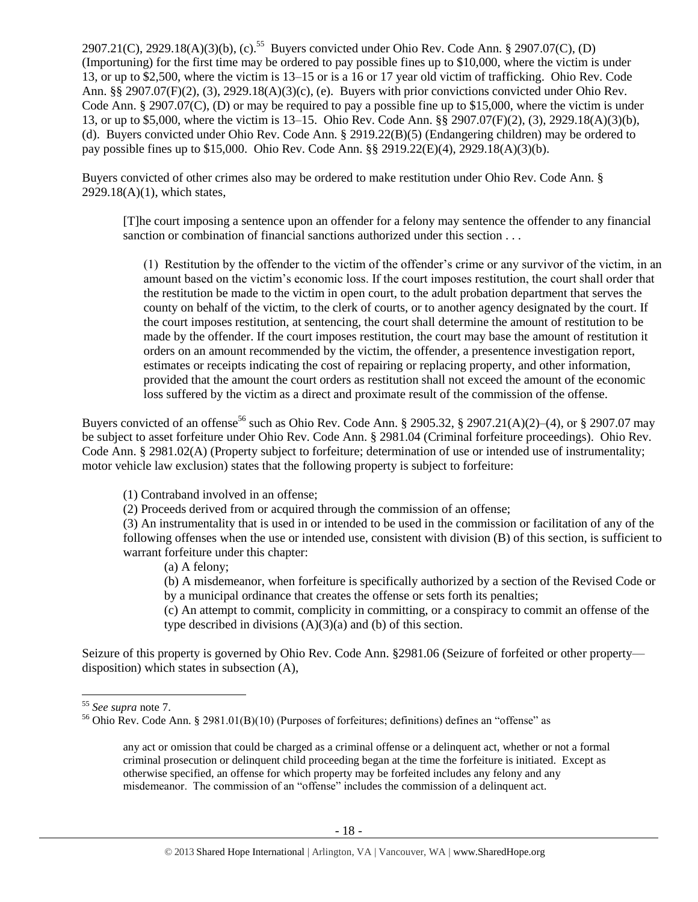2907.21(C), 2929.18(A)(3)(b), (c).<sup>55</sup> Buyers convicted under Ohio Rev. Code Ann. § 2907.07(C), (D) (Importuning) for the first time may be ordered to pay possible fines up to \$10,000, where the victim is under 13, or up to \$2,500, where the victim is 13–15 or is a 16 or 17 year old victim of trafficking. Ohio Rev. Code Ann. §§ 2907.07(F)(2), (3), 2929.18(A)(3)(c), (e). Buyers with prior convictions convicted under Ohio Rev. Code Ann. § 2907.07(C), (D) or may be required to pay a possible fine up to \$15,000, where the victim is under 13, or up to \$5,000, where the victim is 13–15. Ohio Rev. Code Ann. §§ 2907.07(F)(2), (3), 2929.18(A)(3)(b), (d). Buyers convicted under Ohio Rev. Code Ann. § 2919.22(B)(5) (Endangering children) may be ordered to pay possible fines up to \$15,000. Ohio Rev. Code Ann. §§ 2919.22(E)(4), 2929.18(A)(3)(b).

Buyers convicted of other crimes also may be ordered to make restitution under Ohio Rev. Code Ann. § 2929.18(A)(1), which states,

[T]he court imposing a sentence upon an offender for a felony may sentence the offender to any financial sanction or combination of financial sanctions authorized under this section . . .

(1) Restitution by the offender to the victim of the offender's crime or any survivor of the victim, in an amount based on the victim's economic loss. If the court imposes restitution, the court shall order that the restitution be made to the victim in open court, to the adult probation department that serves the county on behalf of the victim, to the clerk of courts, or to another agency designated by the court. If the court imposes restitution, at sentencing, the court shall determine the amount of restitution to be made by the offender. If the court imposes restitution, the court may base the amount of restitution it orders on an amount recommended by the victim, the offender, a presentence investigation report, estimates or receipts indicating the cost of repairing or replacing property, and other information, provided that the amount the court orders as restitution shall not exceed the amount of the economic loss suffered by the victim as a direct and proximate result of the commission of the offense.

Buyers convicted of an offense<sup>56</sup> such as Ohio Rev. Code Ann. § 2905.32, § 2907.21(A)(2)–(4), or § 2907.07 may be subject to asset forfeiture under Ohio Rev. Code Ann. § 2981.04 (Criminal forfeiture proceedings). Ohio Rev. Code Ann. § 2981.02(A) (Property subject to forfeiture; determination of use or intended use of instrumentality; motor vehicle law exclusion) states that the following property is subject to forfeiture:

<span id="page-17-0"></span>(1) Contraband involved in an offense;

(2) Proceeds derived from or acquired through the commission of an offense;

(3) An instrumentality that is used in or intended to be used in the commission or facilitation of any of the following offenses when the use or intended use, consistent with division (B) of this section, is sufficient to warrant forfeiture under this chapter:

(a) A felony;

(b) A misdemeanor, when forfeiture is specifically authorized by a section of the Revised Code or by a municipal ordinance that creates the offense or sets forth its penalties;

(c) An attempt to commit, complicity in committing, or a conspiracy to commit an offense of the type described in divisions  $(A)(3)(a)$  and (b) of this section.

Seizure of this property is governed by Ohio Rev. Code Ann. §2981.06 (Seizure of forfeited or other property disposition) which states in subsection (A),

 $\overline{\phantom{a}}$ 

any act or omission that could be charged as a criminal offense or a delinquent act, whether or not a formal criminal prosecution or delinquent child proceeding began at the time the forfeiture is initiated. Except as otherwise specified, an offense for which property may be forfeited includes any felony and any misdemeanor. The commission of an "offense" includes the commission of a delinquent act.

<sup>55</sup> *See supra* note [7.](#page-1-1)

<sup>56</sup> Ohio Rev. Code Ann. § 2981.01(B)(10) (Purposes of forfeitures; definitions) defines an "offense" as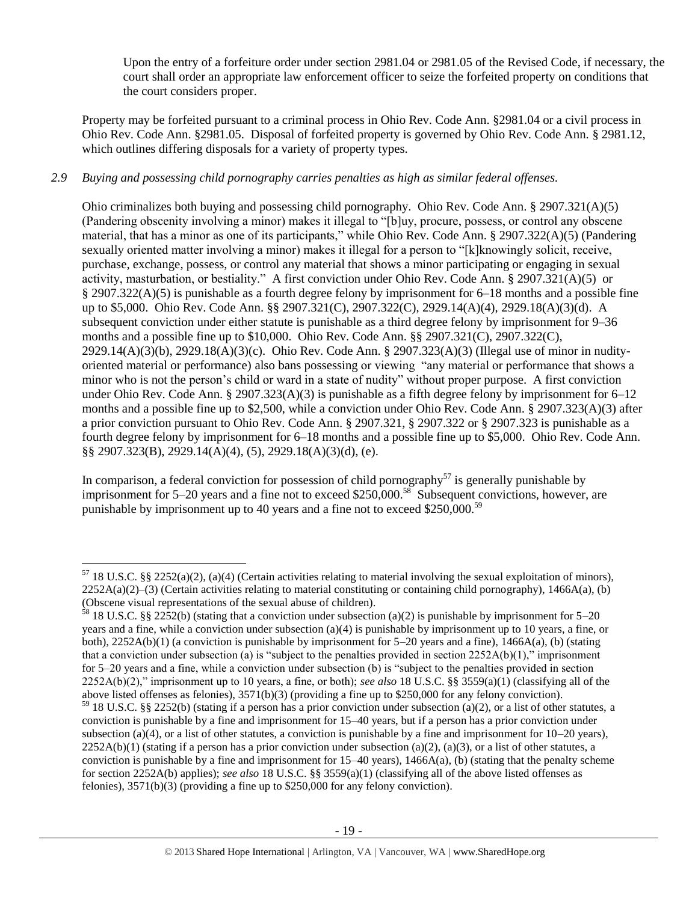Upon the entry of a forfeiture order under section 2981.04 or 2981.05 of the Revised Code, if necessary, the court shall order an appropriate law enforcement officer to seize the forfeited property on conditions that the court considers proper.

Property may be forfeited pursuant to a criminal process in Ohio Rev. Code Ann. §2981.04 or a civil process in Ohio Rev. Code Ann. §2981.05. Disposal of forfeited property is governed by Ohio Rev. Code Ann. § 2981.12, which outlines differing disposals for a variety of property types.

# *2.9 Buying and possessing child pornography carries penalties as high as similar federal offenses.*

Ohio criminalizes both buying and possessing child pornography. Ohio Rev. Code Ann. § 2907.321(A)(5) (Pandering obscenity involving a minor) makes it illegal to "[b]uy, procure, possess, or control any obscene material, that has a minor as one of its participants," while Ohio Rev. Code Ann. § 2907.322(A)(5) (Pandering sexually oriented matter involving a minor) makes it illegal for a person to "[k]knowingly solicit, receive, purchase, exchange, possess, or control any material that shows a minor participating or engaging in sexual activity, masturbation, or bestiality." A first conviction under Ohio Rev. Code Ann. § 2907.321(A)(5) or § 2907.322(A)(5) is punishable as a fourth degree felony by imprisonment for 6–18 months and a possible fine up to \$5,000. Ohio Rev. Code Ann. §§ 2907.321(C), 2907.322(C), 2929.14(A)(4), 2929.18(A)(3)(d). A subsequent conviction under either statute is punishable as a third degree felony by imprisonment for 9–36 months and a possible fine up to \$10,000. Ohio Rev. Code Ann. §§ 2907.321(C), 2907.322(C), 2929.14(A)(3)(b), 2929.18(A)(3)(c). Ohio Rev. Code Ann. § 2907.323(A)(3) (Illegal use of minor in nudityoriented material or performance) also bans possessing or viewing "any material or performance that shows a minor who is not the person's child or ward in a state of nudity" without proper purpose. A first conviction under Ohio Rev. Code Ann. § 2907.323(A)(3) is punishable as a fifth degree felony by imprisonment for 6–12 months and a possible fine up to \$2,500, while a conviction under Ohio Rev. Code Ann. § 2907.323(A)(3) after a prior conviction pursuant to Ohio Rev. Code Ann. § 2907.321, § 2907.322 or § 2907.323 is punishable as a fourth degree felony by imprisonment for 6–18 months and a possible fine up to \$5,000. Ohio Rev. Code Ann. §§ 2907.323(B), 2929.14(A)(4), (5), 2929.18(A)(3)(d), (e).

In comparison, a federal conviction for possession of child pornography<sup>57</sup> is generally punishable by imprisonment for 5–20 years and a fine not to exceed \$250,000.<sup>58</sup> Subsequent convictions, however, are punishable by imprisonment up to 40 years and a fine not to exceed \$250,000.<sup>59</sup>

 $\overline{\phantom{a}}$  $57$  18 U.S.C. §§ 2252(a)(2), (a)(4) (Certain activities relating to material involving the sexual exploitation of minors),  $2252A(a)(2)$ –(3) (Certain activities relating to material constituting or containing child pornography), 1466A(a), (b) (Obscene visual representations of the sexual abuse of children).

 $\frac{58}{58}$  18 U.S.C. §§ 2252(b) (stating that a conviction under subsection (a)(2) is punishable by imprisonment for 5–20 years and a fine, while a conviction under subsection (a)(4) is punishable by imprisonment up to 10 years, a fine, or both),  $2252A(b)(1)$  (a conviction is punishable by imprisonment for  $5-20$  years and a fine),  $1466A(a)$ , (b) (stating that a conviction under subsection (a) is "subject to the penalties provided in section  $2252A(b)(1)$ ," imprisonment for 5–20 years and a fine, while a conviction under subsection (b) is "subject to the penalties provided in section 2252A(b)(2)," imprisonment up to 10 years, a fine, or both); *see also* 18 U.S.C. §§ 3559(a)(1) (classifying all of the above listed offenses as felonies), 3571(b)(3) (providing a fine up to \$250,000 for any felony conviction).  $^{59}$  18 U.S.C. §§ 2252(b) (stating if a person has a prior conviction under subsection (a)(2), or a list of other statutes, a conviction is punishable by a fine and imprisonment for 15–40 years, but if a person has a prior conviction under subsection (a)(4), or a list of other statutes, a conviction is punishable by a fine and imprisonment for  $10-20$  years),  $2252A(b)(1)$  (stating if a person has a prior conviction under subsection (a)(2), (a)(3), or a list of other statutes, a conviction is punishable by a fine and imprisonment for  $15-40$  years),  $1466A(a)$ , (b) (stating that the penalty scheme for section 2252A(b) applies); *see also* 18 U.S.C. §§ 3559(a)(1) (classifying all of the above listed offenses as felonies), 3571(b)(3) (providing a fine up to \$250,000 for any felony conviction).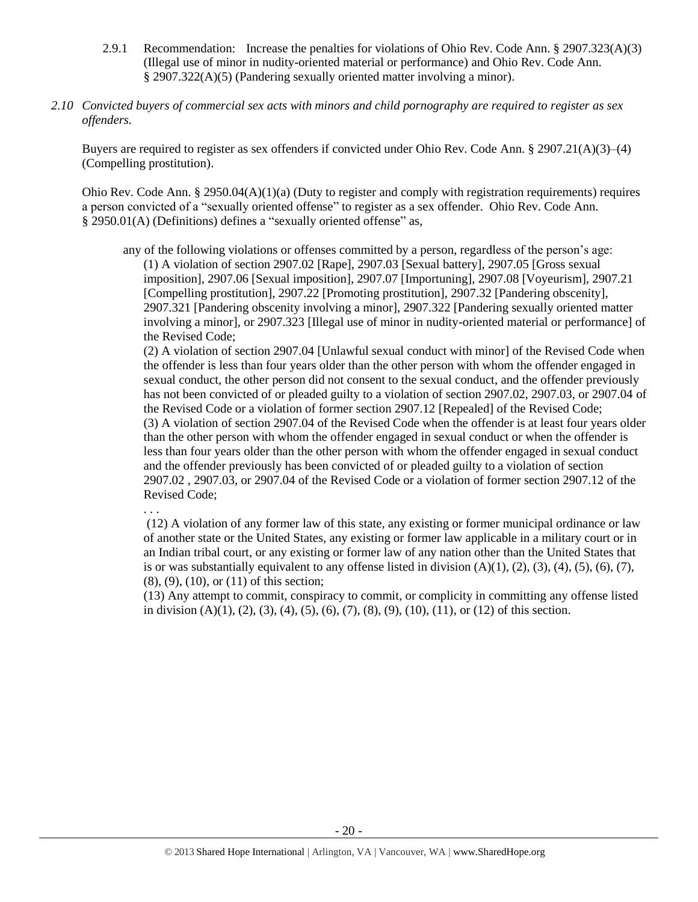- 2.9.1 Recommendation: Increase the penalties for violations of Ohio Rev. Code Ann. § 2907.323(A)(3) (Illegal use of minor in nudity-oriented material or performance) and Ohio Rev. Code Ann. § 2907.322(A)(5) (Pandering sexually oriented matter involving a minor).
- *2.10 Convicted buyers of commercial sex acts with minors and child pornography are required to register as sex offenders.*

Buyers are required to register as sex offenders if convicted under Ohio Rev. Code Ann. § 2907.21(A)(3)–(4) (Compelling prostitution).

Ohio Rev. Code Ann. § 2950.04(A)(1)(a) (Duty to register and comply with registration requirements) requires a person convicted of a "sexually oriented offense" to register as a sex offender. Ohio Rev. Code Ann. § 2950.01(A) (Definitions) defines a "sexually oriented offense" as,

any of the following violations or offenses committed by a person, regardless of the person's age: (1) A violation of section 2907.02 [Rape], 2907.03 [Sexual battery], 2907.05 [Gross sexual imposition], 2907.06 [Sexual imposition], 2907.07 [Importuning], 2907.08 [Voyeurism], 2907.21 [Compelling prostitution], 2907.22 [Promoting prostitution], 2907.32 [Pandering obscenity], 2907.321 [Pandering obscenity involving a minor], 2907.322 [Pandering sexually oriented matter involving a minor], or 2907.323 [Illegal use of minor in nudity-oriented material or performance] of the Revised Code;

(2) A violation of section 2907.04 [Unlawful sexual conduct with minor] of the Revised Code when the offender is less than four years older than the other person with whom the offender engaged in sexual conduct, the other person did not consent to the sexual conduct, and the offender previously has not been convicted of or pleaded guilty to a violation of section 2907.02, 2907.03, or 2907.04 of the Revised Code or a violation of former section 2907.12 [Repealed] of the Revised Code; (3) A violation of section 2907.04 of the Revised Code when the offender is at least four years older than the other person with whom the offender engaged in sexual conduct or when the offender is less than four years older than the other person with whom the offender engaged in sexual conduct and the offender previously has been convicted of or pleaded guilty to a violation of section 2907.02 , 2907.03, or 2907.04 of the Revised Code or a violation of former section 2907.12 of the Revised Code;

. . .

(12) A violation of any former law of this state, any existing or former municipal ordinance or law of another state or the United States, any existing or former law applicable in a military court or in an Indian tribal court, or any existing or former law of any nation other than the United States that is or was substantially equivalent to any offense listed in division  $(A)(1), (2), (3), (4), (5), (6), (7),$ (8), (9), (10), or (11) of this section;

(13) Any attempt to commit, conspiracy to commit, or complicity in committing any offense listed in division  $(A)(1)$ ,  $(2)$ ,  $(3)$ ,  $(4)$ ,  $(5)$ ,  $(6)$ ,  $(7)$ ,  $(8)$ ,  $(9)$ ,  $(10)$ ,  $(11)$ , or  $(12)$  of this section.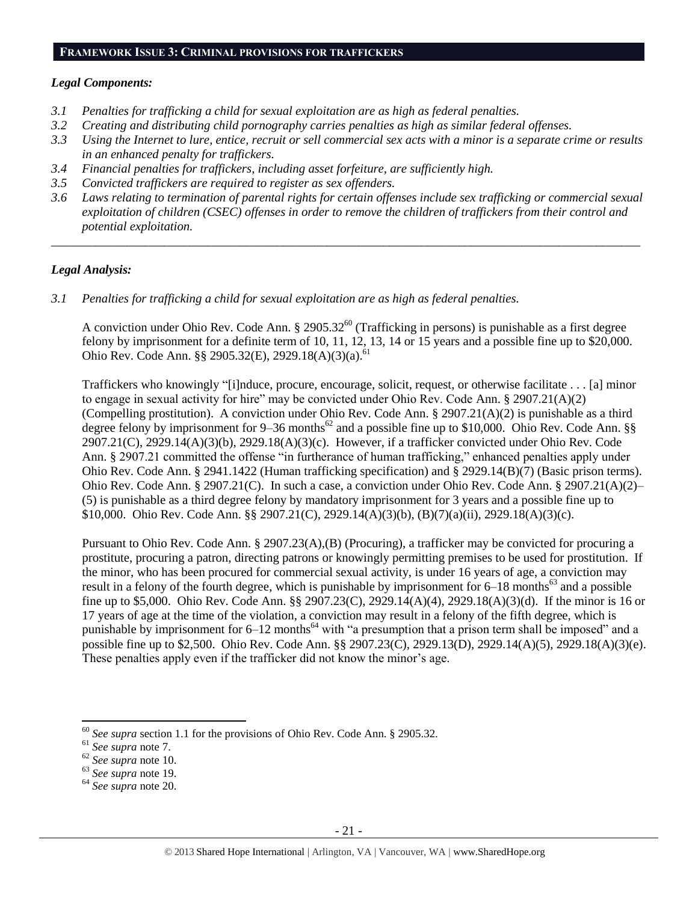#### **FRAMEWORK ISSUE 3: CRIMINAL PROVISIONS FOR TRAFFICKERS**

## *Legal Components:*

- *3.1 Penalties for trafficking a child for sexual exploitation are as high as federal penalties.*
- *3.2 Creating and distributing child pornography carries penalties as high as similar federal offenses.*
- *3.3 Using the Internet to lure, entice, recruit or sell commercial sex acts with a minor is a separate crime or results in an enhanced penalty for traffickers.*
- *3.4 Financial penalties for traffickers, including asset forfeiture, are sufficiently high.*
- *3.5 Convicted traffickers are required to register as sex offenders.*
- *3.6 Laws relating to termination of parental rights for certain offenses include sex trafficking or commercial sexual exploitation of children (CSEC) offenses in order to remove the children of traffickers from their control and potential exploitation.*

*\_\_\_\_\_\_\_\_\_\_\_\_\_\_\_\_\_\_\_\_\_\_\_\_\_\_\_\_\_\_\_\_\_\_\_\_\_\_\_\_\_\_\_\_\_\_\_\_\_\_\_\_\_\_\_\_\_\_\_\_\_\_\_\_\_\_\_\_\_\_\_\_\_\_\_\_\_\_\_\_\_\_\_\_\_\_\_\_\_\_\_\_\_\_*

## *Legal Analysis:*

*3.1 Penalties for trafficking a child for sexual exploitation are as high as federal penalties.* 

A conviction under Ohio Rev. Code Ann. § 2905.32 $^{60}$  (Trafficking in persons) is punishable as a first degree felony by imprisonment for a definite term of 10, 11, 12, 13, 14 or 15 years and a possible fine up to \$20,000. Ohio Rev. Code Ann. §§ 2905.32(E), 2929.18(A)(3)(a).<sup>61</sup>

Traffickers who knowingly "[i]nduce, procure, encourage, solicit, request, or otherwise facilitate . . . [a] minor to engage in sexual activity for hire" may be convicted under Ohio Rev. Code Ann. § 2907.21(A)(2) (Compelling prostitution). A conviction under Ohio Rev. Code Ann. § 2907.21(A)(2) is punishable as a third degree felony by imprisonment for 9–36 months<sup>62</sup> and a possible fine up to \$10,000. Ohio Rev. Code Ann. §§ 2907.21(C), 2929.14(A)(3)(b), 2929.18(A)(3)(c). However, if a trafficker convicted under Ohio Rev. Code Ann. § 2907.21 committed the offense "in furtherance of human trafficking," enhanced penalties apply under Ohio Rev. Code Ann. § 2941.1422 (Human trafficking specification) and § 2929.14(B)(7) (Basic prison terms). Ohio Rev. Code Ann. § 2907.21(C). In such a case, a conviction under Ohio Rev. Code Ann. § 2907.21(A)(2)– (5) is punishable as a third degree felony by mandatory imprisonment for 3 years and a possible fine up to \$10,000. Ohio Rev. Code Ann. §§ 2907.21(C), 2929.14(A)(3)(b), (B)(7)(a)(ii), 2929.18(A)(3)(c).

Pursuant to Ohio Rev. Code Ann. § 2907.23(A),(B) (Procuring), a trafficker may be convicted for procuring a prostitute, procuring a patron, directing patrons or knowingly permitting premises to be used for prostitution. If the minor, who has been procured for commercial sexual activity, is under 16 years of age, a conviction may result in a felony of the fourth degree, which is punishable by imprisonment for 6–18 months<sup>63</sup> and a possible fine up to \$5,000. Ohio Rev. Code Ann. §§ 2907.23(C), 2929.14(A)(4), 2929.18(A)(3)(d). If the minor is 16 or 17 years of age at the time of the violation, a conviction may result in a felony of the fifth degree, which is punishable by imprisonment for 6–12 months<sup>64</sup> with "a presumption that a prison term shall be imposed" and a possible fine up to \$2,500. Ohio Rev. Code Ann. §§ 2907.23(C), 2929.13(D), 2929.14(A)(5), 2929.18(A)(3)(e). These penalties apply even if the trafficker did not know the minor's age.

 $\overline{a}$ 

<sup>60</sup> *See supra* section 1.1 for the provisions of Ohio Rev. Code Ann. § 2905.32.

<sup>61</sup> *See supra* note [7.](#page-1-1)

<sup>62</sup> *See supra* note [10.](#page-3-1)

<sup>63</sup> *See supra* note [19.](#page-6-1)

<sup>64</sup> *See supra* note [20.](#page-6-0)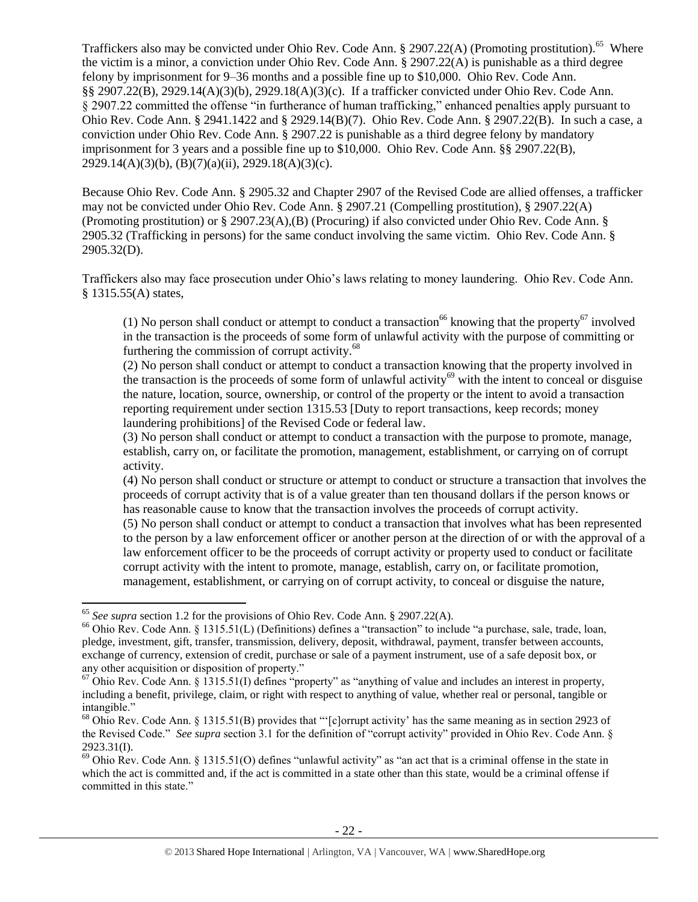Traffickers also may be convicted under Ohio Rev. Code Ann. § 2907.22(A) (Promoting prostitution).<sup>65</sup> Where the victim is a minor, a conviction under Ohio Rev. Code Ann. § 2907.22(A) is punishable as a third degree felony by imprisonment for 9–36 months and a possible fine up to \$10,000. Ohio Rev. Code Ann. §§ 2907.22(B), 2929.14(A)(3)(b), 2929.18(A)(3)(c). If a trafficker convicted under Ohio Rev. Code Ann. § 2907.22 committed the offense "in furtherance of human trafficking," enhanced penalties apply pursuant to Ohio Rev. Code Ann. § 2941.1422 and § 2929.14(B)(7). Ohio Rev. Code Ann. § 2907.22(B). In such a case, a conviction under Ohio Rev. Code Ann. § 2907.22 is punishable as a third degree felony by mandatory imprisonment for 3 years and a possible fine up to \$10,000. Ohio Rev. Code Ann. §§ 2907.22(B), 2929.14(A)(3)(b), (B)(7)(a)(ii), 2929.18(A)(3)(c).

Because Ohio Rev. Code Ann. § 2905.32 and Chapter 2907 of the Revised Code are allied offenses, a trafficker may not be convicted under Ohio Rev. Code Ann. § 2907.21 (Compelling prostitution), § 2907.22(A) (Promoting prostitution) or § 2907.23(A),(B) (Procuring) if also convicted under Ohio Rev. Code Ann. § 2905.32 (Trafficking in persons) for the same conduct involving the same victim. Ohio Rev. Code Ann. § 2905.32(D).

Traffickers also may face prosecution under Ohio's laws relating to money laundering. Ohio Rev. Code Ann. § 1315.55(A) states,

(1) No person shall conduct or attempt to conduct a transaction<sup>66</sup> knowing that the property<sup>67</sup> involved in the transaction is the proceeds of some form of unlawful activity with the purpose of committing or furthering the commission of corrupt activity. $^{68}$ 

(2) No person shall conduct or attempt to conduct a transaction knowing that the property involved in the transaction is the proceeds of some form of unlawful activity<sup>69</sup> with the intent to conceal or disguise the nature, location, source, ownership, or control of the property or the intent to avoid a transaction reporting requirement under section 1315.53 [Duty to report transactions, keep records; money laundering prohibitions] of the Revised Code or federal law.

(3) No person shall conduct or attempt to conduct a transaction with the purpose to promote, manage, establish, carry on, or facilitate the promotion, management, establishment, or carrying on of corrupt activity.

(4) No person shall conduct or structure or attempt to conduct or structure a transaction that involves the proceeds of corrupt activity that is of a value greater than ten thousand dollars if the person knows or has reasonable cause to know that the transaction involves the proceeds of corrupt activity.

(5) No person shall conduct or attempt to conduct a transaction that involves what has been represented to the person by a law enforcement officer or another person at the direction of or with the approval of a law enforcement officer to be the proceeds of corrupt activity or property used to conduct or facilitate corrupt activity with the intent to promote, manage, establish, carry on, or facilitate promotion, management, establishment, or carrying on of corrupt activity, to conceal or disguise the nature,

 $\overline{a}$ 

<sup>&</sup>lt;sup>65</sup> See supra section 1.2 for the provisions of Ohio Rev. Code Ann. § 2907.22(A).

<sup>&</sup>lt;sup>66</sup> Ohio Rev. Code Ann. § 1315.51(L) (Definitions) defines a "transaction" to include "a purchase, sale, trade, loan, pledge, investment, gift, transfer, transmission, delivery, deposit, withdrawal, payment, transfer between accounts, exchange of currency, extension of credit, purchase or sale of a payment instrument, use of a safe deposit box, or any other acquisition or disposition of property."

 $67$  Ohio Rev. Code Ann. § 1315.51(I) defines "property" as "anything of value and includes an interest in property, including a benefit, privilege, claim, or right with respect to anything of value, whether real or personal, tangible or intangible."

<sup>&</sup>lt;sup>68</sup> Ohio Rev. Code Ann. § 1315.51(B) provides that "'[c]orrupt activity' has the same meaning as in section 2923 of the Revised Code." *See supra* section 3.1 for the definition of "corrupt activity" provided in Ohio Rev. Code Ann. § 2923.31(I).

 $69$  Ohio Rev. Code Ann. § 1315.51(O) defines "unlawful activity" as "an act that is a criminal offense in the state in which the act is committed and, if the act is committed in a state other than this state, would be a criminal offense if committed in this state."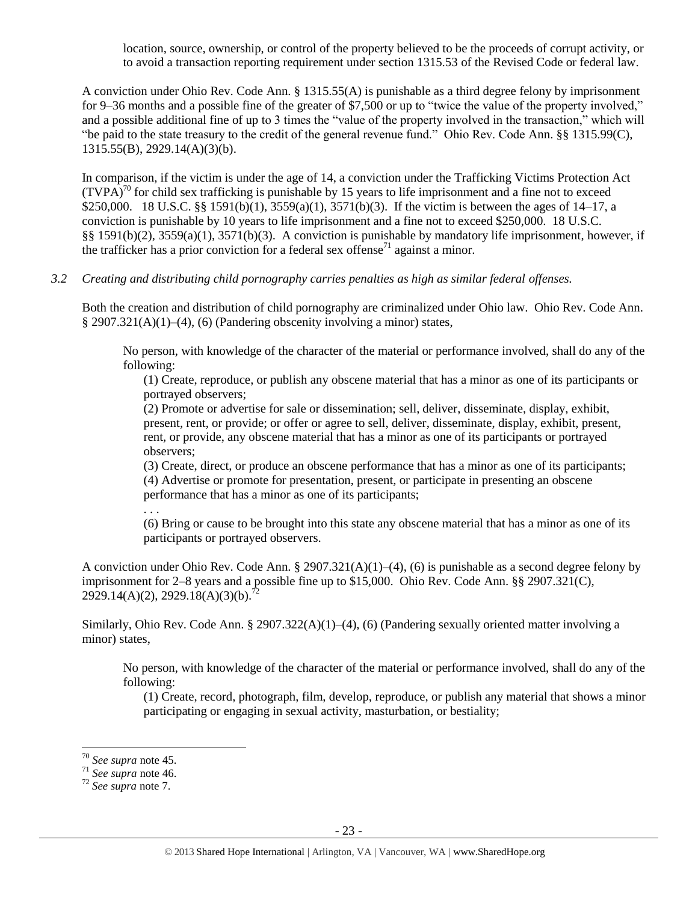location, source, ownership, or control of the property believed to be the proceeds of corrupt activity, or to avoid a transaction reporting requirement under section 1315.53 of the Revised Code or federal law.

A conviction under Ohio Rev. Code Ann. § 1315.55(A) is punishable as a third degree felony by imprisonment for 9–36 months and a possible fine of the greater of \$7,500 or up to "twice the value of the property involved," and a possible additional fine of up to 3 times the "value of the property involved in the transaction," which will "be paid to the state treasury to the credit of the general revenue fund." Ohio Rev. Code Ann. §§ 1315.99(C), 1315.55(B), 2929.14(A)(3)(b).

In comparison, if the victim is under the age of 14, a conviction under the Trafficking Victims Protection Act  $(TVPA)^{70}$  for child sex trafficking is punishable by 15 years to life imprisonment and a fine not to exceed \$250,000. 18 U.S.C. §§ 1591(b)(1), 3559(a)(1), 3571(b)(3). If the victim is between the ages of 14–17, a conviction is punishable by 10 years to life imprisonment and a fine not to exceed \$250,000. 18 U.S.C. §§ 1591(b)(2), 3559(a)(1), 3571(b)(3). A conviction is punishable by mandatory life imprisonment, however, if the trafficker has a prior conviction for a federal sex offense<sup> $71$ </sup> against a minor.

# *3.2 Creating and distributing child pornography carries penalties as high as similar federal offenses.*

Both the creation and distribution of child pornography are criminalized under Ohio law. Ohio Rev. Code Ann. § 2907.321(A)(1)–(4), (6) (Pandering obscenity involving a minor) states,

No person, with knowledge of the character of the material or performance involved, shall do any of the following:

(1) Create, reproduce, or publish any obscene material that has a minor as one of its participants or portrayed observers;

(2) Promote or advertise for sale or dissemination; sell, deliver, disseminate, display, exhibit, present, rent, or provide; or offer or agree to sell, deliver, disseminate, display, exhibit, present, rent, or provide, any obscene material that has a minor as one of its participants or portrayed observers;

(3) Create, direct, or produce an obscene performance that has a minor as one of its participants; (4) Advertise or promote for presentation, present, or participate in presenting an obscene performance that has a minor as one of its participants;

. . .

(6) Bring or cause to be brought into this state any obscene material that has a minor as one of its participants or portrayed observers.

A conviction under Ohio Rev. Code Ann. § 2907.321(A)(1)–(4), (6) is punishable as a second degree felony by imprisonment for 2–8 years and a possible fine up to \$15,000. Ohio Rev. Code Ann. §§ 2907.321(C), 2929.14(A)(2), 2929.18(A)(3)(b).<sup>72</sup>

Similarly, Ohio Rev. Code Ann. § 2907.322(A)(1)–(4), (6) (Pandering sexually oriented matter involving a minor) states,

No person, with knowledge of the character of the material or performance involved, shall do any of the following:

(1) Create, record, photograph, film, develop, reproduce, or publish any material that shows a minor participating or engaging in sexual activity, masturbation, or bestiality;

 $\overline{\phantom{a}}$ 

<sup>70</sup> *See supra* note [45.](#page-15-0)

<sup>71</sup> *See supra* note [46.](#page-15-1) 

<sup>72</sup> *See supra* note [7.](#page-1-1)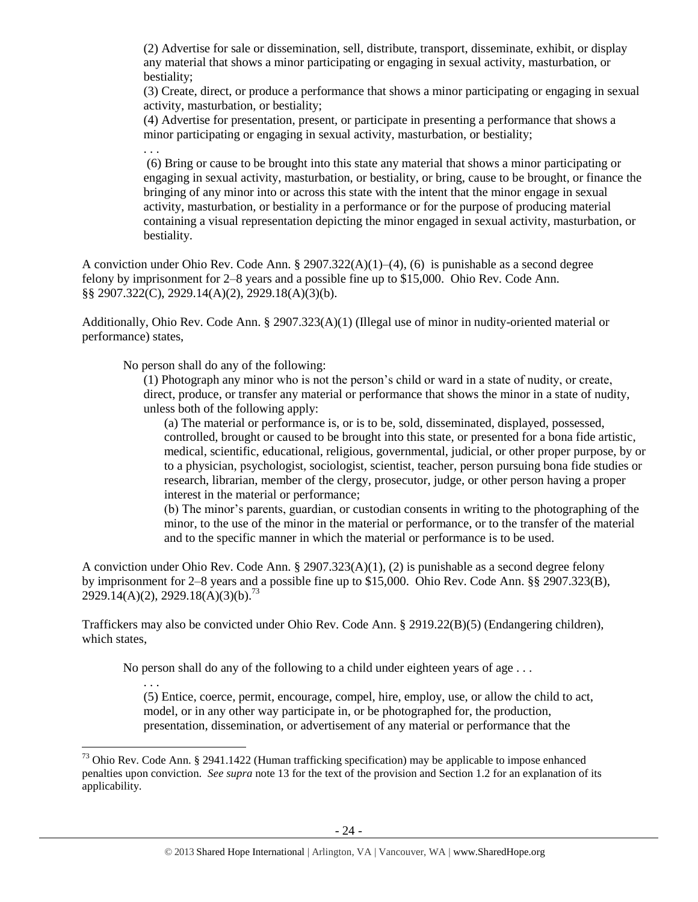(2) Advertise for sale or dissemination, sell, distribute, transport, disseminate, exhibit, or display any material that shows a minor participating or engaging in sexual activity, masturbation, or bestiality;

(3) Create, direct, or produce a performance that shows a minor participating or engaging in sexual activity, masturbation, or bestiality;

(4) Advertise for presentation, present, or participate in presenting a performance that shows a minor participating or engaging in sexual activity, masturbation, or bestiality;

. . .

(6) Bring or cause to be brought into this state any material that shows a minor participating or engaging in sexual activity, masturbation, or bestiality, or bring, cause to be brought, or finance the bringing of any minor into or across this state with the intent that the minor engage in sexual activity, masturbation, or bestiality in a performance or for the purpose of producing material containing a visual representation depicting the minor engaged in sexual activity, masturbation, or bestiality.

A conviction under Ohio Rev. Code Ann. § 2907.322(A)(1)–(4), (6) is punishable as a second degree felony by imprisonment for 2–8 years and a possible fine up to \$15,000. Ohio Rev. Code Ann. §§ 2907.322(C), 2929.14(A)(2), 2929.18(A)(3)(b).

Additionally, Ohio Rev. Code Ann. § 2907.323(A)(1) (Illegal use of minor in nudity-oriented material or performance) states,

No person shall do any of the following:

(1) Photograph any minor who is not the person's child or ward in a state of nudity, or create, direct, produce, or transfer any material or performance that shows the minor in a state of nudity, unless both of the following apply:

(a) The material or performance is, or is to be, sold, disseminated, displayed, possessed, controlled, brought or caused to be brought into this state, or presented for a bona fide artistic, medical, scientific, educational, religious, governmental, judicial, or other proper purpose, by or to a physician, psychologist, sociologist, scientist, teacher, person pursuing bona fide studies or research, librarian, member of the clergy, prosecutor, judge, or other person having a proper interest in the material or performance;

(b) The minor's parents, guardian, or custodian consents in writing to the photographing of the minor, to the use of the minor in the material or performance, or to the transfer of the material and to the specific manner in which the material or performance is to be used.

A conviction under Ohio Rev. Code Ann. § 2907.323(A)(1), (2) is punishable as a second degree felony by imprisonment for 2–8 years and a possible fine up to \$15,000. Ohio Rev. Code Ann. §§ 2907.323(B),  $2929.14(A)(2), 2929.18(A)(3)(b).^{73}$ 

Traffickers may also be convicted under Ohio Rev. Code Ann. § 2919.22(B)(5) (Endangering children), which states,

No person shall do any of the following to a child under eighteen years of age . . .

. . . (5) Entice, coerce, permit, encourage, compel, hire, employ, use, or allow the child to act, model, or in any other way participate in, or be photographed for, the production, presentation, dissemination, or advertisement of any material or performance that the

 $\overline{\phantom{a}}$  $^{73}$  Ohio Rev. Code Ann. § 2941.1422 (Human trafficking specification) may be applicable to impose enhanced penalties upon conviction. *See supra* not[e 13](#page-3-2) for the text of the provision and Section 1.2 for an explanation of its applicability.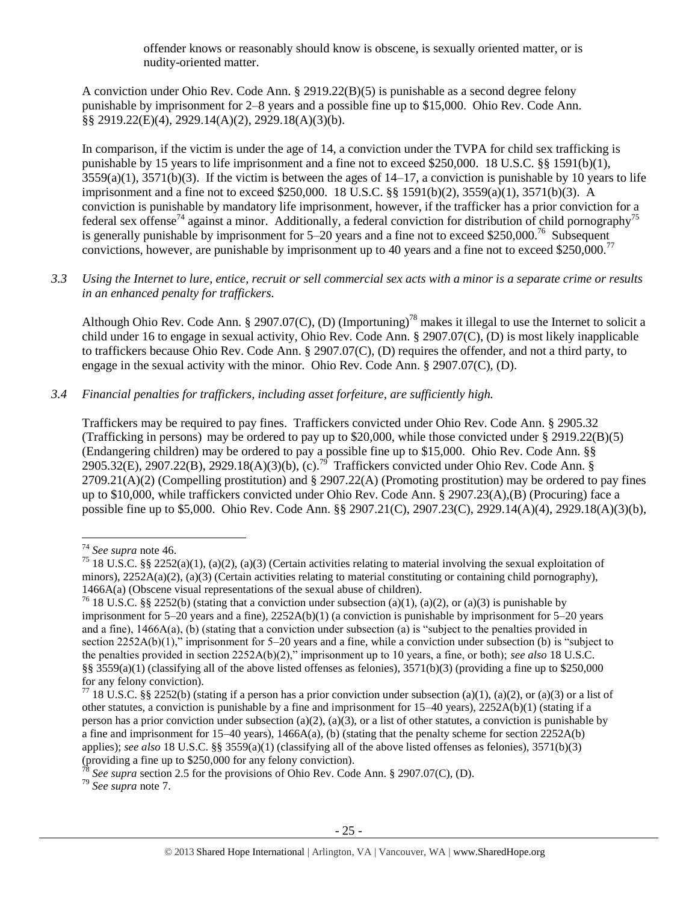offender knows or reasonably should know is obscene, is sexually oriented matter, or is nudity-oriented matter.

A conviction under Ohio Rev. Code Ann. § 2919.22(B)(5) is punishable as a second degree felony punishable by imprisonment for 2–8 years and a possible fine up to \$15,000. Ohio Rev. Code Ann. §§ 2919.22(E)(4), 2929.14(A)(2), 2929.18(A)(3)(b).

In comparison, if the victim is under the age of 14, a conviction under the TVPA for child sex trafficking is punishable by 15 years to life imprisonment and a fine not to exceed \$250,000. 18 U.S.C. §§ 1591(b)(1),  $3559(a)(1)$ ,  $3571(b)(3)$ . If the victim is between the ages of  $14-17$ , a conviction is punishable by 10 years to life imprisonment and a fine not to exceed \$250,000. 18 U.S.C. §§ 1591(b)(2), 3559(a)(1), 3571(b)(3). A conviction is punishable by mandatory life imprisonment, however, if the trafficker has a prior conviction for a federal sex offense<sup>74</sup> against a minor. Additionally, a federal conviction for distribution of child pornography<sup>75</sup> is generally punishable by imprisonment for  $5-20$  years and a fine not to exceed \$250,000.<sup>76</sup> Subsequent convictions, however, are punishable by imprisonment up to 40 years and a fine not to exceed \$250,000.<sup>77</sup>

# *3.3 Using the Internet to lure, entice, recruit or sell commercial sex acts with a minor is a separate crime or results in an enhanced penalty for traffickers.*

Although Ohio Rev. Code Ann. § 2907.07(C), (D) (Importuning)<sup>78</sup> makes it illegal to use the Internet to solicit a child under 16 to engage in sexual activity, Ohio Rev. Code Ann. § 2907.07(C), (D) is most likely inapplicable to traffickers because Ohio Rev. Code Ann. § 2907.07(C), (D) requires the offender, and not a third party, to engage in the sexual activity with the minor. Ohio Rev. Code Ann. § 2907.07(C), (D).

# *3.4 Financial penalties for traffickers, including asset forfeiture, are sufficiently high.*

Traffickers may be required to pay fines. Traffickers convicted under Ohio Rev. Code Ann. § 2905.32 (Trafficking in persons) may be ordered to pay up to \$20,000, while those convicted under § 2919.22(B)(5) (Endangering children) may be ordered to pay a possible fine up to \$15,000. Ohio Rev. Code Ann. §§ 2905.32(E), 2907.22(B), 2929.18(A)(3)(b), (c).<sup>79</sup> Traffickers convicted under Ohio Rev. Code Ann. § 2709.21(A)(2) (Compelling prostitution) and § 2907.22(A) (Promoting prostitution) may be ordered to pay fines up to \$10,000, while traffickers convicted under Ohio Rev. Code Ann. § 2907.23(A),(B) (Procuring) face a possible fine up to \$5,000. Ohio Rev. Code Ann. §§ 2907.21(C), 2907.23(C), 2929.14(A)(4), 2929.18(A)(3)(b),

 $\overline{\phantom{a}}$ 

<sup>79</sup> *See supra* note [7.](#page-1-1)

<sup>74</sup> *See supra* note [46.](#page-15-1)

<sup>&</sup>lt;sup>75</sup> 18 U.S.C. §§ 2252(a)(1), (a)(2), (a)(3) (Certain activities relating to material involving the sexual exploitation of minors), 2252A(a)(2), (a)(3) (Certain activities relating to material constituting or containing child pornography), 1466A(a) (Obscene visual representations of the sexual abuse of children).

<sup>&</sup>lt;sup>76</sup> 18 U.S.C. §§ 2252(b) (stating that a conviction under subsection (a)(1), (a)(2), or (a)(3) is punishable by imprisonment for 5–20 years and a fine), 2252A(b)(1) (a conviction is punishable by imprisonment for 5–20 years and a fine), 1466A(a), (b) (stating that a conviction under subsection (a) is "subject to the penalties provided in section 2252A(b)(1)," imprisonment for 5–20 years and a fine, while a conviction under subsection (b) is "subject to the penalties provided in section 2252A(b)(2)," imprisonment up to 10 years, a fine, or both); *see also* 18 U.S.C. §§ 3559(a)(1) (classifying all of the above listed offenses as felonies),  $3571(b)(3)$  (providing a fine up to \$250,000 for any felony conviction).

<sup>&</sup>lt;sup>77</sup> 18 U.S.C. §§ 2252(b) (stating if a person has a prior conviction under subsection (a)(1), (a)(2), or (a)(3) or a list of other statutes, a conviction is punishable by a fine and imprisonment for 15–40 years), 2252A(b)(1) (stating if a person has a prior conviction under subsection (a)(2), (a)(3), or a list of other statutes, a conviction is punishable by a fine and imprisonment for  $15-40$  years),  $1466A(a)$ , (b) (stating that the penalty scheme for section  $2252A(b)$ applies); *see also* 18 U.S.C. §§ 3559(a)(1) (classifying all of the above listed offenses as felonies), 3571(b)(3) (providing a fine up to \$250,000 for any felony conviction).

See supra section 2.5 for the provisions of Ohio Rev. Code Ann. § 2907.07(C), (D).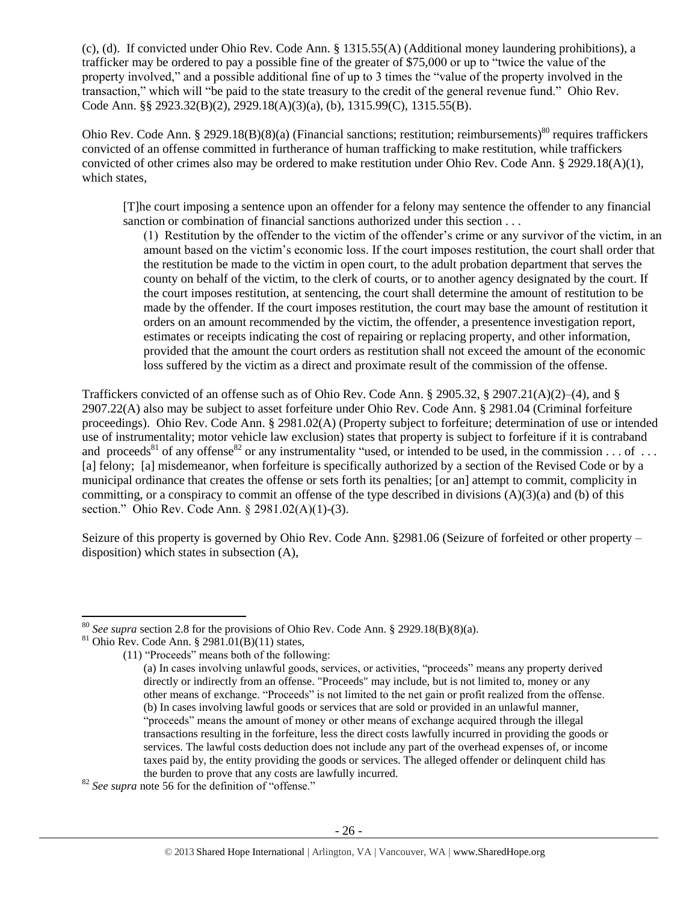(c), (d). If convicted under Ohio Rev. Code Ann. § 1315.55(A) (Additional money laundering prohibitions), a trafficker may be ordered to pay a possible fine of the greater of \$75,000 or up to "twice the value of the property involved," and a possible additional fine of up to 3 times the "value of the property involved in the transaction," which will "be paid to the state treasury to the credit of the general revenue fund." Ohio Rev. Code Ann. §§ 2923.32(B)(2), 2929.18(A)(3)(a), (b), 1315.99(C), 1315.55(B).

Ohio Rev. Code Ann. § 2929.18(B)(8)(a) (Financial sanctions; restitution; reimbursements)<sup>80</sup> requires traffickers convicted of an offense committed in furtherance of human trafficking to make restitution, while traffickers convicted of other crimes also may be ordered to make restitution under Ohio Rev. Code Ann. § 2929.18(A)(1), which states,

[T]he court imposing a sentence upon an offender for a felony may sentence the offender to any financial sanction or combination of financial sanctions authorized under this section . . .

(1) Restitution by the offender to the victim of the offender's crime or any survivor of the victim, in an amount based on the victim's economic loss. If the court imposes restitution, the court shall order that the restitution be made to the victim in open court, to the adult probation department that serves the county on behalf of the victim, to the clerk of courts, or to another agency designated by the court. If the court imposes restitution, at sentencing, the court shall determine the amount of restitution to be made by the offender. If the court imposes restitution, the court may base the amount of restitution it orders on an amount recommended by the victim, the offender, a presentence investigation report, estimates or receipts indicating the cost of repairing or replacing property, and other information, provided that the amount the court orders as restitution shall not exceed the amount of the economic loss suffered by the victim as a direct and proximate result of the commission of the offense.

<span id="page-25-0"></span>Traffickers convicted of an offense such as of Ohio Rev. Code Ann. § 2905.32, § 2907.21(A)(2)–(4), and § 2907.22(A) also may be subject to asset forfeiture under Ohio Rev. Code Ann. § 2981.04 (Criminal forfeiture proceedings). Ohio Rev. Code Ann. § 2981.02(A) (Property subject to forfeiture; determination of use or intended use of instrumentality; motor vehicle law exclusion) states that property is subject to forfeiture if it is contraband and proceeds<sup>81</sup> of any offense<sup>82</sup> or any instrumentality "used, or intended to be used, in the commission . . . of . . . [a] felony; [a] misdemeanor, when forfeiture is specifically authorized by a section of the Revised Code or by a municipal ordinance that creates the offense or sets forth its penalties; [or an] attempt to commit, complicity in committing, or a conspiracy to commit an offense of the type described in divisions (A)(3)(a) and (b) of this section." Ohio Rev. Code Ann. § 2981.02(A)(1)-(3).

Seizure of this property is governed by Ohio Rev. Code Ann. §2981.06 (Seizure of forfeited or other property – disposition) which states in subsection (A),

 $\overline{\phantom{a}}$ 

<sup>80</sup> *See supra* section 2.8 for the provisions of Ohio Rev. Code Ann. § 2929.18(B)(8)(a).

 $81$  Ohio Rev. Code Ann. § 2981.01(B)(11) states,

<sup>(11)</sup> "Proceeds" means both of the following:

<sup>(</sup>a) In cases involving unlawful goods, services, or activities, "proceeds" means any property derived directly or indirectly from an offense. "Proceeds" may include, but is not limited to, money or any other means of exchange. "Proceeds" is not limited to the net gain or profit realized from the offense. (b) In cases involving lawful goods or services that are sold or provided in an unlawful manner, "proceeds" means the amount of money or other means of exchange acquired through the illegal transactions resulting in the forfeiture, less the direct costs lawfully incurred in providing the goods or services. The lawful costs deduction does not include any part of the overhead expenses of, or income taxes paid by, the entity providing the goods or services. The alleged offender or delinquent child has the burden to prove that any costs are lawfully incurred.

<sup>&</sup>lt;sup>82</sup> See supra note [56](#page-17-0) for the definition of "offense."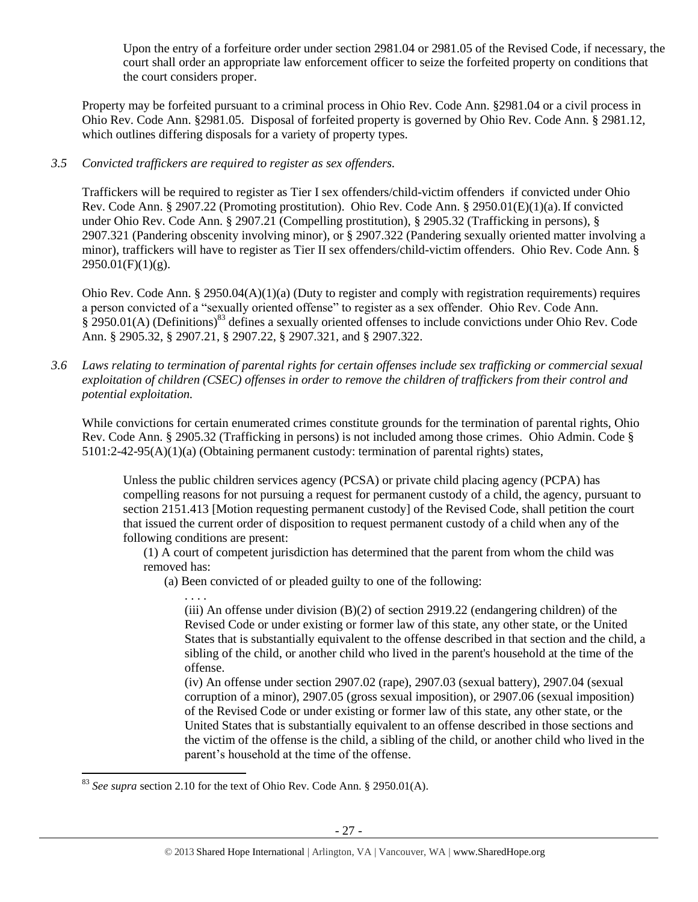Upon the entry of a forfeiture order under section 2981.04 or 2981.05 of the Revised Code, if necessary, the court shall order an appropriate law enforcement officer to seize the forfeited property on conditions that the court considers proper.

Property may be forfeited pursuant to a criminal process in Ohio Rev. Code Ann. §2981.04 or a civil process in Ohio Rev. Code Ann. §2981.05. Disposal of forfeited property is governed by Ohio Rev. Code Ann. § 2981.12, which outlines differing disposals for a variety of property types.

*3.5 Convicted traffickers are required to register as sex offenders.*

Traffickers will be required to register as Tier I sex offenders/child-victim offenders if convicted under Ohio Rev. Code Ann. § 2907.22 (Promoting prostitution). Ohio Rev. Code Ann. § 2950.01(E)(1)(a). If convicted under Ohio Rev. Code Ann. § 2907.21 (Compelling prostitution), § 2905.32 (Trafficking in persons), § 2907.321 (Pandering obscenity involving minor), or § 2907.322 (Pandering sexually oriented matter involving a minor), traffickers will have to register as Tier II sex offenders/child-victim offenders. Ohio Rev. Code Ann. §  $2950.01(F)(1)(g)$ .

Ohio Rev. Code Ann. § 2950.04( $A$ )(1)(a) (Duty to register and comply with registration requirements) requires a person convicted of a "sexually oriented offense" to register as a sex offender. Ohio Rev. Code Ann. § 2950.01(A) (Definitions)<sup>83</sup> defines a sexually oriented offenses to include convictions under Ohio Rev. Code Ann. § 2905.32, § 2907.21, § 2907.22, § 2907.321, and § 2907.322.

*3.6 Laws relating to termination of parental rights for certain offenses include sex trafficking or commercial sexual exploitation of children (CSEC) offenses in order to remove the children of traffickers from their control and potential exploitation.* 

While convictions for certain enumerated crimes constitute grounds for the termination of parental rights, Ohio Rev. Code Ann. § 2905.32 (Trafficking in persons) is not included among those crimes. Ohio Admin. Code § 5101:2-42-95(A)(1)(a) (Obtaining permanent custody: termination of parental rights) states,

Unless the public children services agency (PCSA) or private child placing agency (PCPA) has compelling reasons for not pursuing a request for permanent custody of a child, the agency, pursuant to section 2151.413 [Motion requesting permanent custody] of the Revised Code, shall petition the court that issued the current order of disposition to request permanent custody of a child when any of the following conditions are present:

(1) A court of competent jurisdiction has determined that the parent from whom the child was removed has:

(a) Been convicted of or pleaded guilty to one of the following:

(iii) An offense under division  $(B)(2)$  of section 2919.22 (endangering children) of the Revised Code or under existing or former law of this state, any other state, or the United States that is substantially equivalent to the offense described in that section and the child, a sibling of the child, or another child who lived in the parent's household at the time of the offense.

(iv) An offense under section 2907.02 (rape), 2907.03 (sexual battery), 2907.04 (sexual corruption of a minor), 2907.05 (gross sexual imposition), or 2907.06 (sexual imposition) of the Revised Code or under existing or former law of this state, any other state, or the United States that is substantially equivalent to an offense described in those sections and the victim of the offense is the child, a sibling of the child, or another child who lived in the parent's household at the time of the offense.

. . . .

 $\overline{\phantom{a}}$ 

<sup>83</sup> *See supra* section 2.10 for the text of Ohio Rev. Code Ann. § 2950.01(A).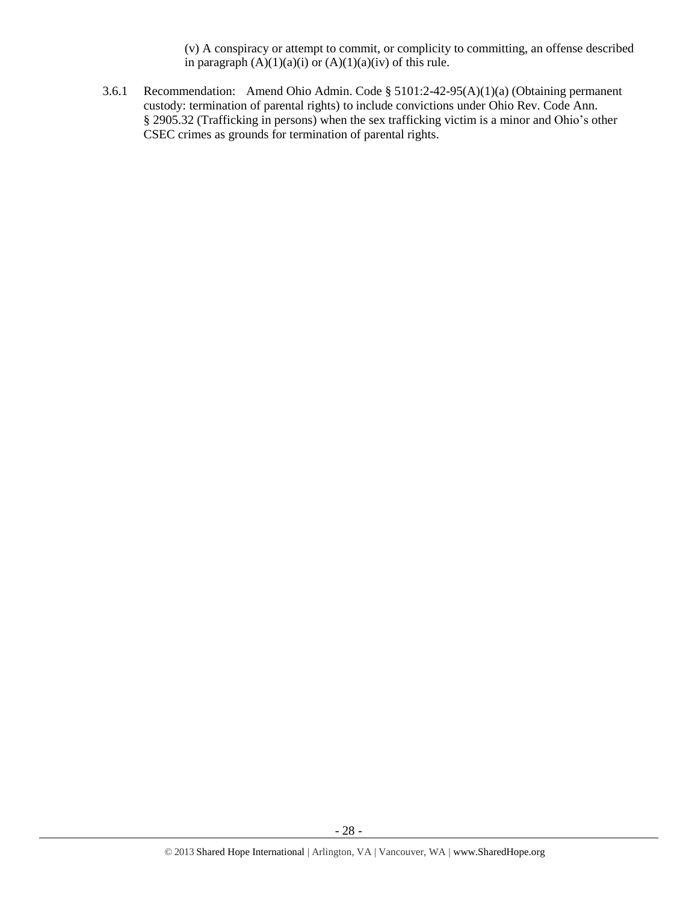(v) A conspiracy or attempt to commit, or complicity to committing, an offense described in paragraph  $(A)(1)(a)(i)$  or  $(A)(1)(a)(iv)$  of this rule.

3.6.1 Recommendation: Amend Ohio Admin. Code § 5101:2-42-95(A)(1)(a) (Obtaining permanent custody: termination of parental rights) to include convictions under Ohio Rev. Code Ann. § 2905.32 (Trafficking in persons) when the sex trafficking victim is a minor and Ohio's other CSEC crimes as grounds for termination of parental rights.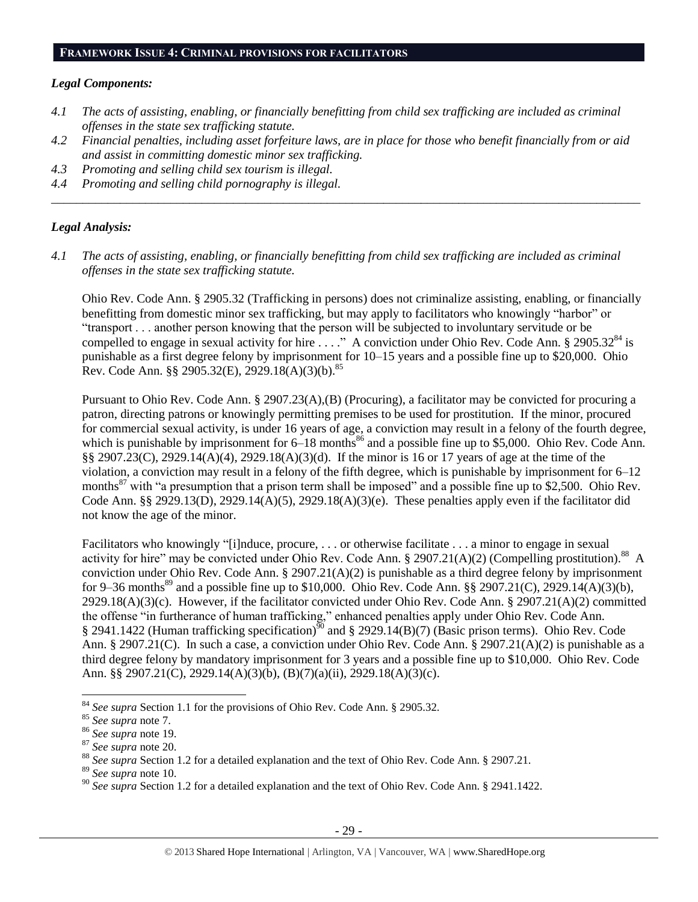#### **FRAMEWORK ISSUE 4: CRIMINAL PROVISIONS FOR FACILITATORS**

#### *Legal Components:*

- *4.1 The acts of assisting, enabling, or financially benefitting from child sex trafficking are included as criminal offenses in the state sex trafficking statute.*
- *4.2 Financial penalties, including asset forfeiture laws, are in place for those who benefit financially from or aid and assist in committing domestic minor sex trafficking.*

*\_\_\_\_\_\_\_\_\_\_\_\_\_\_\_\_\_\_\_\_\_\_\_\_\_\_\_\_\_\_\_\_\_\_\_\_\_\_\_\_\_\_\_\_\_\_\_\_\_\_\_\_\_\_\_\_\_\_\_\_\_\_\_\_\_\_\_\_\_\_\_\_\_\_\_\_\_\_\_\_\_\_\_\_\_\_\_\_\_\_\_\_\_\_*

- *4.3 Promoting and selling child sex tourism is illegal.*
- *4.4 Promoting and selling child pornography is illegal.*

## *Legal Analysis:*

*4.1 The acts of assisting, enabling, or financially benefitting from child sex trafficking are included as criminal offenses in the state sex trafficking statute.*

Ohio Rev. Code Ann. § 2905.32 (Trafficking in persons) does not criminalize assisting, enabling, or financially benefitting from domestic minor sex trafficking, but may apply to facilitators who knowingly "harbor" or "transport . . . another person knowing that the person will be subjected to involuntary servitude or be compelled to engage in sexual activity for hire . . . ." A conviction under Ohio Rev. Code Ann. § 2905.32<sup>84</sup> is punishable as a first degree felony by imprisonment for 10–15 years and a possible fine up to \$20,000. Ohio Rev. Code Ann. §§ 2905.32(E), 2929.18(A)(3)(b).<sup>85</sup>

Pursuant to Ohio Rev. Code Ann. § 2907.23(A),(B) (Procuring), a facilitator may be convicted for procuring a patron, directing patrons or knowingly permitting premises to be used for prostitution. If the minor, procured for commercial sexual activity, is under 16 years of age, a conviction may result in a felony of the fourth degree, which is punishable by imprisonment for  $6-18$  months<sup>86</sup> and a possible fine up to \$5,000. Ohio Rev. Code Ann. §§ 2907.23(C), 2929.14(A)(4), 2929.18(A)(3)(d). If the minor is 16 or 17 years of age at the time of the violation, a conviction may result in a felony of the fifth degree, which is punishable by imprisonment for 6–12 months<sup>87</sup> with "a presumption that a prison term shall be imposed" and a possible fine up to \$2,500. Ohio Rev. Code Ann. §§ 2929.13(D), 2929.14(A)(5), 2929.18(A)(3)(e). These penalties apply even if the facilitator did not know the age of the minor.

Facilitators who knowingly "[i]nduce, procure, . . . or otherwise facilitate . . . a minor to engage in sexual activity for hire" may be convicted under Ohio Rev. Code Ann. § 2907.21(A)(2) (Compelling prostitution).<sup>88</sup> A conviction under Ohio Rev. Code Ann. § 2907.21(A)(2) is punishable as a third degree felony by imprisonment for 9–36 months<sup>89</sup> and a possible fine up to \$10,000. Ohio Rev. Code Ann. §§ 2907.21(C), 2929.14(A)(3)(b), 2929.18(A)(3)(c). However, if the facilitator convicted under Ohio Rev. Code Ann. § 2907.21(A)(2) committed the offense "in furtherance of human trafficking," enhanced penalties apply under Ohio Rev. Code Ann.  $§$  2941.1422 (Human trafficking specification)<sup>90</sup> and § 2929.14(B)(7) (Basic prison terms). Ohio Rev. Code Ann. § 2907.21(C). In such a case, a conviction under Ohio Rev. Code Ann. § 2907.21(A)(2) is punishable as a third degree felony by mandatory imprisonment for 3 years and a possible fine up to \$10,000. Ohio Rev. Code Ann. §§ 2907.21(C), 2929.14(A)(3)(b), (B)(7)(a)(ii), 2929.18(A)(3)(c).

 $\overline{\phantom{a}}$ 

<sup>84</sup> *See supra* Section 1.1 for the provisions of Ohio Rev. Code Ann. § 2905.32.

<sup>85</sup> *See supra* note [7.](#page-1-1)

<sup>86</sup> *See supra* note [19.](#page-6-1)

<sup>87</sup> *See supra* note [20.](#page-6-0)

<sup>88</sup> *See supra* Section 1.2 for a detailed explanation and the text of Ohio Rev. Code Ann. § 2907.21.

<sup>89</sup> *See supra* note [10.](#page-3-1)

<sup>90</sup> *See supra* Section 1.2 for a detailed explanation and the text of Ohio Rev. Code Ann. § 2941.1422.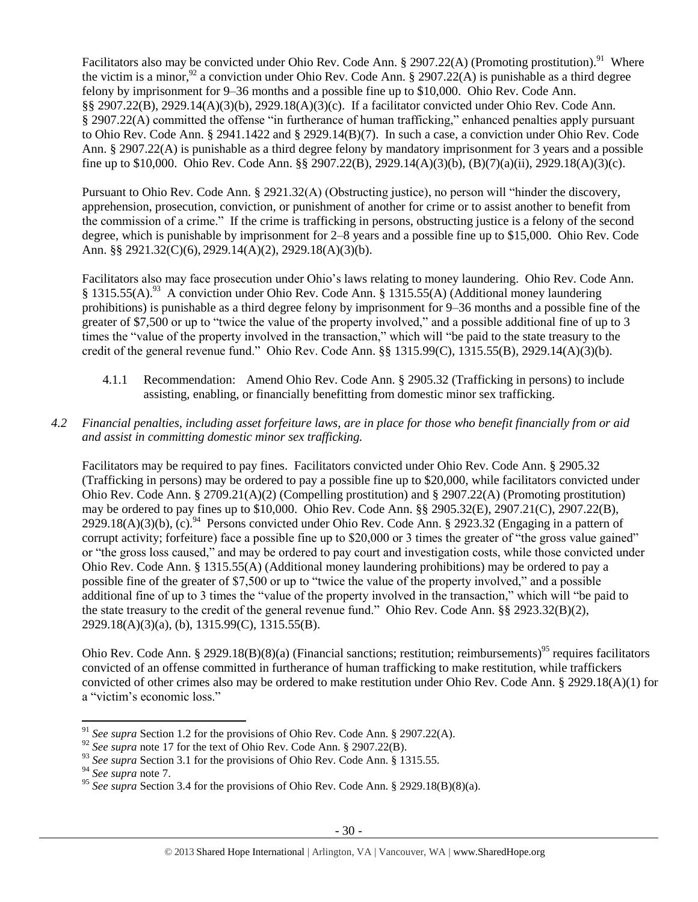Facilitators also may be convicted under Ohio Rev. Code Ann.  $\S 2907.22(A)$  (Promoting prostitution).<sup>91</sup> Where the victim is a minor,<sup>92</sup> a conviction under Ohio Rev. Code Ann. § 2907.22(A) is punishable as a third degree felony by imprisonment for 9–36 months and a possible fine up to \$10,000. Ohio Rev. Code Ann. §§ 2907.22(B), 2929.14(A)(3)(b), 2929.18(A)(3)(c). If a facilitator convicted under Ohio Rev. Code Ann. § 2907.22(A) committed the offense "in furtherance of human trafficking," enhanced penalties apply pursuant to Ohio Rev. Code Ann. § 2941.1422 and § 2929.14(B)(7). In such a case, a conviction under Ohio Rev. Code Ann. § 2907.22(A) is punishable as a third degree felony by mandatory imprisonment for 3 years and a possible fine up to \$10,000. Ohio Rev. Code Ann. §§ 2907.22(B), 2929.14(A)(3)(b), (B)(7)(a)(ii), 2929.18(A)(3)(c).

Pursuant to Ohio Rev. Code Ann. § 2921.32(A) (Obstructing justice), no person will "hinder the discovery, apprehension, prosecution, conviction, or punishment of another for crime or to assist another to benefit from the commission of a crime." If the crime is trafficking in persons, obstructing justice is a felony of the second degree, which is punishable by imprisonment for 2–8 years and a possible fine up to \$15,000. Ohio Rev. Code Ann. §§ 2921.32(C)(6), 2929.14(A)(2), 2929.18(A)(3)(b).

Facilitators also may face prosecution under Ohio's laws relating to money laundering. Ohio Rev. Code Ann. § 1315.55(A).<sup>93</sup> A conviction under Ohio Rev. Code Ann. § 1315.55(A) (Additional money laundering prohibitions) is punishable as a third degree felony by imprisonment for 9–36 months and a possible fine of the greater of \$7,500 or up to "twice the value of the property involved," and a possible additional fine of up to 3 times the "value of the property involved in the transaction," which will "be paid to the state treasury to the credit of the general revenue fund." Ohio Rev. Code Ann. §§ 1315.99(C), 1315.55(B), 2929.14(A)(3)(b).

- 4.1.1 Recommendation: Amend Ohio Rev. Code Ann. § 2905.32 (Trafficking in persons) to include assisting, enabling, or financially benefitting from domestic minor sex trafficking.
- *4.2 Financial penalties, including asset forfeiture laws, are in place for those who benefit financially from or aid and assist in committing domestic minor sex trafficking.*

Facilitators may be required to pay fines. Facilitators convicted under Ohio Rev. Code Ann. § 2905.32 (Trafficking in persons) may be ordered to pay a possible fine up to \$20,000, while facilitators convicted under Ohio Rev. Code Ann. § 2709.21(A)(2) (Compelling prostitution) and § 2907.22(A) (Promoting prostitution) may be ordered to pay fines up to \$10,000. Ohio Rev. Code Ann. §§ 2905.32(E), 2907.21(C), 2907.22(B),  $2929.18(A)(3)(b)$ , (c).<sup>94</sup> Persons convicted under Ohio Rev. Code Ann. § 2923.32 (Engaging in a pattern of corrupt activity; forfeiture) face a possible fine up to \$20,000 or 3 times the greater of "the gross value gained" or "the gross loss caused," and may be ordered to pay court and investigation costs, while those convicted under Ohio Rev. Code Ann. § 1315.55(A) (Additional money laundering prohibitions) may be ordered to pay a possible fine of the greater of \$7,500 or up to "twice the value of the property involved," and a possible additional fine of up to 3 times the "value of the property involved in the transaction," which will "be paid to the state treasury to the credit of the general revenue fund." Ohio Rev. Code Ann. §§ 2923.32(B)(2), 2929.18(A)(3)(a), (b), 1315.99(C), 1315.55(B).

Ohio Rev. Code Ann. § 2929.18(B)(8)(a) (Financial sanctions; restitution; reimbursements)<sup>95</sup> requires facilitators convicted of an offense committed in furtherance of human trafficking to make restitution, while traffickers convicted of other crimes also may be ordered to make restitution under Ohio Rev. Code Ann. § 2929.18(A)(1) for a "victim's economic loss."

 $\overline{a}$ 

<sup>91</sup> *See supra* Section 1.2 for the provisions of Ohio Rev. Code Ann. § 2907.22(A).

<sup>&</sup>lt;sup>92</sup> See supra note [17](#page-5-1) for the text of Ohio Rev. Code Ann. § 2907.22(B).

<sup>&</sup>lt;sup>93</sup> See supra Section 3.1 for the provisions of Ohio Rev. Code Ann. § 1315.55.

<sup>94</sup> *See supra* note [7.](#page-1-1)

<sup>95</sup> *See supra* Section 3.4 for the provisions of Ohio Rev. Code Ann. § 2929.18(B)(8)(a).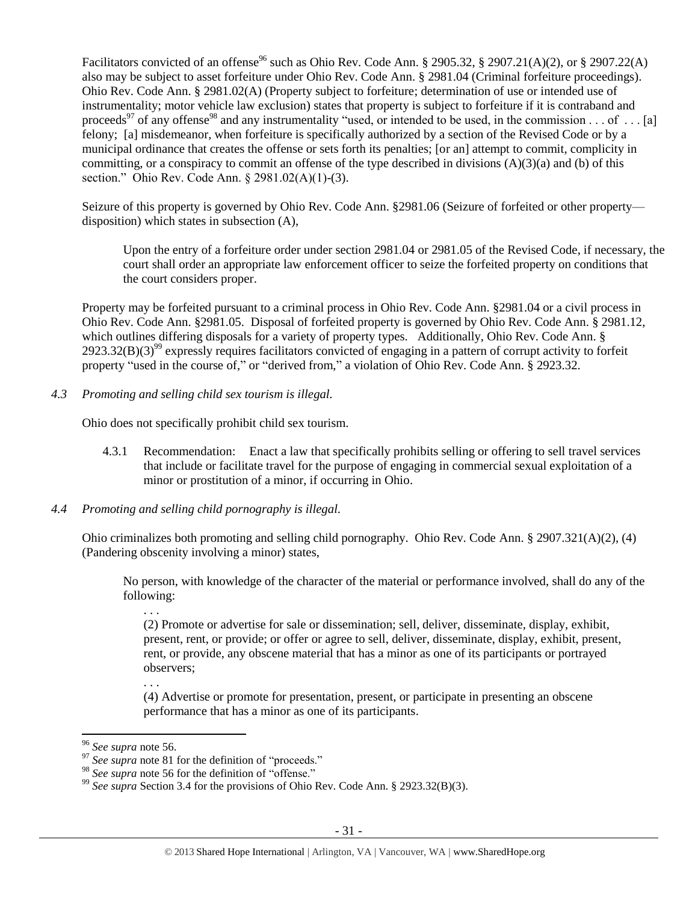Facilitators convicted of an offense<sup>96</sup> such as Ohio Rev. Code Ann. § 2905.32, § 2907.21(A)(2), or § 2907.22(A) also may be subject to asset forfeiture under Ohio Rev. Code Ann. § 2981.04 (Criminal forfeiture proceedings). Ohio Rev. Code Ann. § 2981.02(A) (Property subject to forfeiture; determination of use or intended use of instrumentality; motor vehicle law exclusion) states that property is subject to forfeiture if it is contraband and proceeds<sup>97</sup> of any offense<sup>98</sup> and any instrumentality "used, or intended to be used, in the commission . . . of . . . [a] felony; [a] misdemeanor, when forfeiture is specifically authorized by a section of the Revised Code or by a municipal ordinance that creates the offense or sets forth its penalties; [or an] attempt to commit, complicity in committing, or a conspiracy to commit an offense of the type described in divisions (A)(3)(a) and (b) of this section." Ohio Rev. Code Ann. § 2981.02(A)(1)-(3).

Seizure of this property is governed by Ohio Rev. Code Ann. §2981.06 (Seizure of forfeited or other property disposition) which states in subsection (A),

Upon the entry of a forfeiture order under section 2981.04 or 2981.05 of the Revised Code, if necessary, the court shall order an appropriate law enforcement officer to seize the forfeited property on conditions that the court considers proper.

Property may be forfeited pursuant to a criminal process in Ohio Rev. Code Ann. §2981.04 or a civil process in Ohio Rev. Code Ann. §2981.05. Disposal of forfeited property is governed by Ohio Rev. Code Ann. § 2981.12, which outlines differing disposals for a variety of property types. Additionally, Ohio Rev. Code Ann. §  $2923.32(B)(3)^{99}$  expressly requires facilitators convicted of engaging in a pattern of corrupt activity to forfeit property "used in the course of," or "derived from," a violation of Ohio Rev. Code Ann. § 2923.32.

*4.3 Promoting and selling child sex tourism is illegal.*

Ohio does not specifically prohibit child sex tourism.

- 4.3.1 Recommendation: Enact a law that specifically prohibits selling or offering to sell travel services that include or facilitate travel for the purpose of engaging in commercial sexual exploitation of a minor or prostitution of a minor, if occurring in Ohio.
- *4.4 Promoting and selling child pornography is illegal.*

Ohio criminalizes both promoting and selling child pornography. Ohio Rev. Code Ann. § 2907.321(A)(2), (4) (Pandering obscenity involving a minor) states,

No person, with knowledge of the character of the material or performance involved, shall do any of the following:

. . .

. . .

(2) Promote or advertise for sale or dissemination; sell, deliver, disseminate, display, exhibit, present, rent, or provide; or offer or agree to sell, deliver, disseminate, display, exhibit, present, rent, or provide, any obscene material that has a minor as one of its participants or portrayed observers;

(4) Advertise or promote for presentation, present, or participate in presenting an obscene performance that has a minor as one of its participants.

 $\overline{\phantom{a}}$ <sup>96</sup> *See supra* note [56.](#page-17-0)

<sup>&</sup>lt;sup>97</sup> See supra note [81](#page-25-0) for the definition of "proceeds."

<sup>&</sup>lt;sup>98</sup> See supra note [56](#page-17-0) for the definition of "offense."

<sup>99</sup> *See supra* Section 3.4 for the provisions of Ohio Rev. Code Ann. § 2923.32(B)(3).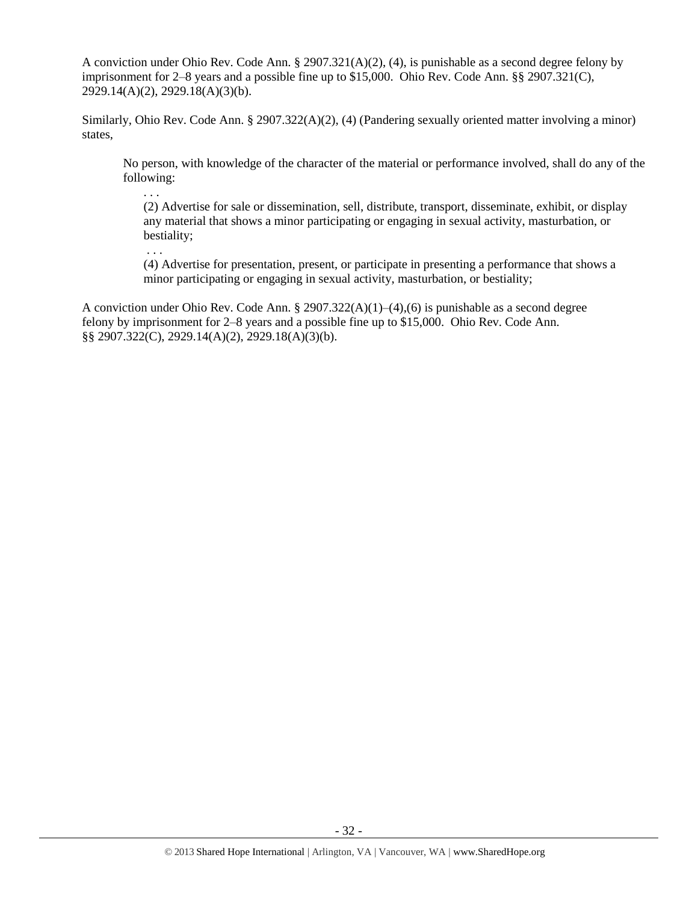A conviction under Ohio Rev. Code Ann. § 2907.321(A)(2), (4), is punishable as a second degree felony by imprisonment for 2–8 years and a possible fine up to \$15,000. Ohio Rev. Code Ann. §§ 2907.321(C), 2929.14(A)(2), 2929.18(A)(3)(b).

Similarly, Ohio Rev. Code Ann. § 2907.322(A)(2), (4) (Pandering sexually oriented matter involving a minor) states,

No person, with knowledge of the character of the material or performance involved, shall do any of the following:

(2) Advertise for sale or dissemination, sell, distribute, transport, disseminate, exhibit, or display any material that shows a minor participating or engaging in sexual activity, masturbation, or bestiality;

(4) Advertise for presentation, present, or participate in presenting a performance that shows a minor participating or engaging in sexual activity, masturbation, or bestiality;

A conviction under Ohio Rev. Code Ann.  $\S 2907.322(A)(1)–(4),(6)$  is punishable as a second degree felony by imprisonment for 2–8 years and a possible fine up to \$15,000. Ohio Rev. Code Ann. §§ 2907.322(C), 2929.14(A)(2), 2929.18(A)(3)(b).

. . .

. . .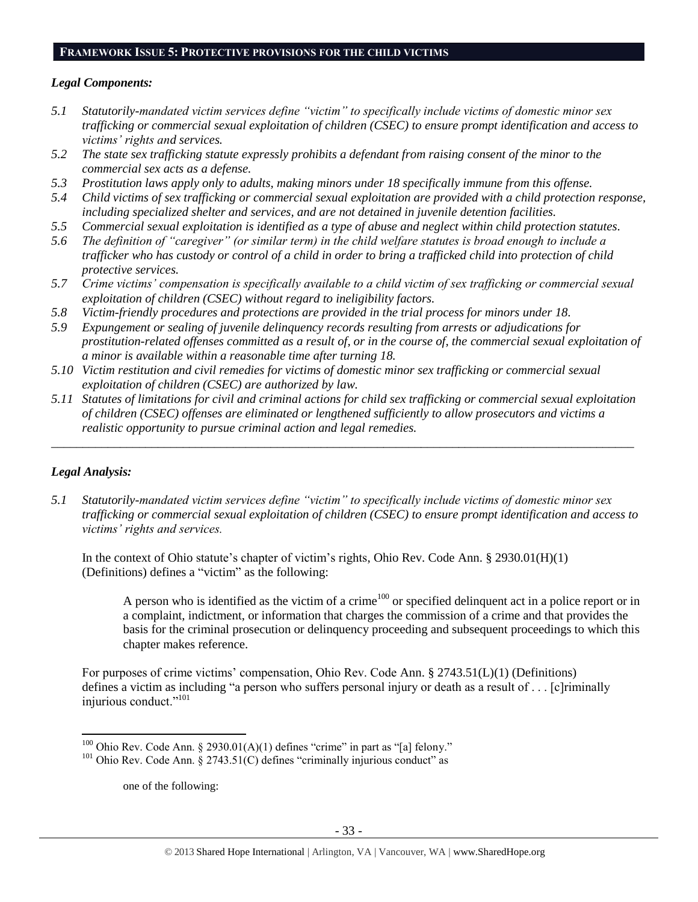#### **FRAMEWORK ISSUE 5: PROTECTIVE PROVISIONS FOR THE CHILD VICTIMS**

#### *Legal Components:*

- *5.1 Statutorily-mandated victim services define "victim" to specifically include victims of domestic minor sex trafficking or commercial sexual exploitation of children (CSEC) to ensure prompt identification and access to victims' rights and services.*
- *5.2 The state sex trafficking statute expressly prohibits a defendant from raising consent of the minor to the commercial sex acts as a defense.*
- *5.3 Prostitution laws apply only to adults, making minors under 18 specifically immune from this offense.*
- *5.4 Child victims of sex trafficking or commercial sexual exploitation are provided with a child protection response, including specialized shelter and services, and are not detained in juvenile detention facilities.*
- *5.5 Commercial sexual exploitation is identified as a type of abuse and neglect within child protection statutes.*
- *5.6 The definition of "caregiver" (or similar term) in the child welfare statutes is broad enough to include a trafficker who has custody or control of a child in order to bring a trafficked child into protection of child protective services.*
- *5.7 Crime victims' compensation is specifically available to a child victim of sex trafficking or commercial sexual exploitation of children (CSEC) without regard to ineligibility factors.*
- *5.8 Victim-friendly procedures and protections are provided in the trial process for minors under 18.*
- *5.9 Expungement or sealing of juvenile delinquency records resulting from arrests or adjudications for prostitution-related offenses committed as a result of, or in the course of, the commercial sexual exploitation of a minor is available within a reasonable time after turning 18.*
- *5.10 Victim restitution and civil remedies for victims of domestic minor sex trafficking or commercial sexual exploitation of children (CSEC) are authorized by law.*
- *5.11 Statutes of limitations for civil and criminal actions for child sex trafficking or commercial sexual exploitation of children (CSEC) offenses are eliminated or lengthened sufficiently to allow prosecutors and victims a realistic opportunity to pursue criminal action and legal remedies.*

*\_\_\_\_\_\_\_\_\_\_\_\_\_\_\_\_\_\_\_\_\_\_\_\_\_\_\_\_\_\_\_\_\_\_\_\_\_\_\_\_\_\_\_\_\_\_\_\_\_\_\_\_\_\_\_\_\_\_\_\_\_\_\_\_\_\_\_\_\_\_\_\_\_\_\_\_\_\_\_\_\_\_\_\_\_\_\_\_\_\_\_\_\_*

## *Legal Analysis:*

 $\overline{\phantom{a}}$ 

*5.1 Statutorily-mandated victim services define "victim" to specifically include victims of domestic minor sex trafficking or commercial sexual exploitation of children (CSEC) to ensure prompt identification and access to victims' rights and services.*

In the context of Ohio statute's chapter of victim's rights, Ohio Rev. Code Ann. § 2930.01(H)(1) (Definitions) defines a "victim" as the following:

A person who is identified as the victim of a crime<sup>100</sup> or specified delinquent act in a police report or in a complaint, indictment, or information that charges the commission of a crime and that provides the basis for the criminal prosecution or delinquency proceeding and subsequent proceedings to which this chapter makes reference.

<span id="page-32-0"></span>For purposes of crime victims' compensation, Ohio Rev. Code Ann. § 2743.51(L)(1) (Definitions) defines a victim as including "a person who suffers personal injury or death as a result of . . . [c]riminally injurious conduct."<sup>101</sup>

one of the following:

<sup>&</sup>lt;sup>100</sup> Ohio Rev. Code Ann. § 2930.01(A)(1) defines "crime" in part as "[a] felony."

 $101$  Ohio Rev. Code Ann. § 2743.51(C) defines "criminally injurious conduct" as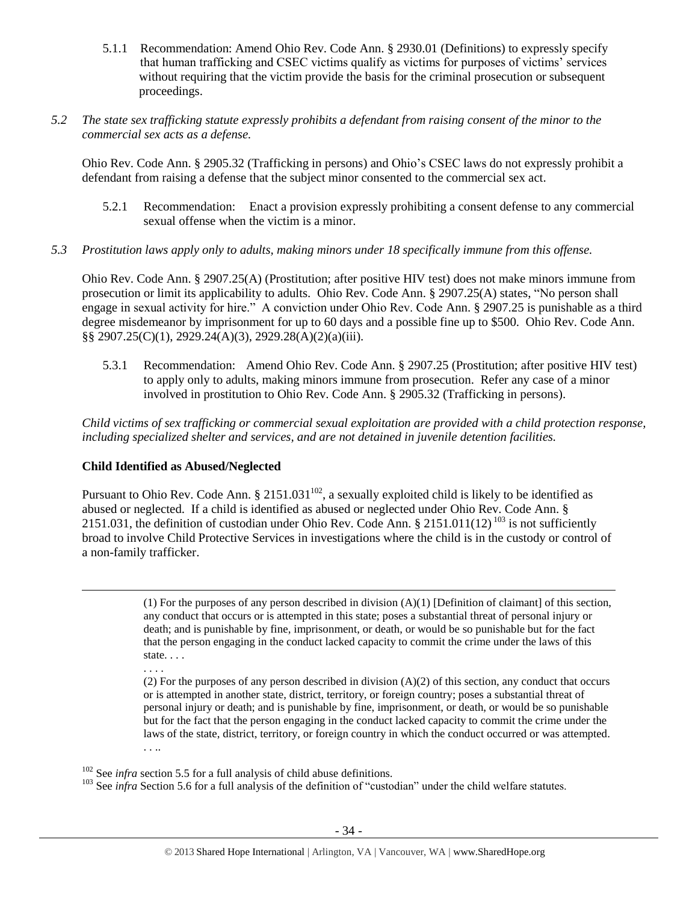- 5.1.1 Recommendation: Amend Ohio Rev. Code Ann. § 2930.01 (Definitions) to expressly specify that human trafficking and CSEC victims qualify as victims for purposes of victims' services without requiring that the victim provide the basis for the criminal prosecution or subsequent proceedings.
- *5.2 The state sex trafficking statute expressly prohibits a defendant from raising consent of the minor to the commercial sex acts as a defense.*

Ohio Rev. Code Ann. § 2905.32 (Trafficking in persons) and Ohio's CSEC laws do not expressly prohibit a defendant from raising a defense that the subject minor consented to the commercial sex act.

- 5.2.1 Recommendation: Enact a provision expressly prohibiting a consent defense to any commercial sexual offense when the victim is a minor.
- *5.3 Prostitution laws apply only to adults, making minors under 18 specifically immune from this offense.*

Ohio Rev. Code Ann. § 2907.25(A) (Prostitution; after positive HIV test) does not make minors immune from prosecution or limit its applicability to adults. Ohio Rev. Code Ann. § 2907.25(A) states, "No person shall engage in sexual activity for hire." A conviction under Ohio Rev. Code Ann. § 2907.25 is punishable as a third degree misdemeanor by imprisonment for up to 60 days and a possible fine up to \$500. Ohio Rev. Code Ann. §§ 2907.25(C)(1), 2929.24(A)(3), 2929.28(A)(2)(a)(iii).

5.3.1 Recommendation: Amend Ohio Rev. Code Ann. § 2907.25 (Prostitution; after positive HIV test) to apply only to adults, making minors immune from prosecution. Refer any case of a minor involved in prostitution to Ohio Rev. Code Ann. § 2905.32 (Trafficking in persons).

*Child victims of sex trafficking or commercial sexual exploitation are provided with a child protection response, including specialized shelter and services, and are not detained in juvenile detention facilities.*

# **Child Identified as Abused/Neglected**

. . . .

l

Pursuant to Ohio Rev. Code Ann. § 2151.031<sup>102</sup>, a sexually exploited child is likely to be identified as abused or neglected. If a child is identified as abused or neglected under Ohio Rev. Code Ann. § 2151.031, the definition of custodian under Ohio Rev. Code Ann. § 2151.011(12)<sup>103</sup> is not sufficiently broad to involve Child Protective Services in investigations where the child is in the custody or control of a non-family trafficker.

> (1) For the purposes of any person described in division (A)(1) [Definition of claimant] of this section, any conduct that occurs or is attempted in this state; poses a substantial threat of personal injury or death; and is punishable by fine, imprisonment, or death, or would be so punishable but for the fact that the person engaging in the conduct lacked capacity to commit the crime under the laws of this state. . . .

> (2) For the purposes of any person described in division (A)(2) of this section, any conduct that occurs or is attempted in another state, district, territory, or foreign country; poses a substantial threat of personal injury or death; and is punishable by fine, imprisonment, or death, or would be so punishable but for the fact that the person engaging in the conduct lacked capacity to commit the crime under the laws of the state, district, territory, or foreign country in which the conduct occurred or was attempted. . . ..

<sup>102</sup> See *infra* section 5.5 for a full analysis of child abuse definitions.

<sup>103</sup> See *infra* Section 5.6 for a full analysis of the definition of "custodian" under the child welfare statutes.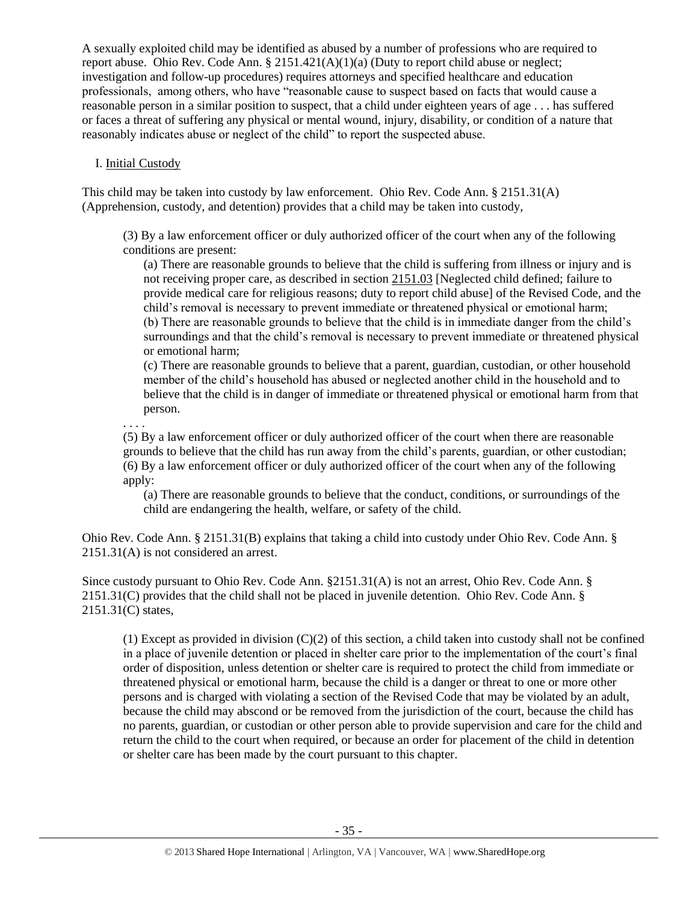A sexually exploited child may be identified as abused by a number of professions who are required to report abuse. Ohio Rev. Code Ann.  $\S 2151.421(A)(1)(a)$  (Duty to report child abuse or neglect; investigation and follow-up procedures) requires attorneys and specified healthcare and education professionals, among others, who have "reasonable cause to suspect based on facts that would cause a reasonable person in a similar position to suspect, that a child under eighteen years of age . . . has suffered or faces a threat of suffering any physical or mental wound, injury, disability, or condition of a nature that reasonably indicates abuse or neglect of the child" to report the suspected abuse.

# I. Initial Custody

This child may be taken into custody by law enforcement. Ohio Rev. Code Ann. § 2151.31(A) (Apprehension, custody, and detention) provides that a child may be taken into custody,

(3) By a law enforcement officer or duly authorized officer of the court when any of the following conditions are present:

(a) There are reasonable grounds to believe that the child is suffering from illness or injury and is not receiving proper care, as described in section [2151.03](http://codes.ohio.gov/orc/2151.03) [Neglected child defined; failure to provide medical care for religious reasons; duty to report child abuse] of the Revised Code, and the child's removal is necessary to prevent immediate or threatened physical or emotional harm; (b) There are reasonable grounds to believe that the child is in immediate danger from the child's surroundings and that the child's removal is necessary to prevent immediate or threatened physical or emotional harm;

(c) There are reasonable grounds to believe that a parent, guardian, custodian, or other household member of the child's household has abused or neglected another child in the household and to believe that the child is in danger of immediate or threatened physical or emotional harm from that person.

. . . .

(5) By a law enforcement officer or duly authorized officer of the court when there are reasonable grounds to believe that the child has run away from the child's parents, guardian, or other custodian; (6) By a law enforcement officer or duly authorized officer of the court when any of the following apply:

(a) There are reasonable grounds to believe that the conduct, conditions, or surroundings of the child are endangering the health, welfare, or safety of the child.

Ohio Rev. Code Ann. § 2151.31(B) explains that taking a child into custody under Ohio Rev. Code Ann. § 2151.31(A) is not considered an arrest.

Since custody pursuant to Ohio Rev. Code Ann. §2151.31(A) is not an arrest, Ohio Rev. Code Ann. § 2151.31(C) provides that the child shall not be placed in juvenile detention. Ohio Rev. Code Ann. § 2151.31(C) states,

(1) Except as provided in division (C)(2) of this section, a child taken into custody shall not be confined in a place of juvenile detention or placed in shelter care prior to the implementation of the court's final order of disposition, unless detention or shelter care is required to protect the child from immediate or threatened physical or emotional harm, because the child is a danger or threat to one or more other persons and is charged with violating a section of the Revised Code that may be violated by an adult, because the child may abscond or be removed from the jurisdiction of the court, because the child has no parents, guardian, or custodian or other person able to provide supervision and care for the child and return the child to the court when required, or because an order for placement of the child in detention or shelter care has been made by the court pursuant to this chapter.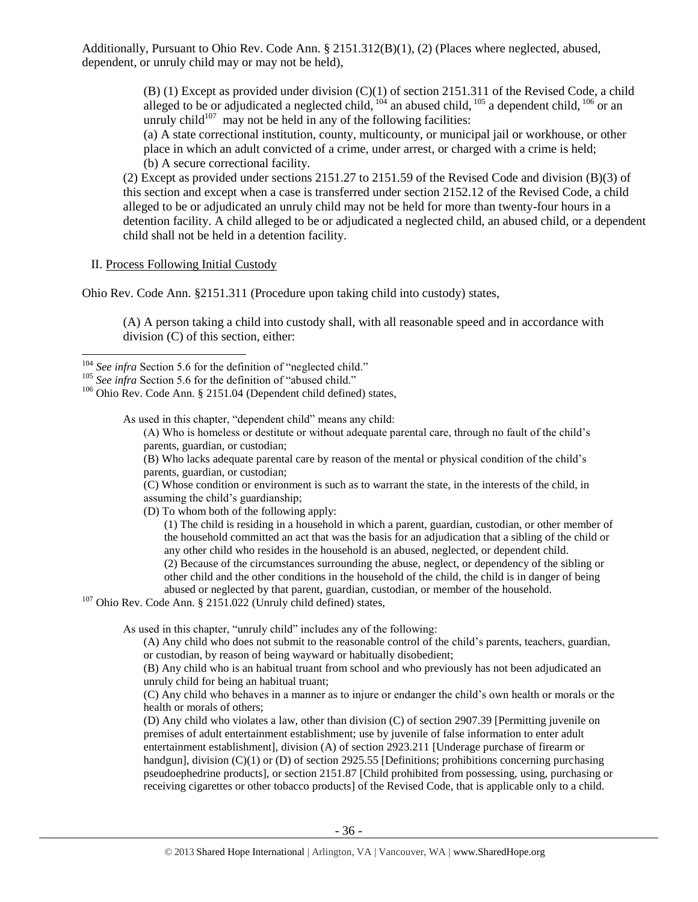Additionally, Pursuant to Ohio Rev. Code Ann. § 2151.312(B)(1), (2) (Places where neglected, abused, dependent, or unruly child may or may not be held),

> (B) (1) Except as provided under division (C)(1) of section 2151.311 of the Revised Code, a child alleged to be or adjudicated a neglected child,  $^{104}$  an abused child,  $^{105}$  a dependent child,  $^{106}$  or an unruly child $107$  may not be held in any of the following facilities:

(a) A state correctional institution, county, multicounty, or municipal jail or workhouse, or other place in which an adult convicted of a crime, under arrest, or charged with a crime is held; (b) A secure correctional facility.

(2) Except as provided under sections 2151.27 to 2151.59 of the Revised Code and division (B)(3) of this section and except when a case is transferred under section 2152.12 of the Revised Code, a child alleged to be or adjudicated an unruly child may not be held for more than twenty-four hours in a detention facility. A child alleged to be or adjudicated a neglected child, an abused child, or a dependent child shall not be held in a detention facility.

#### II. Process Following Initial Custody

Ohio Rev. Code Ann. §2151.311 (Procedure upon taking child into custody) states,

(A) A person taking a child into custody shall, with all reasonable speed and in accordance with division (C) of this section, either:

As used in this chapter, "dependent child" means any child:

(A) Who is homeless or destitute or without adequate parental care, through no fault of the child's parents, guardian, or custodian;

(B) Who lacks adequate parental care by reason of the mental or physical condition of the child's parents, guardian, or custodian;

(C) Whose condition or environment is such as to warrant the state, in the interests of the child, in assuming the child's guardianship;

(D) To whom both of the following apply:

(1) The child is residing in a household in which a parent, guardian, custodian, or other member of the household committed an act that was the basis for an adjudication that a sibling of the child or any other child who resides in the household is an abused, neglected, or dependent child. (2) Because of the circumstances surrounding the abuse, neglect, or dependency of the sibling or other child and the other conditions in the household of the child, the child is in danger of being abused or neglected by that parent, guardian, custodian, or member of the household.

<sup>107</sup> Ohio Rev. Code Ann. § 2151.022 (Unruly child defined) states,

As used in this chapter, "unruly child" includes any of the following:

(A) Any child who does not submit to the reasonable control of the child's parents, teachers, guardian, or custodian, by reason of being wayward or habitually disobedient;

(B) Any child who is an habitual truant from school and who previously has not been adjudicated an unruly child for being an habitual truant;

(C) Any child who behaves in a manner as to injure or endanger the child's own health or morals or the health or morals of others;

(D) Any child who violates a law, other than division (C) of section 2907.39 [Permitting juvenile on premises of adult entertainment establishment; use by juvenile of false information to enter adult entertainment establishment], division (A) of section 2923.211 [Underage purchase of firearm or handgun], division (C)(1) or (D) of section 2925.55 [Definitions; prohibitions concerning purchasing pseudoephedrine products], or section 2151.87 [Child prohibited from possessing, using, purchasing or receiving cigarettes or other tobacco products] of the Revised Code, that is applicable only to a child.

l <sup>104</sup> See infra Section 5.6 for the definition of "neglected child."

<sup>&</sup>lt;sup>105</sup> *See infra* Section 5.6 for the definition of "abused child."

<sup>106</sup> Ohio Rev. Code Ann. § 2151.04 (Dependent child defined) states,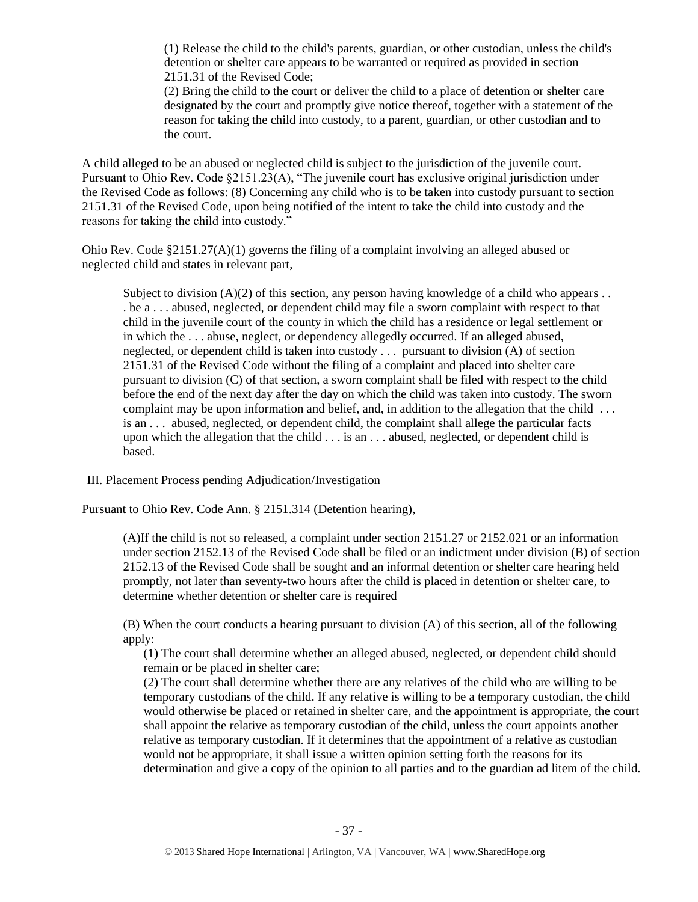(1) Release the child to the child's parents, guardian, or other custodian, unless the child's detention or shelter care appears to be warranted or required as provided in section 2151.31 of the Revised Code;

(2) Bring the child to the court or deliver the child to a place of detention or shelter care designated by the court and promptly give notice thereof, together with a statement of the reason for taking the child into custody, to a parent, guardian, or other custodian and to the court.

A child alleged to be an abused or neglected child is subject to the jurisdiction of the juvenile court. Pursuant to Ohio Rev. Code §2151.23(A), "The juvenile court has exclusive original jurisdiction under the Revised Code as follows: (8) Concerning any child who is to be taken into custody pursuant to section 2151.31 of the Revised Code, upon being notified of the intent to take the child into custody and the reasons for taking the child into custody."

Ohio Rev. Code  $\S2151.27(A)(1)$  governs the filing of a complaint involving an alleged abused or neglected child and states in relevant part,

Subject to division  $(A)(2)$  of this section, any person having knowledge of a child who appears . . . be a . . . abused, neglected, or dependent child may file a sworn complaint with respect to that child in the juvenile court of the county in which the child has a residence or legal settlement or in which the . . . abuse, neglect, or dependency allegedly occurred. If an alleged abused, neglected, or dependent child is taken into custody . . . pursuant to division (A) of section 2151.31 of the Revised Code without the filing of a complaint and placed into shelter care pursuant to division (C) of that section, a sworn complaint shall be filed with respect to the child before the end of the next day after the day on which the child was taken into custody. The sworn complaint may be upon information and belief, and, in addition to the allegation that the child ... is an . . . abused, neglected, or dependent child, the complaint shall allege the particular facts upon which the allegation that the child . . . is an . . . abused, neglected, or dependent child is based.

## III. Placement Process pending Adjudication/Investigation

Pursuant to Ohio Rev. Code Ann. § 2151.314 (Detention hearing),

(A)If the child is not so released, a complaint under section 2151.27 or 2152.021 or an information under [section 2152.13 of the Revised Code](https://a.next.westlaw.com/Link/Document/FullText?findType=L&pubNum=1000279&cite=OHSTS2152.13&originatingDoc=NADDC87705EC911DB8852FC25F2F5B472&refType=LQ&originationContext=document&transitionType=DocumentItem&contextData=(sc.Category)) shall be filed or an indictment under [division \(B\) of section](https://a.next.westlaw.com/Link/Document/FullText?findType=L&pubNum=1000279&cite=OHSTS2152.13&originatingDoc=NADDC87705EC911DB8852FC25F2F5B472&refType=SP&originationContext=document&transitionType=DocumentItem&contextData=(sc.Category)#co_pp_47dd0000d9ea7)  [2152.13 of the Revised Code](https://a.next.westlaw.com/Link/Document/FullText?findType=L&pubNum=1000279&cite=OHSTS2152.13&originatingDoc=NADDC87705EC911DB8852FC25F2F5B472&refType=SP&originationContext=document&transitionType=DocumentItem&contextData=(sc.Category)#co_pp_47dd0000d9ea7) shall be sought and an informal detention or shelter care hearing held promptly, not later than seventy-two hours after the child is placed in detention or shelter care, to determine whether detention or shelter care is required

(B) When the court conducts a hearing pursuant to division (A) of this section, all of the following apply:

(1) The court shall determine whether an alleged abused, neglected, or dependent child should remain or be placed in shelter care;

(2) The court shall determine whether there are any relatives of the child who are willing to be temporary custodians of the child. If any relative is willing to be a temporary custodian, the child would otherwise be placed or retained in shelter care, and the appointment is appropriate, the court shall appoint the relative as temporary custodian of the child, unless the court appoints another relative as temporary custodian. If it determines that the appointment of a relative as custodian would not be appropriate, it shall issue a written opinion setting forth the reasons for its determination and give a copy of the opinion to all parties and to the guardian ad litem of the child.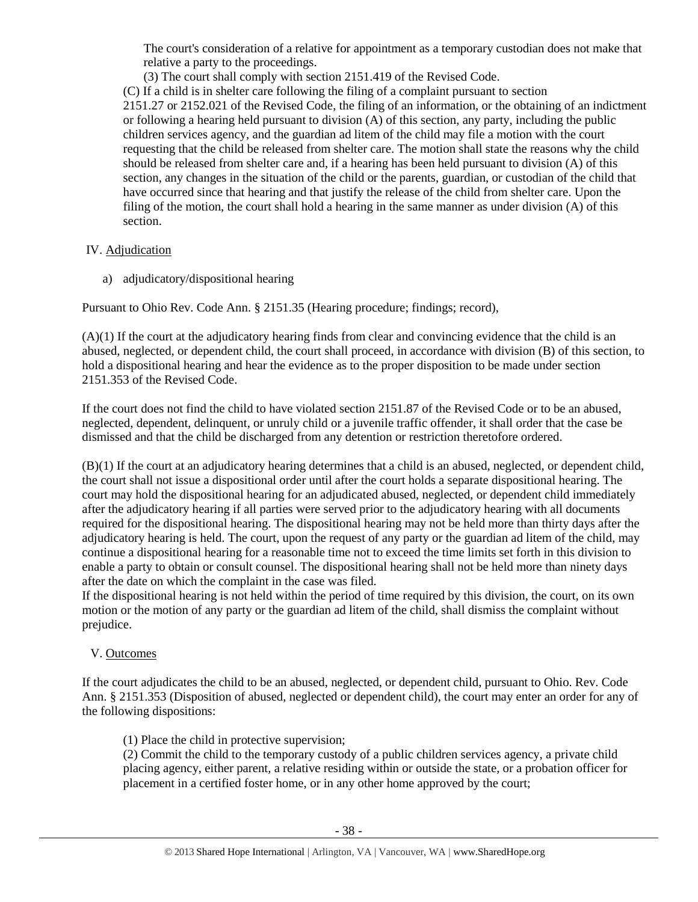The court's consideration of a relative for appointment as a temporary custodian does not make that relative a party to the proceedings.

(3) The court shall comply with [section 2151.419 of the Revised Code.](https://a.next.westlaw.com/Link/Document/FullText?findType=L&pubNum=1000279&cite=OHSTS2151.419&originatingDoc=NADDC87705EC911DB8852FC25F2F5B472&refType=LQ&originationContext=document&transitionType=DocumentItem&contextData=(sc.Category)) (C) If a child is in shelter care following the filing of a complaint pursuant to [section](https://a.next.westlaw.com/Link/Document/FullText?findType=L&pubNum=1000279&cite=OHSTS2151.27&originatingDoc=NADDC87705EC911DB8852FC25F2F5B472&refType=LQ&originationContext=document&transitionType=DocumentItem&contextData=(sc.Category))  [2151.27](https://a.next.westlaw.com/Link/Document/FullText?findType=L&pubNum=1000279&cite=OHSTS2151.27&originatingDoc=NADDC87705EC911DB8852FC25F2F5B472&refType=LQ&originationContext=document&transitionType=DocumentItem&contextData=(sc.Category)) or [2152.021 of the Revised Code,](https://a.next.westlaw.com/Link/Document/FullText?findType=L&pubNum=1000279&cite=OHSTS2152.021&originatingDoc=NADDC87705EC911DB8852FC25F2F5B472&refType=LQ&originationContext=document&transitionType=DocumentItem&contextData=(sc.Category)) the filing of an information, or the obtaining of an indictment or following a hearing held pursuant to division (A) of this section, any party, including the public children services agency, and the guardian ad litem of the child may file a motion with the court requesting that the child be released from shelter care. The motion shall state the reasons why the child should be released from shelter care and, if a hearing has been held pursuant to division (A) of this section, any changes in the situation of the child or the parents, guardian, or custodian of the child that have occurred since that hearing and that justify the release of the child from shelter care. Upon the filing of the motion, the court shall hold a hearing in the same manner as under division (A) of this section.

# IV. Adjudication

a) adjudicatory/dispositional hearing

Pursuant to Ohio Rev. Code Ann. § 2151.35 (Hearing procedure; findings; record),

(A)(1) If the court at the adjudicatory hearing finds from clear and convincing evidence that the child is an abused, neglected, or dependent child, the court shall proceed, in accordance with division (B) of this section, to hold a dispositional hearing and hear the evidence as to the proper disposition to be made under [section](https://a.next.westlaw.com/Link/Document/FullText?findType=L&pubNum=1000279&cite=OHSTS2151.353&originatingDoc=NAFD98FF05EC911DB8852FC25F2F5B472&refType=LQ&originationContext=document&transitionType=DocumentItem&contextData=(sc.Category))  [2151.353 of the Revised Code.](https://a.next.westlaw.com/Link/Document/FullText?findType=L&pubNum=1000279&cite=OHSTS2151.353&originatingDoc=NAFD98FF05EC911DB8852FC25F2F5B472&refType=LQ&originationContext=document&transitionType=DocumentItem&contextData=(sc.Category))

If the court does not find the child to have violated [section 2151.87 of the Revised Code](https://a.next.westlaw.com/Link/Document/FullText?findType=L&pubNum=1000279&cite=OHSTS2151.87&originatingDoc=NAFD98FF05EC911DB8852FC25F2F5B472&refType=LQ&originationContext=document&transitionType=DocumentItem&contextData=(sc.Category)) or to be an abused, neglected, dependent, delinquent, or unruly child or a juvenile traffic offender, it shall order that the case be dismissed and that the child be discharged from any detention or restriction theretofore ordered.

(B)(1) If the court at an adjudicatory hearing determines that a child is an abused, neglected, or dependent child, the court shall not issue a dispositional order until after the court holds a separate dispositional hearing. The court may hold the dispositional hearing for an adjudicated abused, neglected, or dependent child immediately after the adjudicatory hearing if all parties were served prior to the adjudicatory hearing with all documents required for the dispositional hearing. The dispositional hearing may not be held more than thirty days after the adjudicatory hearing is held. The court, upon the request of any party or the guardian ad litem of the child, may continue a dispositional hearing for a reasonable time not to exceed the time limits set forth in this division to enable a party to obtain or consult counsel. The dispositional hearing shall not be held more than ninety days after the date on which the complaint in the case was filed.

If the dispositional hearing is not held within the period of time required by this division, the court, on its own motion or the motion of any party or the guardian ad litem of the child, shall dismiss the complaint without prejudice.

# V. Outcomes

If the court adjudicates the child to be an abused, neglected, or dependent child, pursuant to Ohio. Rev. Code Ann. § 2151.353 (Disposition of abused, neglected or dependent child), the court may enter an order for any of the following dispositions:

(1) Place the child in protective supervision;

(2) Commit the child to the temporary custody of a public children services agency, a private child placing agency, either parent, a relative residing within or outside the state, or a probation officer for placement in a certified foster home, or in any other home approved by the court;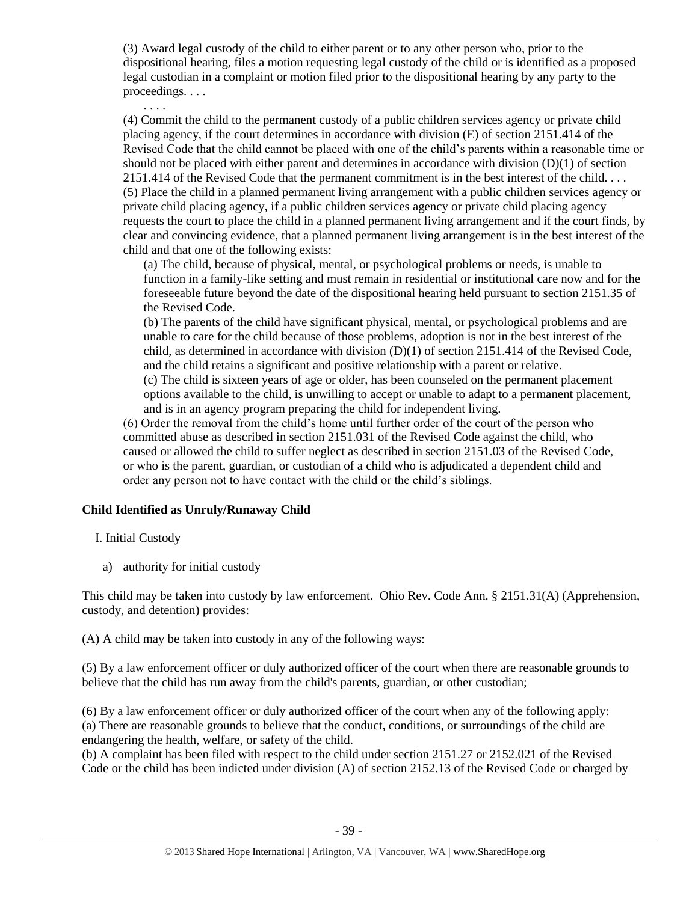(3) Award legal custody of the child to either parent or to any other person who, prior to the dispositional hearing, files a motion requesting legal custody of the child or is identified as a proposed legal custodian in a complaint or motion filed prior to the dispositional hearing by any party to the proceedings. . . .

(4) Commit the child to the permanent custody of a public children services agency or private child placing agency, if the court determines in accordance with division (E) of section 2151.414 of the Revised Code that the child cannot be placed with one of the child's parents within a reasonable time or should not be placed with either parent and determines in accordance with division (D)(1) of section 2151.414 of the Revised Code that the permanent commitment is in the best interest of the child. . . . (5) Place the child in a planned permanent living arrangement with a public children services agency or private child placing agency, if a public children services agency or private child placing agency requests the court to place the child in a planned permanent living arrangement and if the court finds, by clear and convincing evidence, that a planned permanent living arrangement is in the best interest of the child and that one of the following exists:

(a) The child, because of physical, mental, or psychological problems or needs, is unable to function in a family-like setting and must remain in residential or institutional care now and for the foreseeable future beyond the date of the dispositional hearing held pursuant to section 2151.35 of the Revised Code.

(b) The parents of the child have significant physical, mental, or psychological problems and are unable to care for the child because of those problems, adoption is not in the best interest of the child, as determined in accordance with division (D)(1) of section 2151.414 of the Revised Code, and the child retains a significant and positive relationship with a parent or relative. (c) The child is sixteen years of age or older, has been counseled on the permanent placement options available to the child, is unwilling to accept or unable to adapt to a permanent placement, and is in an agency program preparing the child for independent living.

(6) Order the removal from the child's home until further order of the court of the person who committed abuse as described in section 2151.031 of the Revised Code against the child, who caused or allowed the child to suffer neglect as described in section 2151.03 of the Revised Code, or who is the parent, guardian, or custodian of a child who is adjudicated a dependent child and order any person not to have contact with the child or the child's siblings.

# **Child Identified as Unruly/Runaway Child**

# I. Initial Custody

. . . .

a) authority for initial custody

This child may be taken into custody by law enforcement. Ohio Rev. Code Ann. § 2151.31(A) (Apprehension, custody, and detention) provides:

(A) A child may be taken into custody in any of the following ways:

(5) By a law enforcement officer or duly authorized officer of the court when there are reasonable grounds to believe that the child has run away from the child's parents, guardian, or other custodian;

(6) By a law enforcement officer or duly authorized officer of the court when any of the following apply: (a) There are reasonable grounds to believe that the conduct, conditions, or surroundings of the child are endangering the health, welfare, or safety of the child.

(b) A complaint has been filed with respect to the child under [section 2151.27](https://1.next.westlaw.com/Link/Document/FullText?findType=L&pubNum=1000279&cite=OHSTS2151.27&originatingDoc=NAC8B9D705EC911DB8852FC25F2F5B472&refType=LQ&originationContext=document&transitionType=DocumentItem&contextData=(sc.Category)) or [2152.021 of the Revised](https://1.next.westlaw.com/Link/Document/FullText?findType=L&pubNum=1000279&cite=OHSTS2152.021&originatingDoc=NAC8B9D705EC911DB8852FC25F2F5B472&refType=LQ&originationContext=document&transitionType=DocumentItem&contextData=(sc.Category))  [Code](https://1.next.westlaw.com/Link/Document/FullText?findType=L&pubNum=1000279&cite=OHSTS2152.021&originatingDoc=NAC8B9D705EC911DB8852FC25F2F5B472&refType=LQ&originationContext=document&transitionType=DocumentItem&contextData=(sc.Category)) or the child has been indicted under [division \(A\) of section 2152.13 of the Revised Code](https://1.next.westlaw.com/Link/Document/FullText?findType=L&pubNum=1000279&cite=OHSTS2152.13&originatingDoc=NAC8B9D705EC911DB8852FC25F2F5B472&refType=SP&originationContext=document&transitionType=DocumentItem&contextData=(sc.Category)#co_pp_9f360000ada85) or charged by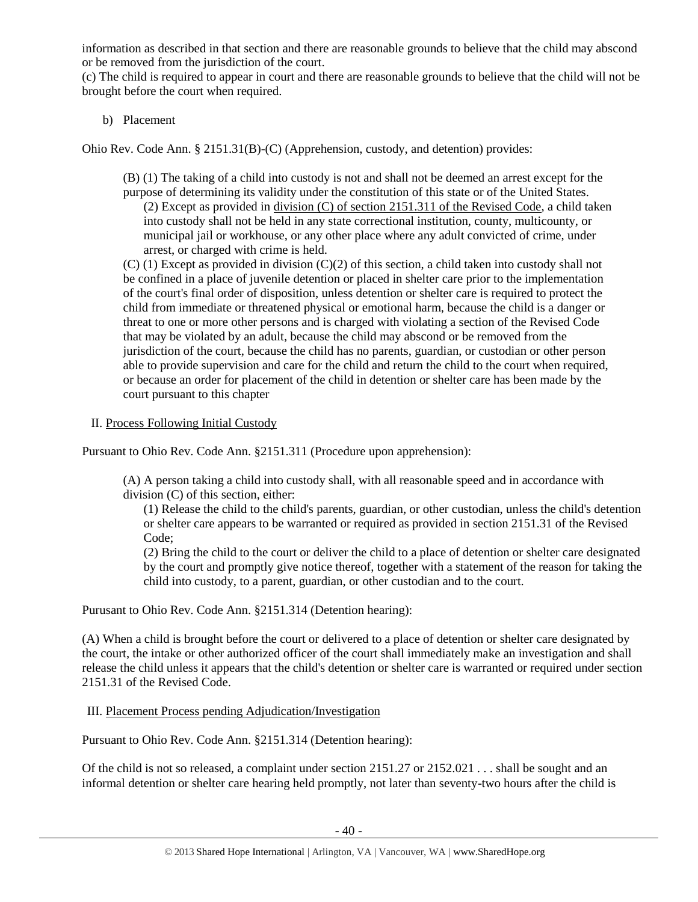information as described in that section and there are reasonable grounds to believe that the child may abscond or be removed from the jurisdiction of the court.

(c) The child is required to appear in court and there are reasonable grounds to believe that the child will not be brought before the court when required.

b) Placement

Ohio Rev. Code Ann. § 2151.31(B)-(C) (Apprehension, custody, and detention) provides:

(B) (1) The taking of a child into custody is not and shall not be deemed an arrest except for the purpose of determining its validity under the constitution of this state or of the United States. (2) Except as provided in [division \(C\) of section 2151.311 of the Revised Code,](https://1.next.westlaw.com/Link/Document/FullText?findType=L&pubNum=1000279&cite=OHSTS2151.311&originatingDoc=NAC8B9D705EC911DB8852FC25F2F5B472&refType=SP&originationContext=document&transitionType=DocumentItem&contextData=(sc.Category)#co_pp_cf1000002eff7) a child taken into custody shall not be held in any state correctional institution, county, multicounty, or municipal jail or workhouse, or any other place where any adult convicted of crime, under arrest, or charged with crime is held.

(C) (1) Except as provided in division (C)(2) of this section, a child taken into custody shall not be confined in a place of juvenile detention or placed in shelter care prior to the implementation of the court's final order of disposition, unless detention or shelter care is required to protect the child from immediate or threatened physical or emotional harm, because the child is a danger or threat to one or more other persons and is charged with violating a section of the Revised Code that may be violated by an adult, because the child may abscond or be removed from the jurisdiction of the court, because the child has no parents, guardian, or custodian or other person able to provide supervision and care for the child and return the child to the court when required, or because an order for placement of the child in detention or shelter care has been made by the court pursuant to this chapter

# II. Process Following Initial Custody

Pursuant to Ohio Rev. Code Ann. §2151.311 (Procedure upon apprehension):

(A) A person taking a child into custody shall, with all reasonable speed and in accordance with division (C) of this section, either:

(1) Release the child to the child's parents, guardian, or other custodian, unless the child's detention or shelter care appears to be warranted or required as provided in section 2151.31 of the Revised Code;

(2) Bring the child to the court or deliver the child to a place of detention or shelter care designated by the court and promptly give notice thereof, together with a statement of the reason for taking the child into custody, to a parent, guardian, or other custodian and to the court.

Purusant to Ohio Rev. Code Ann. §2151.314 (Detention hearing):

(A) When a child is brought before the court or delivered to a place of detention or shelter care designated by the court, the intake or other authorized officer of the court shall immediately make an investigation and shall release the child unless it appears that the child's detention or shelter care is warranted or required under section 2151.31 of the Revised Code.

# III. Placement Process pending Adjudication/Investigation

Pursuant to Ohio Rev. Code Ann. §2151.314 (Detention hearing):

Of the child is not so released, a complaint under section 2151.27 or 2152.021 . . . shall be sought and an informal detention or shelter care hearing held promptly, not later than seventy-two hours after the child is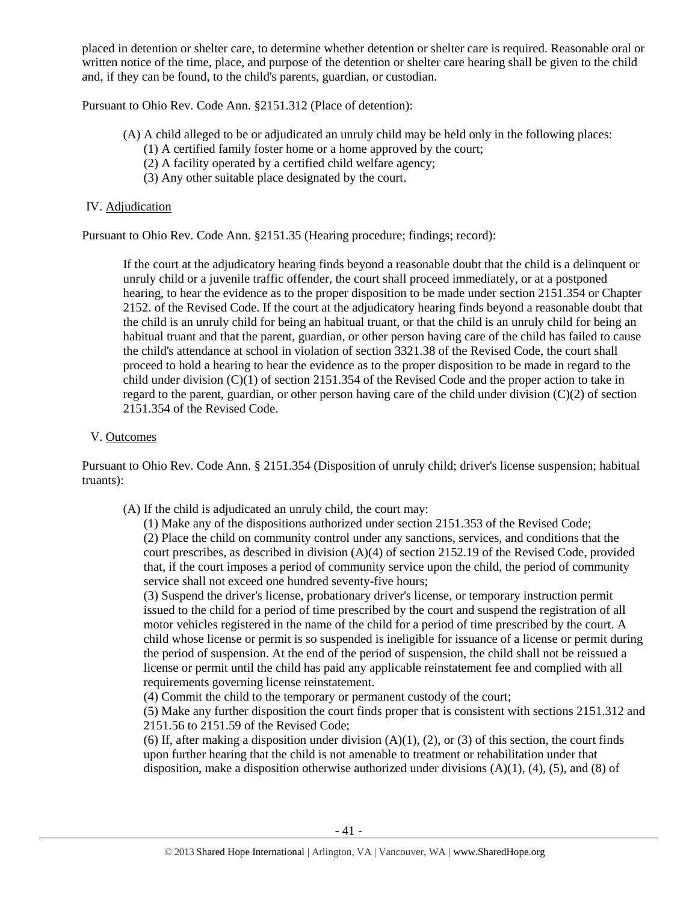placed in detention or shelter care, to determine whether detention or shelter care is required. Reasonable oral or written notice of the time, place, and purpose of the detention or shelter care hearing shall be given to the child and, if they can be found, to the child's parents, guardian, or custodian.

Pursuant to Ohio Rev. Code Ann. §2151.312 (Place of detention):

- (A) A child alleged to be or adjudicated an unruly child may be held only in the following places:
	- (1) A certified family foster home or a home approved by the court;
	- (2) A facility operated by a certified child welfare agency;
	- (3) Any other suitable place designated by the court.

# IV. Adjudication

Pursuant to Ohio Rev. Code Ann. §2151.35 (Hearing procedure; findings; record):

If the court at the adjudicatory hearing finds beyond a reasonable doubt that the child is a delinquent or unruly child or a juvenile traffic offender, the court shall proceed immediately, or at a postponed hearing, to hear the evidence as to the proper disposition to be made under section 2151.354 or Chapter 2152. of the Revised Code. If the court at the adjudicatory hearing finds beyond a reasonable doubt that the child is an unruly child for being an habitual truant, or that the child is an unruly child for being an habitual truant and that the parent, guardian, or other person having care of the child has failed to cause the child's attendance at school in violation of [section 3321.38 of the Revised Code,](https://1.next.westlaw.com/Link/Document/FullText?findType=L&pubNum=1000279&cite=OHSTS3321.38&originatingDoc=NAFD98FF05EC911DB8852FC25F2F5B472&refType=LQ&originationContext=document&transitionType=DocumentItem&contextData=(sc.Category)) the court shall proceed to hold a hearing to hear the evidence as to the proper disposition to be made in regard to the child under [division \(C\)\(1\) of section 2151.354 of the Revised Code](https://1.next.westlaw.com/Link/Document/FullText?findType=L&pubNum=1000279&cite=OHSTS2151.354&originatingDoc=NAFD98FF05EC911DB8852FC25F2F5B472&refType=SP&originationContext=document&transitionType=DocumentItem&contextData=(sc.Category)#co_pp_06d000008da95) and the proper action to take in regard to the parent, guardian, or other person having care of the child under division  $(C)(2)$  of section [2151.354 of the Revised Code.](https://1.next.westlaw.com/Link/Document/FullText?findType=L&pubNum=1000279&cite=OHSTS2151.354&originatingDoc=NAFD98FF05EC911DB8852FC25F2F5B472&refType=SP&originationContext=document&transitionType=DocumentItem&contextData=(sc.Category)#co_pp_142c0000c0301)

# V. Outcomes

Pursuant to Ohio Rev. Code Ann. § 2151.354 (Disposition of unruly child; driver's license suspension; habitual truants):

(A) If the child is adjudicated an unruly child, the court may:

(1) Make any of the dispositions authorized under section 2151.353 of the Revised Code;

(2) Place the child on community control under any sanctions, services, and conditions that the court prescribes, as described in division (A)(4) of section 2152.19 of the Revised Code, provided that, if the court imposes a period of community service upon the child, the period of community service shall not exceed one hundred seventy-five hours;

(3) Suspend the driver's license, probationary driver's license, or temporary instruction permit issued to the child for a period of time prescribed by the court and suspend the registration of all motor vehicles registered in the name of the child for a period of time prescribed by the court. A child whose license or permit is so suspended is ineligible for issuance of a license or permit during the period of suspension. At the end of the period of suspension, the child shall not be reissued a license or permit until the child has paid any applicable reinstatement fee and complied with all requirements governing license reinstatement.

(4) Commit the child to the temporary or permanent custody of the court;

(5) Make any further disposition the court finds proper that is consistent with sections 2151.312 and 2151.56 to 2151.59 of the Revised Code;

(6) If, after making a disposition under division  $(A)(1)$ ,  $(2)$ , or  $(3)$  of this section, the court finds upon further hearing that the child is not amenable to treatment or rehabilitation under that disposition, make a disposition otherwise authorized under divisions  $(A)(1)$ ,  $(4)$ ,  $(5)$ , and  $(8)$  of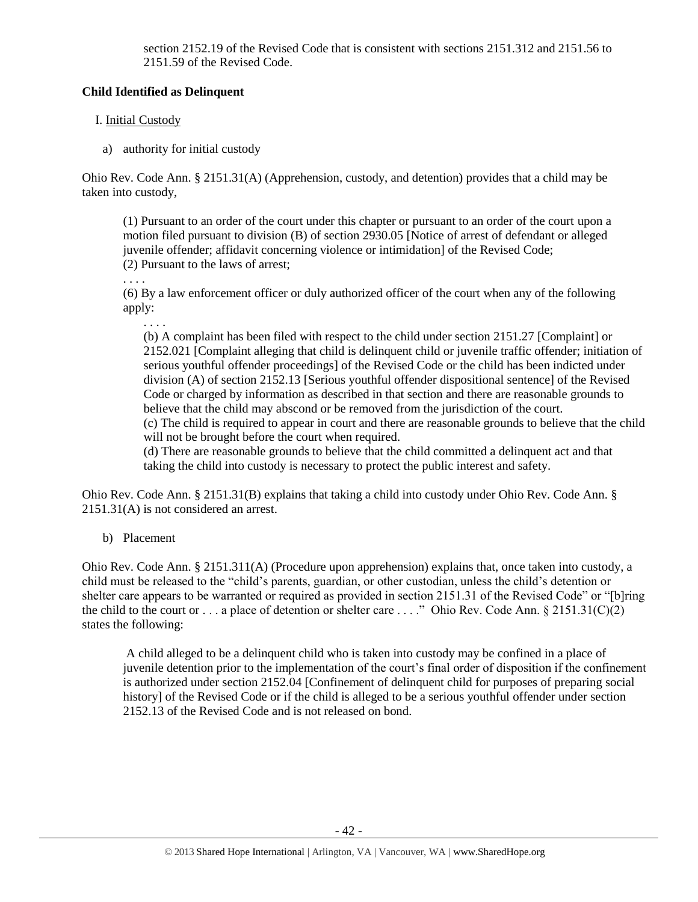section 2152.19 of the Revised Code that is consistent with sections 2151.312 and 2151.56 to 2151.59 of the Revised Code.

# **Child Identified as Delinquent**

# I. Initial Custody

a) authority for initial custody

Ohio Rev. Code Ann. § 2151.31(A) (Apprehension, custody, and detention) provides that a child may be taken into custody,

(1) Pursuant to an order of the court under this chapter or pursuant to an order of the court upon a motion filed pursuant to division (B) of section 2930.05 [Notice of arrest of defendant or alleged juvenile offender; affidavit concerning violence or intimidation] of the Revised Code; (2) Pursuant to the laws of arrest;

. . . .

(6) By a law enforcement officer or duly authorized officer of the court when any of the following apply:

. . . .

(b) A complaint has been filed with respect to the child under section 2151.27 [Complaint] or 2152.021 [Complaint alleging that child is delinquent child or juvenile traffic offender; initiation of serious youthful offender proceedings] of the Revised Code or the child has been indicted under division (A) of section 2152.13 [Serious youthful offender dispositional sentence] of the Revised Code or charged by information as described in that section and there are reasonable grounds to believe that the child may abscond or be removed from the jurisdiction of the court.

(c) The child is required to appear in court and there are reasonable grounds to believe that the child will not be brought before the court when required.

(d) There are reasonable grounds to believe that the child committed a delinquent act and that taking the child into custody is necessary to protect the public interest and safety.

Ohio Rev. Code Ann. § 2151.31(B) explains that taking a child into custody under Ohio Rev. Code Ann. § 2151.31(A) is not considered an arrest.

b) Placement

Ohio Rev. Code Ann. § 2151.311(A) (Procedure upon apprehension) explains that, once taken into custody, a child must be released to the "child's parents, guardian, or other custodian, unless the child's detention or shelter care appears to be warranted or required as provided in section 2151.31 of the Revised Code" or "[b]ring the child to the court or . . . a place of detention or shelter care . . . ." Ohio Rev. Code Ann. § 2151.31(C)(2) states the following:

A child alleged to be a delinquent child who is taken into custody may be confined in a place of juvenile detention prior to the implementation of the court's final order of disposition if the confinement is authorized under section 2152.04 [Confinement of delinquent child for purposes of preparing social history] of the Revised Code or if the child is alleged to be a serious youthful offender under section 2152.13 of the Revised Code and is not released on bond.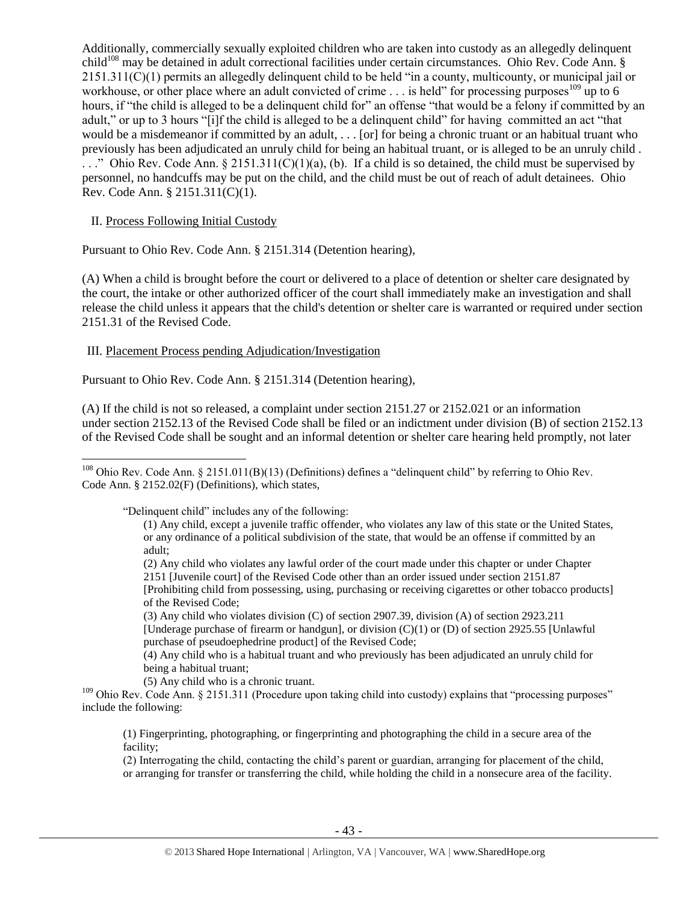Additionally, commercially sexually exploited children who are taken into custody as an allegedly delinquent child<sup>108</sup> may be detained in adult correctional facilities under certain circumstances. Ohio Rev. Code Ann. § 2151.311(C)(1) permits an allegedly delinquent child to be held "in a county, multicounty, or municipal jail or workhouse, or other place where an adult convicted of crime . . . is held" for processing purposes<sup>109</sup> up to 6 hours, if "the child is alleged to be a delinquent child for" an offense "that would be a felony if committed by an adult," or up to 3 hours "[i]f the child is alleged to be a delinquent child" for having committed an act "that would be a misdemeanor if committed by an adult, . . . [or] for being a chronic truant or an habitual truant who previously has been adjudicated an unruly child for being an habitual truant, or is alleged to be an unruly child . ..." Ohio Rev. Code Ann. § 2151.311(C)(1)(a), (b). If a child is so detained, the child must be supervised by personnel, no handcuffs may be put on the child, and the child must be out of reach of adult detainees. Ohio Rev. Code Ann. § 2151.311(C)(1).

# II. Process Following Initial Custody

 $\overline{\phantom{a}}$ 

Pursuant to Ohio Rev. Code Ann. § 2151.314 (Detention hearing),

(A) When a child is brought before the court or delivered to a place of detention or shelter care designated by the court, the intake or other authorized officer of the court shall immediately make an investigation and shall release the child unless it appears that the child's detention or shelter care is warranted or required under [section](https://a.next.westlaw.com/Link/Document/FullText?findType=L&pubNum=1000279&cite=OHSTS2151.31&originatingDoc=NADDC87705EC911DB8852FC25F2F5B472&refType=LQ&originationContext=document&transitionType=DocumentItem&contextData=(sc.Category))  [2151.31 of the Revised Code.](https://a.next.westlaw.com/Link/Document/FullText?findType=L&pubNum=1000279&cite=OHSTS2151.31&originatingDoc=NADDC87705EC911DB8852FC25F2F5B472&refType=LQ&originationContext=document&transitionType=DocumentItem&contextData=(sc.Category))

# III. Placement Process pending Adjudication/Investigation

Pursuant to Ohio Rev. Code Ann. § 2151.314 (Detention hearing),

(A) If the child is not so released, a complaint under section 2151.27 or 2152.021 or an information under [section 2152.13 of the Revised Code](https://a.next.westlaw.com/Link/Document/FullText?findType=L&pubNum=1000279&cite=OHSTS2152.13&originatingDoc=NADDC87705EC911DB8852FC25F2F5B472&refType=LQ&originationContext=document&transitionType=DocumentItem&contextData=(sc.Category)) shall be filed or an indictment under [division \(B\) of section 2152.13](https://a.next.westlaw.com/Link/Document/FullText?findType=L&pubNum=1000279&cite=OHSTS2152.13&originatingDoc=NADDC87705EC911DB8852FC25F2F5B472&refType=SP&originationContext=document&transitionType=DocumentItem&contextData=(sc.Category)#co_pp_47dd0000d9ea7)  [of the Revised Code](https://a.next.westlaw.com/Link/Document/FullText?findType=L&pubNum=1000279&cite=OHSTS2152.13&originatingDoc=NADDC87705EC911DB8852FC25F2F5B472&refType=SP&originationContext=document&transitionType=DocumentItem&contextData=(sc.Category)#co_pp_47dd0000d9ea7) shall be sought and an informal detention or shelter care hearing held promptly, not later

"Delinquent child" includes any of the following:

(5) Any child who is a chronic truant.

(1) Fingerprinting, photographing, or fingerprinting and photographing the child in a secure area of the facility;

(2) Interrogating the child, contacting the child's parent or guardian, arranging for placement of the child, or arranging for transfer or transferring the child, while holding the child in a nonsecure area of the facility.

<sup>&</sup>lt;sup>108</sup> Ohio Rev. Code Ann. § 2151.011(B)(13) (Definitions) defines a "delinquent child" by referring to Ohio Rev. Code Ann. § 2152.02(F) (Definitions), which states,

<sup>(1)</sup> Any child, except a juvenile traffic offender, who violates any law of this state or the United States, or any ordinance of a political subdivision of the state, that would be an offense if committed by an adult;

<sup>(2)</sup> Any child who violates any lawful order of the court made under this chapter or under Chapter 2151 [Juvenile court] of the Revised Code other than an order issued under section 2151.87 [Prohibiting child from possessing, using, purchasing or receiving cigarettes or other tobacco products] of the Revised Code;

<sup>(3)</sup> Any child who violates division (C) of section 2907.39, division (A) of section 2923.211 [Underage purchase of firearm or handgun], or division (C)(1) or (D) of section 2925.55 [Unlawful purchase of pseudoephedrine product] of the Revised Code;

<sup>(4)</sup> Any child who is a habitual truant and who previously has been adjudicated an unruly child for being a habitual truant;

<sup>&</sup>lt;sup>109</sup> Ohio Rev. Code Ann. § 2151.311 (Procedure upon taking child into custody) explains that "processing purposes" include the following: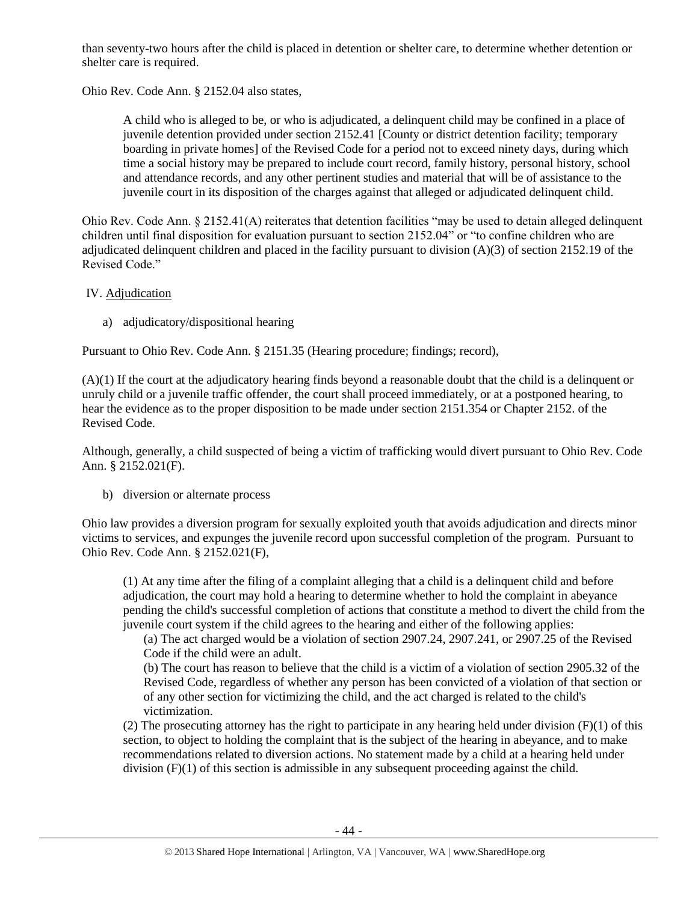than seventy-two hours after the child is placed in detention or shelter care, to determine whether detention or shelter care is required.

Ohio Rev. Code Ann. § 2152.04 also states,

A child who is alleged to be, or who is adjudicated, a delinquent child may be confined in a place of juvenile detention provided under section 2152.41 [County or district detention facility; temporary boarding in private homes] of the Revised Code for a period not to exceed ninety days, during which time a social history may be prepared to include court record, family history, personal history, school and attendance records, and any other pertinent studies and material that will be of assistance to the juvenile court in its disposition of the charges against that alleged or adjudicated delinquent child.

Ohio Rev. Code Ann. § 2152.41(A) reiterates that detention facilities "may be used to detain alleged delinquent children until final disposition for evaluation pursuant to section 2152.04" or "to confine children who are adjudicated delinquent children and placed in the facility pursuant to division (A)(3) of section 2152.19 of the Revised Code."

# IV. Adjudication

a) adjudicatory/dispositional hearing

Pursuant to Ohio Rev. Code Ann. § 2151.35 (Hearing procedure; findings; record),

(A)(1) If the court at the adjudicatory hearing finds beyond a reasonable doubt that the child is a delinquent or unruly child or a juvenile traffic offender, the court shall proceed immediately, or at a postponed hearing, to hear the evidence as to the proper disposition to be made under section 2151.354 or Chapter 2152. of the Revised Code.

Although, generally, a child suspected of being a victim of trafficking would divert pursuant to Ohio Rev. Code Ann. § 2152.021(F).

b) diversion or alternate process

Ohio law provides a diversion program for sexually exploited youth that avoids adjudication and directs minor victims to services, and expunges the juvenile record upon successful completion of the program. Pursuant to Ohio Rev. Code Ann. § 2152.021(F),

(1) At any time after the filing of a complaint alleging that a child is a delinquent child and before adjudication, the court may hold a hearing to determine whether to hold the complaint in abeyance pending the child's successful completion of actions that constitute a method to divert the child from the juvenile court system if the child agrees to the hearing and either of the following applies:

(a) The act charged would be a violation of section 2907.24, 2907.241, or 2907.25 of the Revised Code if the child were an adult.

(b) The court has reason to believe that the child is a victim of a violation of section 2905.32 of the Revised Code, regardless of whether any person has been convicted of a violation of that section or of any other section for victimizing the child, and the act charged is related to the child's victimization.

(2) The prosecuting attorney has the right to participate in any hearing held under division  $(F)(1)$  of this section, to object to holding the complaint that is the subject of the hearing in abeyance, and to make recommendations related to diversion actions. No statement made by a child at a hearing held under division  $(F)(1)$  of this section is admissible in any subsequent proceeding against the child.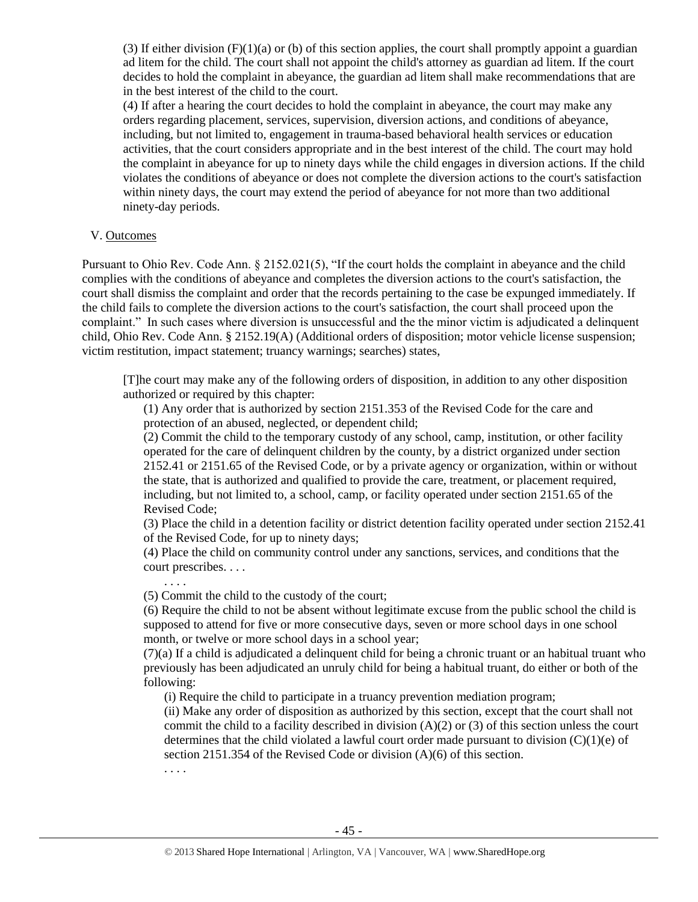(3) If either division  $(F)(1)(a)$  or (b) of this section applies, the court shall promptly appoint a guardian ad litem for the child. The court shall not appoint the child's attorney as guardian ad litem. If the court decides to hold the complaint in abeyance, the guardian ad litem shall make recommendations that are in the best interest of the child to the court.

(4) If after a hearing the court decides to hold the complaint in abeyance, the court may make any orders regarding placement, services, supervision, diversion actions, and conditions of abeyance, including, but not limited to, engagement in trauma-based behavioral health services or education activities, that the court considers appropriate and in the best interest of the child. The court may hold the complaint in abeyance for up to ninety days while the child engages in diversion actions. If the child violates the conditions of abeyance or does not complete the diversion actions to the court's satisfaction within ninety days, the court may extend the period of abeyance for not more than two additional ninety-day periods.

# V. Outcomes

Pursuant to Ohio Rev. Code Ann. § 2152.021(5), "If the court holds the complaint in abeyance and the child complies with the conditions of abeyance and completes the diversion actions to the court's satisfaction, the court shall dismiss the complaint and order that the records pertaining to the case be expunged immediately. If the child fails to complete the diversion actions to the court's satisfaction, the court shall proceed upon the complaint." In such cases where diversion is unsuccessful and the the minor victim is adjudicated a delinquent child, Ohio Rev. Code Ann. § 2152.19(A) (Additional orders of disposition; motor vehicle license suspension; victim restitution, impact statement; truancy warnings; searches) states,

[T]he court may make any of the following orders of disposition, in addition to any other disposition authorized or required by this chapter:

(1) Any order that is authorized by section 2151.353 of the Revised Code for the care and protection of an abused, neglected, or dependent child;

(2) Commit the child to the temporary custody of any school, camp, institution, or other facility operated for the care of delinquent children by the county, by a district organized under section 2152.41 or 2151.65 of the Revised Code, or by a private agency or organization, within or without the state, that is authorized and qualified to provide the care, treatment, or placement required, including, but not limited to, a school, camp, or facility operated under section 2151.65 of the Revised Code;

(3) Place the child in a detention facility or district detention facility operated under section 2152.41 of the Revised Code, for up to ninety days;

(4) Place the child on community control under any sanctions, services, and conditions that the court prescribes. . . .

(5) Commit the child to the custody of the court;

(6) Require the child to not be absent without legitimate excuse from the public school the child is supposed to attend for five or more consecutive days, seven or more school days in one school month, or twelve or more school days in a school year;

(7)(a) If a child is adjudicated a delinquent child for being a chronic truant or an habitual truant who previously has been adjudicated an unruly child for being a habitual truant, do either or both of the following:

(i) Require the child to participate in a truancy prevention mediation program;

(ii) Make any order of disposition as authorized by this section, except that the court shall not commit the child to a facility described in division  $(A)(2)$  or (3) of this section unless the court determines that the child violated a lawful court order made pursuant to division  $(C)(1)(e)$  of section 2151.354 of the Revised Code or division (A)(6) of this section.

. . . .

. . . .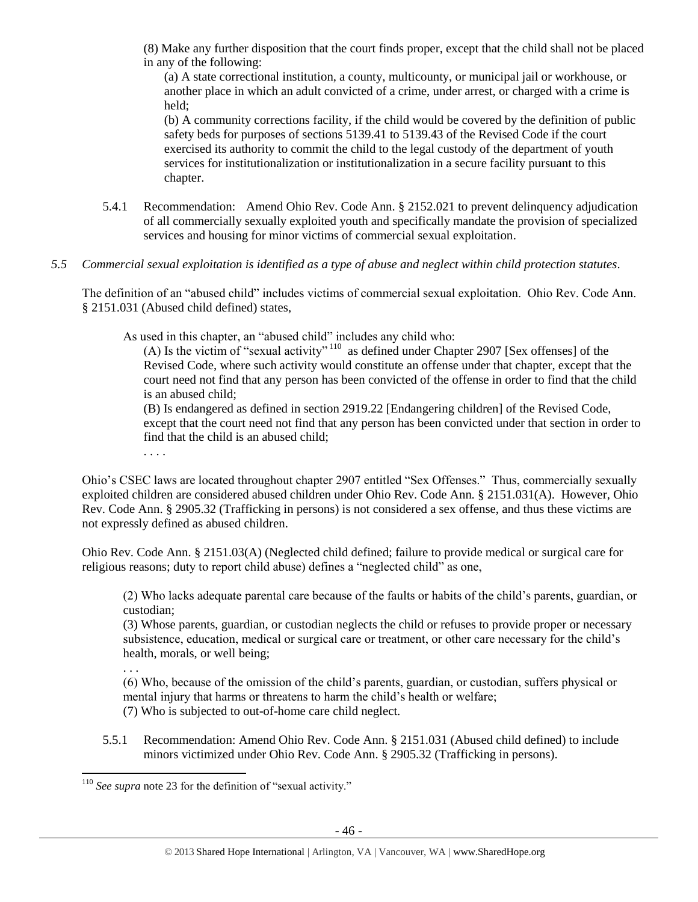(8) Make any further disposition that the court finds proper, except that the child shall not be placed in any of the following:

(a) A state correctional institution, a county, multicounty, or municipal jail or workhouse, or another place in which an adult convicted of a crime, under arrest, or charged with a crime is held;

(b) A community corrections facility, if the child would be covered by the definition of public safety beds for purposes of sections 5139.41 to 5139.43 of the Revised Code if the court exercised its authority to commit the child to the legal custody of the department of youth services for institutionalization or institutionalization in a secure facility pursuant to this chapter.

- 5.4.1 Recommendation: Amend Ohio Rev. Code Ann. § 2152.021 to prevent delinquency adjudication of all commercially sexually exploited youth and specifically mandate the provision of specialized services and housing for minor victims of commercial sexual exploitation.
- *5.5 Commercial sexual exploitation is identified as a type of abuse and neglect within child protection statutes.*

The definition of an "abused child" includes victims of commercial sexual exploitation. Ohio Rev. Code Ann. § 2151.031 (Abused child defined) states,

As used in this chapter, an "abused child" includes any child who:

(A) Is the victim of "sexual activity"<sup>110</sup> as defined under Chapter 2907 [Sex offenses] of the Revised Code, where such activity would constitute an offense under that chapter, except that the court need not find that any person has been convicted of the offense in order to find that the child is an abused child;

(B) Is endangered as defined in section 2919.22 [Endangering children] of the Revised Code, except that the court need not find that any person has been convicted under that section in order to find that the child is an abused child;

. . . .

. . .

Ohio's CSEC laws are located throughout chapter 2907 entitled "Sex Offenses." Thus, commercially sexually exploited children are considered abused children under Ohio Rev. Code Ann. § 2151.031(A). However, Ohio Rev. Code Ann. § 2905.32 (Trafficking in persons) is not considered a sex offense, and thus these victims are not expressly defined as abused children.

Ohio Rev. Code Ann. § 2151.03(A) (Neglected child defined; failure to provide medical or surgical care for religious reasons; duty to report child abuse) defines a "neglected child" as one,

(2) Who lacks adequate parental care because of the faults or habits of the child's parents, guardian, or custodian;

(3) Whose parents, guardian, or custodian neglects the child or refuses to provide proper or necessary subsistence, education, medical or surgical care or treatment, or other care necessary for the child's health, morals, or well being;

(6) Who, because of the omission of the child's parents, guardian, or custodian, suffers physical or mental injury that harms or threatens to harm the child's health or welfare; (7) Who is subjected to out-of-home care child neglect.

5.5.1 Recommendation: Amend Ohio Rev. Code Ann. § 2151.031 (Abused child defined) to include minors victimized under Ohio Rev. Code Ann. § 2905.32 (Trafficking in persons).

 $\overline{\phantom{a}}$ <sup>110</sup> See supra not[e 23](#page-6-2) for the definition of "sexual activity."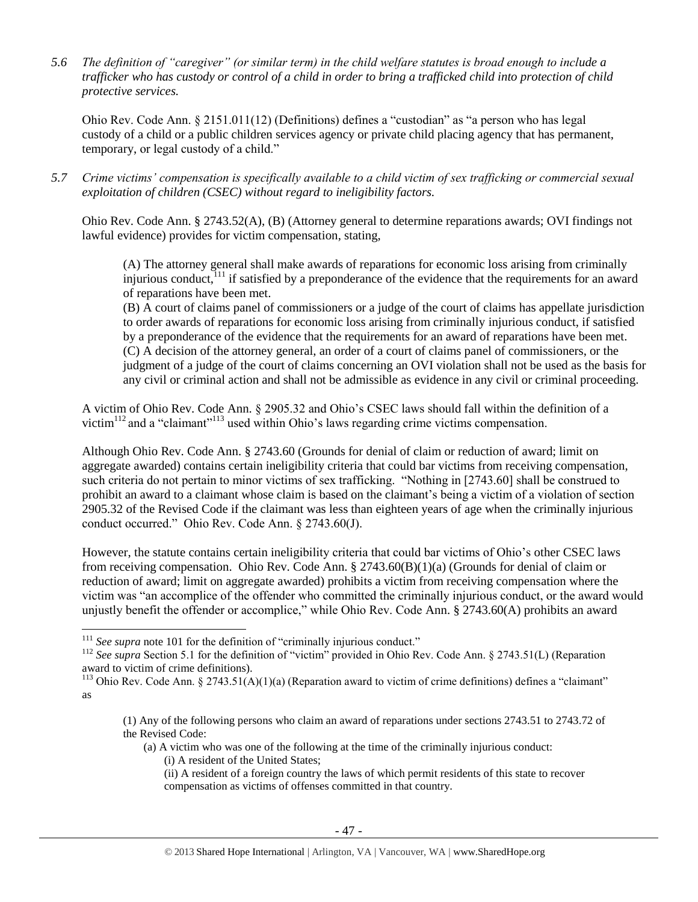*5.6 The definition of "caregiver" (or similar term) in the child welfare statutes is broad enough to include a trafficker who has custody or control of a child in order to bring a trafficked child into protection of child protective services.*

Ohio Rev. Code Ann. § 2151.011(12) (Definitions) defines a "custodian" as "a person who has legal custody of a child or a public children services agency or private child placing agency that has permanent, temporary, or legal custody of a child."

*5.7 Crime victims' compensation is specifically available to a child victim of sex trafficking or commercial sexual exploitation of children (CSEC) without regard to ineligibility factors.*

Ohio Rev. Code Ann. § 2743.52(A), (B) (Attorney general to determine reparations awards; OVI findings not lawful evidence) provides for victim compensation, stating,

(A) The attorney general shall make awards of reparations for economic loss arising from criminally injurious conduct, $111$  if satisfied by a preponderance of the evidence that the requirements for an award of reparations have been met.

(B) A court of claims panel of commissioners or a judge of the court of claims has appellate jurisdiction to order awards of reparations for economic loss arising from criminally injurious conduct, if satisfied by a preponderance of the evidence that the requirements for an award of reparations have been met. (C) A decision of the attorney general, an order of a court of claims panel of commissioners, or the judgment of a judge of the court of claims concerning an OVI violation shall not be used as the basis for any civil or criminal action and shall not be admissible as evidence in any civil or criminal proceeding.

A victim of Ohio Rev. Code Ann. § 2905.32 and Ohio's CSEC laws should fall within the definition of a victim<sup>112</sup> and a "claimant"<sup>113</sup> used within Ohio's laws regarding crime victims compensation.

Although Ohio Rev. Code Ann. § 2743.60 (Grounds for denial of claim or reduction of award; limit on aggregate awarded) contains certain ineligibility criteria that could bar victims from receiving compensation, such criteria do not pertain to minor victims of sex trafficking. "Nothing in [2743.60] shall be construed to prohibit an award to a claimant whose claim is based on the claimant's being a victim of a violation of section 2905.32 of the Revised Code if the claimant was less than eighteen years of age when the criminally injurious conduct occurred." Ohio Rev. Code Ann. § 2743.60(J).

However, the statute contains certain ineligibility criteria that could bar victims of Ohio's other CSEC laws from receiving compensation. Ohio Rev. Code Ann. § 2743.60(B)(1)(a) (Grounds for denial of claim or reduction of award; limit on aggregate awarded) prohibits a victim from receiving compensation where the victim was "an accomplice of the offender who committed the criminally injurious conduct, or the award would unjustly benefit the offender or accomplice," while Ohio Rev. Code Ann. § 2743.60(A) prohibits an award

 $\overline{a}$ 

(1) Any of the following persons who claim an award of reparations under sections 2743.51 to 2743.72 of the Revised Code:

- (a) A victim who was one of the following at the time of the criminally injurious conduct: (i) A resident of the United States;
	- (ii) A resident of a foreign country the laws of which permit residents of this state to recover compensation as victims of offenses committed in that country.

<sup>&</sup>lt;sup>111</sup> See supra not[e 101](#page-32-0) for the definition of "criminally injurious conduct."

<sup>&</sup>lt;sup>112</sup> See supra Section 5.1 for the definition of "victim" provided in Ohio Rev. Code Ann. § 2743.51(L) (Reparation award to victim of crime definitions).

<sup>&</sup>lt;sup>113</sup> Ohio Rev. Code Ann. § 2743.51(A)(1)(a) (Reparation award to victim of crime definitions) defines a "claimant" as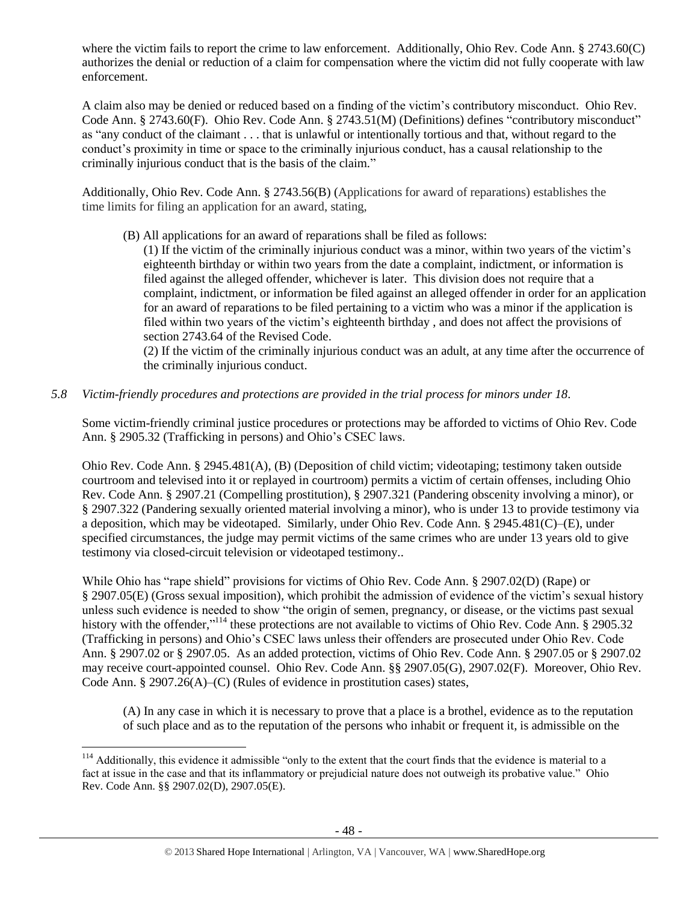where the victim fails to report the crime to law enforcement. Additionally, Ohio Rev. Code Ann. § 2743.60(C) authorizes the denial or reduction of a claim for compensation where the victim did not fully cooperate with law enforcement.

A claim also may be denied or reduced based on a finding of the victim's contributory misconduct. Ohio Rev. Code Ann. § 2743.60(F). Ohio Rev. Code Ann. § 2743.51(M) (Definitions) defines "contributory misconduct" as "any conduct of the claimant . . . that is unlawful or intentionally tortious and that, without regard to the conduct's proximity in time or space to the criminally injurious conduct, has a causal relationship to the criminally injurious conduct that is the basis of the claim."

Additionally, Ohio Rev. Code Ann. § 2743.56(B) (Applications for award of reparations) establishes the time limits for filing an application for an award, stating,

(B) All applications for an award of reparations shall be filed as follows:

(1) If the victim of the criminally injurious conduct was a minor, within two years of the victim's eighteenth birthday or within two years from the date a complaint, indictment, or information is filed against the alleged offender, whichever is later. This division does not require that a complaint, indictment, or information be filed against an alleged offender in order for an application for an award of reparations to be filed pertaining to a victim who was a minor if the application is filed within two years of the victim's eighteenth birthday , and does not affect the provisions of section 2743.64 of the Revised Code.

(2) If the victim of the criminally injurious conduct was an adult, at any time after the occurrence of the criminally injurious conduct.

*5.8 Victim-friendly procedures and protections are provided in the trial process for minors under 18.*

Some victim-friendly criminal justice procedures or protections may be afforded to victims of Ohio Rev. Code Ann. § 2905.32 (Trafficking in persons) and Ohio's CSEC laws.

Ohio Rev. Code Ann. § 2945.481(A), (B) (Deposition of child victim; videotaping; testimony taken outside courtroom and televised into it or replayed in courtroom) permits a victim of certain offenses, including Ohio Rev. Code Ann. § 2907.21 (Compelling prostitution), § 2907.321 (Pandering obscenity involving a minor), or § 2907.322 (Pandering sexually oriented material involving a minor), who is under 13 to provide testimony via a deposition, which may be videotaped. Similarly, under Ohio Rev. Code Ann. § 2945.481(C)–(E), under specified circumstances, the judge may permit victims of the same crimes who are under 13 years old to give testimony via closed-circuit television or videotaped testimony..

While Ohio has "rape shield" provisions for victims of Ohio Rev. Code Ann. § 2907.02(D) (Rape) or § 2907.05(E) (Gross sexual imposition), which prohibit the admission of evidence of the victim's sexual history unless such evidence is needed to show "the origin of semen, pregnancy, or disease, or the victims past sexual history with the offender,"<sup>114</sup> these protections are not available to victims of Ohio Rev. Code Ann. § 2905.32 (Trafficking in persons) and Ohio's CSEC laws unless their offenders are prosecuted under Ohio Rev. Code Ann. § 2907.02 or § 2907.05. As an added protection, victims of Ohio Rev. Code Ann. § 2907.05 or § 2907.02 may receive court-appointed counsel. Ohio Rev. Code Ann. §§ 2907.05(G), 2907.02(F). Moreover, Ohio Rev. Code Ann. § 2907.26(A)–(C) (Rules of evidence in prostitution cases) states,

(A) In any case in which it is necessary to prove that a place is a brothel, evidence as to the reputation of such place and as to the reputation of the persons who inhabit or frequent it, is admissible on the

 $\overline{\phantom{a}}$ <sup>114</sup> Additionally, this evidence it admissible "only to the extent that the court finds that the evidence is material to a fact at issue in the case and that its inflammatory or prejudicial nature does not outweigh its probative value." Ohio Rev. Code Ann. §§ 2907.02(D), 2907.05(E).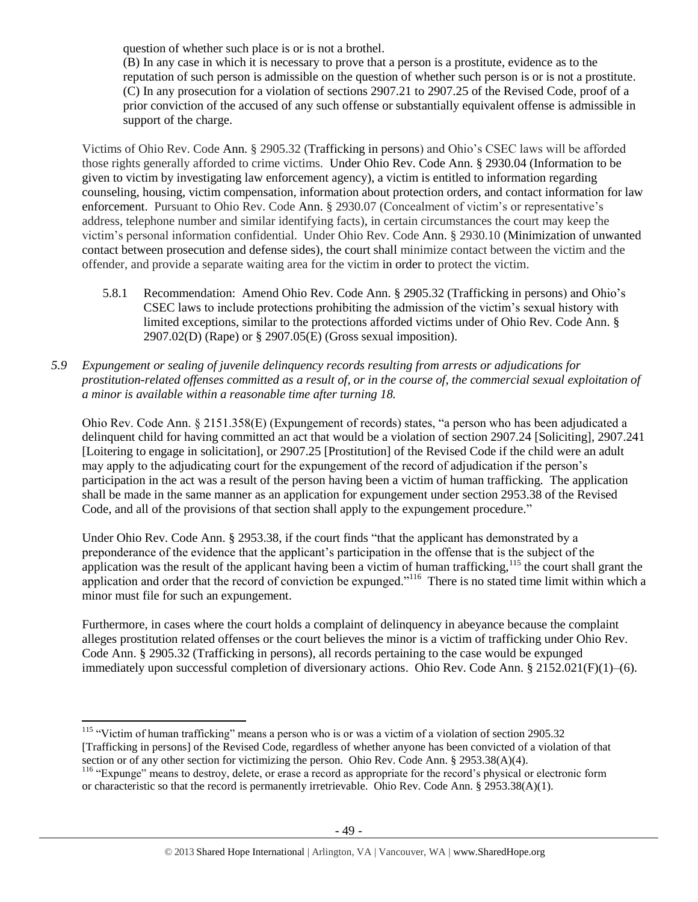question of whether such place is or is not a brothel.

(B) In any case in which it is necessary to prove that a person is a prostitute, evidence as to the reputation of such person is admissible on the question of whether such person is or is not a prostitute. (C) In any prosecution for a violation of sections 2907.21 to 2907.25 of the Revised Code, proof of a prior conviction of the accused of any such offense or substantially equivalent offense is admissible in support of the charge.

Victims of Ohio Rev. Code Ann. § 2905.32 (Trafficking in persons) and Ohio's CSEC laws will be afforded those rights generally afforded to crime victims. Under Ohio Rev. Code Ann. § 2930.04 (Information to be given to victim by investigating law enforcement agency), a victim is entitled to information regarding counseling, housing, victim compensation, information about protection orders, and contact information for law enforcement. Pursuant to Ohio Rev. Code Ann. § 2930.07 (Concealment of victim's or representative's address, telephone number and similar identifying facts), in certain circumstances the court may keep the victim's personal information confidential. Under Ohio Rev. Code Ann. § 2930.10 (Minimization of unwanted contact between prosecution and defense sides), the court shall minimize contact between the victim and the offender, and provide a separate waiting area for the victim in order to protect the victim.

- 5.8.1 Recommendation: Amend Ohio Rev. Code Ann. § 2905.32 (Trafficking in persons) and Ohio's CSEC laws to include protections prohibiting the admission of the victim's sexual history with limited exceptions, similar to the protections afforded victims under of Ohio Rev. Code Ann. § 2907.02(D) (Rape) or § 2907.05(E) (Gross sexual imposition).
- *5.9 Expungement or sealing of juvenile delinquency records resulting from arrests or adjudications for prostitution-related offenses committed as a result of, or in the course of, the commercial sexual exploitation of a minor is available within a reasonable time after turning 18.*

Ohio Rev. Code Ann. § 2151.358(E) (Expungement of records) states, "a person who has been adjudicated a delinquent child for having committed an act that would be a violation of section 2907.24 [Soliciting], 2907.241 [Loitering to engage in solicitation], or 2907.25 [Prostitution] of the Revised Code if the child were an adult may apply to the adjudicating court for the expungement of the record of adjudication if the person's participation in the act was a result of the person having been a victim of human trafficking. The application shall be made in the same manner as an application for expungement under section 2953.38 of the Revised Code, and all of the provisions of that section shall apply to the expungement procedure."

Under Ohio Rev. Code Ann. § 2953.38, if the court finds "that the applicant has demonstrated by a preponderance of the evidence that the applicant's participation in the offense that is the subject of the application was the result of the applicant having been a victim of human trafficking,<sup>115</sup> the court shall grant the application and order that the record of conviction be expunged."<sup>116</sup> There is no stated time limit within which a minor must file for such an expungement.

Furthermore, in cases where the court holds a complaint of delinquency in abeyance because the complaint alleges prostitution related offenses or the court believes the minor is a victim of trafficking under Ohio Rev. Code Ann. § 2905.32 (Trafficking in persons), all records pertaining to the case would be expunged immediately upon successful completion of diversionary actions. Ohio Rev. Code Ann.  $\S 2152.021(F)(1)–(6)$ .

 $\overline{a}$ <sup>115</sup> "Victim of human trafficking" means a person who is or was a victim of a violation of section 2905.32 [Trafficking in persons] of the Revised Code, regardless of whether anyone has been convicted of a violation of that section or of any other section for victimizing the person. Ohio Rev. Code Ann. § 2953.38(A)(4).

<sup>&</sup>lt;sup>116</sup> "Expunge" means to destroy, delete, or erase a record as appropriate for the record's physical or electronic form or characteristic so that the record is permanently irretrievable. Ohio Rev. Code Ann. § 2953.38(A)(1).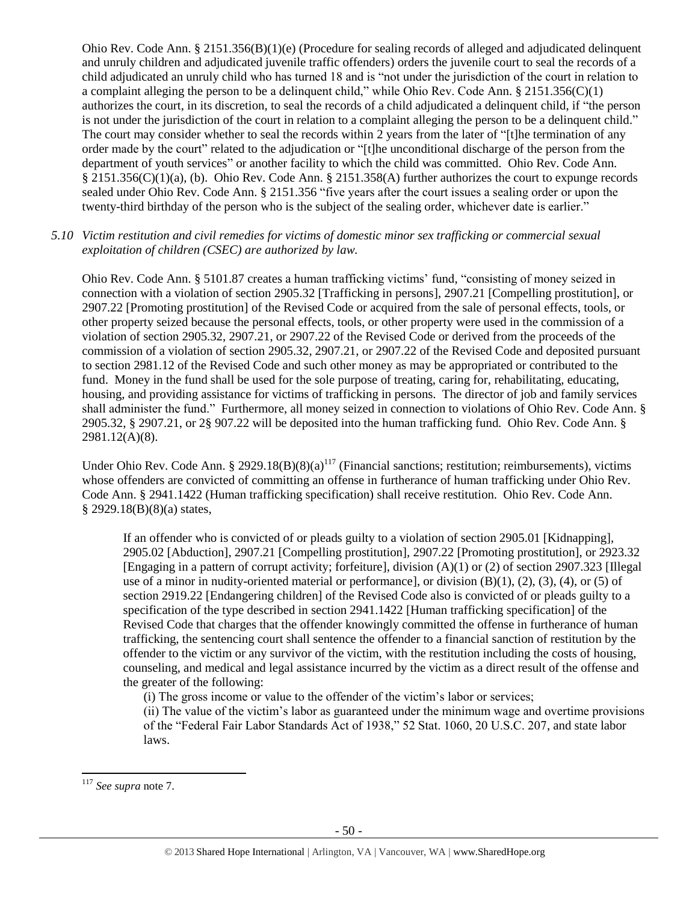Ohio Rev. Code Ann. § 2151.356(B)(1)(e) (Procedure for sealing records of alleged and adjudicated delinquent and unruly children and adjudicated juvenile traffic offenders) orders the juvenile court to seal the records of a child adjudicated an unruly child who has turned 18 and is "not under the jurisdiction of the court in relation to a complaint alleging the person to be a delinquent child," while Ohio Rev. Code Ann. § 2151.356(C)(1) authorizes the court, in its discretion, to seal the records of a child adjudicated a delinquent child, if "the person is not under the jurisdiction of the court in relation to a complaint alleging the person to be a delinquent child." The court may consider whether to seal the records within 2 years from the later of "[t]he termination of any order made by the court" related to the adjudication or "[t]he unconditional discharge of the person from the department of youth services" or another facility to which the child was committed. Ohio Rev. Code Ann. § 2151.356(C)(1)(a), (b). Ohio Rev. Code Ann. § 2151.358(A) further authorizes the court to expunge records sealed under Ohio Rev. Code Ann. § 2151.356 "five years after the court issues a sealing order or upon the twenty-third birthday of the person who is the subject of the sealing order, whichever date is earlier."

## *5.10 Victim restitution and civil remedies for victims of domestic minor sex trafficking or commercial sexual exploitation of children (CSEC) are authorized by law.*

Ohio Rev. Code Ann. § 5101.87 creates a human trafficking victims' fund, "consisting of money seized in connection with a violation of section 2905.32 [Trafficking in persons], 2907.21 [Compelling prostitution], or 2907.22 [Promoting prostitution] of the Revised Code or acquired from the sale of personal effects, tools, or other property seized because the personal effects, tools, or other property were used in the commission of a violation of section 2905.32, 2907.21, or 2907.22 of the Revised Code or derived from the proceeds of the commission of a violation of section 2905.32, 2907.21, or 2907.22 of the Revised Code and deposited pursuant to section 2981.12 of the Revised Code and such other money as may be appropriated or contributed to the fund. Money in the fund shall be used for the sole purpose of treating, caring for, rehabilitating, educating, housing, and providing assistance for victims of trafficking in persons. The director of job and family services shall administer the fund." Furthermore, all money seized in connection to violations of Ohio Rev. Code Ann. § 2905.32, § 2907.21, or 2§ 907.22 will be deposited into the human trafficking fund. Ohio Rev. Code Ann. § 2981.12(A)(8).

Under Ohio Rev. Code Ann. § 2929.18(B)(8)(a)<sup>117</sup> (Financial sanctions; restitution; reimbursements), victims whose offenders are convicted of committing an offense in furtherance of human trafficking under Ohio Rev. Code Ann. § 2941.1422 (Human trafficking specification) shall receive restitution. Ohio Rev. Code Ann. § 2929.18(B)(8)(a) states,

If an offender who is convicted of or pleads guilty to a violation of section 2905.01 [Kidnapping], 2905.02 [Abduction], 2907.21 [Compelling prostitution], 2907.22 [Promoting prostitution], or 2923.32 [Engaging in a pattern of corrupt activity; forfeiture], division (A)(1) or (2) of section 2907.323 [Illegal use of a minor in nudity-oriented material or performance], or division  $(B)(1)$ ,  $(2)$ ,  $(3)$ ,  $(4)$ , or  $(5)$  of section 2919.22 [Endangering children] of the Revised Code also is convicted of or pleads guilty to a specification of the type described in section 2941.1422 [Human trafficking specification] of the Revised Code that charges that the offender knowingly committed the offense in furtherance of human trafficking, the sentencing court shall sentence the offender to a financial sanction of restitution by the offender to the victim or any survivor of the victim, with the restitution including the costs of housing, counseling, and medical and legal assistance incurred by the victim as a direct result of the offense and the greater of the following:

(i) The gross income or value to the offender of the victim's labor or services;

(ii) The value of the victim's labor as guaranteed under the minimum wage and overtime provisions of the "Federal Fair Labor Standards Act of 1938," 52 Stat. 1060, 20 U.S.C. 207, and state labor laws.

 $\overline{\phantom{a}}$ 

<sup>117</sup> *See supra* not[e 7.](#page-1-1)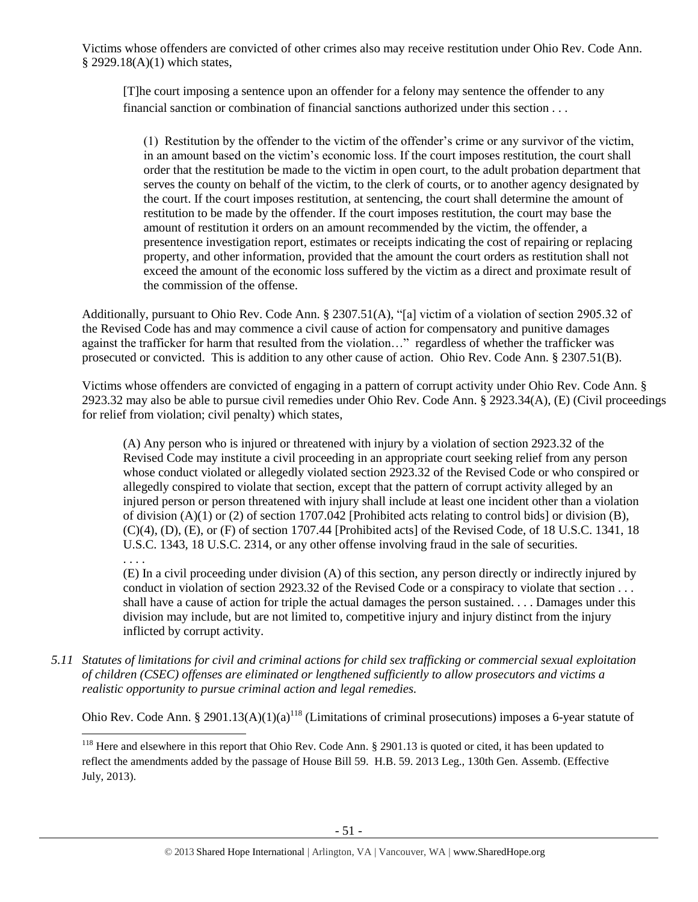Victims whose offenders are convicted of other crimes also may receive restitution under Ohio Rev. Code Ann. § 2929.18(A)(1) which states,

[T]he court imposing a sentence upon an offender for a felony may sentence the offender to any financial sanction or combination of financial sanctions authorized under this section . . .

(1) Restitution by the offender to the victim of the offender's crime or any survivor of the victim, in an amount based on the victim's economic loss. If the court imposes restitution, the court shall order that the restitution be made to the victim in open court, to the adult probation department that serves the county on behalf of the victim, to the clerk of courts, or to another agency designated by the court. If the court imposes restitution, at sentencing, the court shall determine the amount of restitution to be made by the offender. If the court imposes restitution, the court may base the amount of restitution it orders on an amount recommended by the victim, the offender, a presentence investigation report, estimates or receipts indicating the cost of repairing or replacing property, and other information, provided that the amount the court orders as restitution shall not exceed the amount of the economic loss suffered by the victim as a direct and proximate result of the commission of the offense.

Additionally, pursuant to Ohio Rev. Code Ann. § 2307.51(A), "[a] victim of a violation of section 2905.32 of the Revised Code has and may commence a civil cause of action for compensatory and punitive damages against the trafficker for harm that resulted from the violation…" regardless of whether the trafficker was prosecuted or convicted. This is addition to any other cause of action. Ohio Rev. Code Ann. § 2307.51(B).

Victims whose offenders are convicted of engaging in a pattern of corrupt activity under Ohio Rev. Code Ann. § 2923.32 may also be able to pursue civil remedies under Ohio Rev. Code Ann. § 2923.34(A), (E) (Civil proceedings for relief from violation; civil penalty) which states,

(A) Any person who is injured or threatened with injury by a violation of section 2923.32 of the Revised Code may institute a civil proceeding in an appropriate court seeking relief from any person whose conduct violated or allegedly violated section 2923.32 of the Revised Code or who conspired or allegedly conspired to violate that section, except that the pattern of corrupt activity alleged by an injured person or person threatened with injury shall include at least one incident other than a violation of division (A)(1) or (2) of section 1707.042 [Prohibited acts relating to control bids] or division (B),  $(C)(4)$ ,  $(D)$ ,  $(E)$ , or  $(F)$  of section 1707.44 [Prohibited acts] of the Revised Code, of 18 U.S.C. 1341, 18 U.S.C. 1343, 18 U.S.C. 2314, or any other offense involving fraud in the sale of securities. . . . .

(E) In a civil proceeding under division (A) of this section, any person directly or indirectly injured by conduct in violation of section 2923.32 of the Revised Code or a conspiracy to violate that section . . . shall have a cause of action for triple the actual damages the person sustained. . . . Damages under this division may include, but are not limited to, competitive injury and injury distinct from the injury inflicted by corrupt activity.

*5.11 Statutes of limitations for civil and criminal actions for child sex trafficking or commercial sexual exploitation of children (CSEC) offenses are eliminated or lengthened sufficiently to allow prosecutors and victims a realistic opportunity to pursue criminal action and legal remedies.*

Ohio Rev. Code Ann. § 2901.13(A)(1)(a)<sup>118</sup> (Limitations of criminal prosecutions) imposes a 6-year statute of

 $\overline{\phantom{a}}$ <sup>118</sup> Here and elsewhere in this report that Ohio Rev. Code Ann.  $\S$  2901.13 is quoted or cited, it has been updated to reflect the amendments added by the passage of House Bill 59. H.B. 59. 2013 Leg., 130th Gen. Assemb. (Effective July, 2013).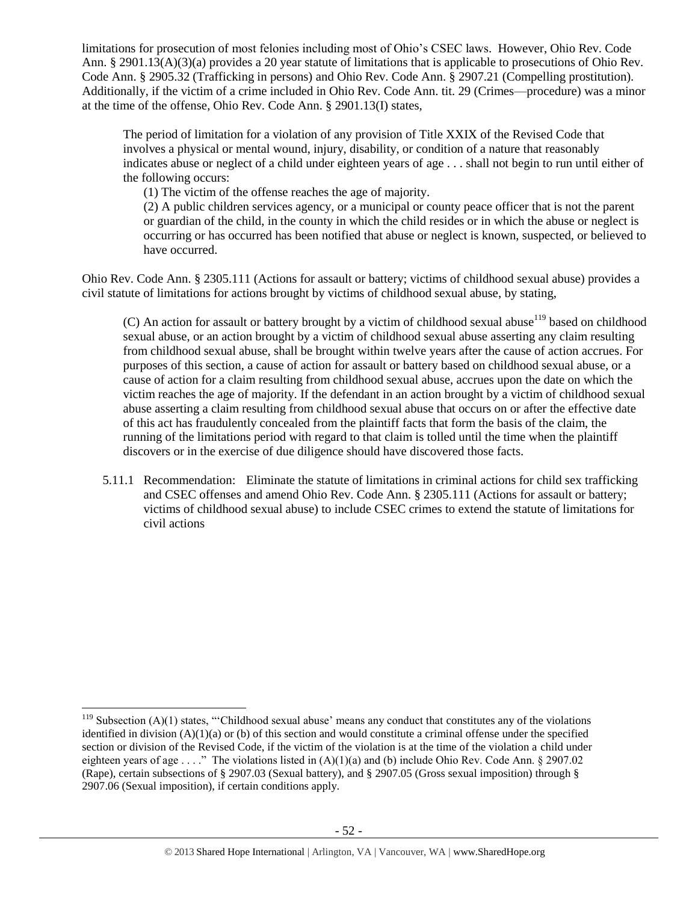limitations for prosecution of most felonies including most of Ohio's CSEC laws. However, Ohio Rev. Code Ann. § 2901.13(A)(3)(a) provides a 20 year statute of limitations that is applicable to prosecutions of Ohio Rev. Code Ann. § 2905.32 (Trafficking in persons) and Ohio Rev. Code Ann. § 2907.21 (Compelling prostitution). Additionally, if the victim of a crime included in Ohio Rev. Code Ann. tit. 29 (Crimes—procedure) was a minor at the time of the offense, Ohio Rev. Code Ann. § 2901.13(I) states,

The period of limitation for a violation of any provision of Title XXIX of the Revised Code that involves a physical or mental wound, injury, disability, or condition of a nature that reasonably indicates abuse or neglect of a child under eighteen years of age . . . shall not begin to run until either of the following occurs:

(1) The victim of the offense reaches the age of majority.

(2) A public children services agency, or a municipal or county peace officer that is not the parent or guardian of the child, in the county in which the child resides or in which the abuse or neglect is occurring or has occurred has been notified that abuse or neglect is known, suspected, or believed to have occurred.

Ohio Rev. Code Ann. § 2305.111 (Actions for assault or battery; victims of childhood sexual abuse) provides a civil statute of limitations for actions brought by victims of childhood sexual abuse, by stating,

(C) An action for assault or battery brought by a victim of childhood sexual abuse<sup>119</sup> based on childhood sexual abuse, or an action brought by a victim of childhood sexual abuse asserting any claim resulting from childhood sexual abuse, shall be brought within twelve years after the cause of action accrues. For purposes of this section, a cause of action for assault or battery based on childhood sexual abuse, or a cause of action for a claim resulting from childhood sexual abuse, accrues upon the date on which the victim reaches the age of majority. If the defendant in an action brought by a victim of childhood sexual abuse asserting a claim resulting from childhood sexual abuse that occurs on or after the effective date of this act has fraudulently concealed from the plaintiff facts that form the basis of the claim, the running of the limitations period with regard to that claim is tolled until the time when the plaintiff discovers or in the exercise of due diligence should have discovered those facts.

5.11.1 Recommendation: Eliminate the statute of limitations in criminal actions for child sex trafficking and CSEC offenses and amend Ohio Rev. Code Ann. § 2305.111 (Actions for assault or battery; victims of childhood sexual abuse) to include CSEC crimes to extend the statute of limitations for civil actions

l

 $119$  Subsection (A)(1) states, "'Childhood sexual abuse' means any conduct that constitutes any of the violations identified in division  $(A)(1)(a)$  or (b) of this section and would constitute a criminal offense under the specified section or division of the Revised Code, if the victim of the violation is at the time of the violation a child under eighteen years of age . . . ." The violations listed in  $(A)(1)(a)$  and (b) include Ohio Rev. Code Ann. § 2907.02 (Rape), certain subsections of § 2907.03 (Sexual battery), and § 2907.05 (Gross sexual imposition) through § 2907.06 (Sexual imposition), if certain conditions apply.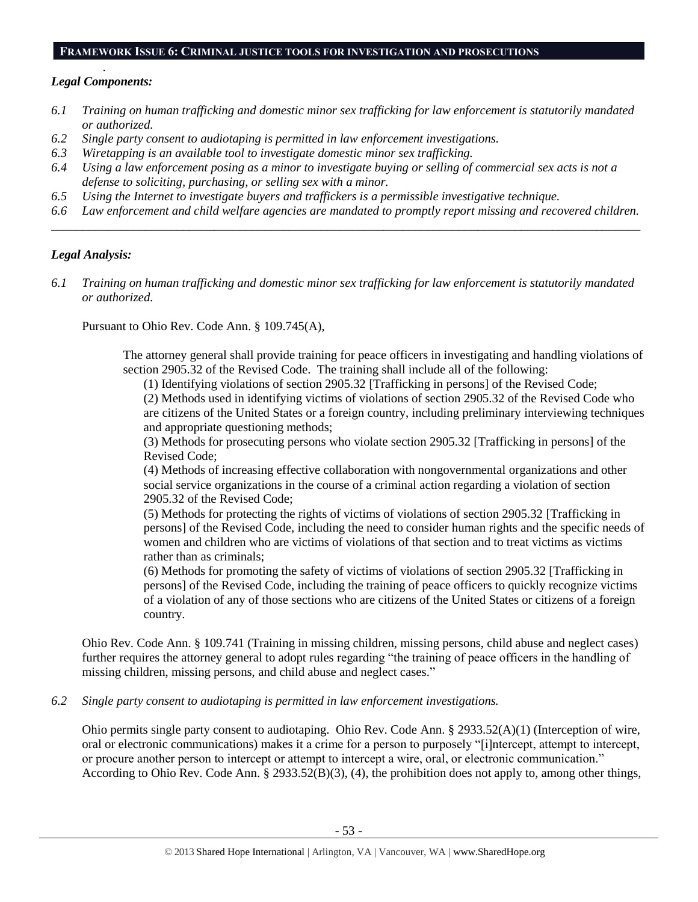#### **FRAMEWORK ISSUE 6: CRIMINAL JUSTICE TOOLS FOR INVESTIGATION AND PROSECUTIONS**

#### . *Legal Components:*

- *6.1 Training on human trafficking and domestic minor sex trafficking for law enforcement is statutorily mandated or authorized.*
- *6.2 Single party consent to audiotaping is permitted in law enforcement investigations.*
- *6.3 Wiretapping is an available tool to investigate domestic minor sex trafficking.*
- *6.4 Using a law enforcement posing as a minor to investigate buying or selling of commercial sex acts is not a defense to soliciting, purchasing, or selling sex with a minor.*
- *6.5 Using the Internet to investigate buyers and traffickers is a permissible investigative technique.*
- *6.6 Law enforcement and child welfare agencies are mandated to promptly report missing and recovered children. \_\_\_\_\_\_\_\_\_\_\_\_\_\_\_\_\_\_\_\_\_\_\_\_\_\_\_\_\_\_\_\_\_\_\_\_\_\_\_\_\_\_\_\_\_\_\_\_\_\_\_\_\_\_\_\_\_\_\_\_\_\_\_\_\_\_\_\_\_\_\_\_\_\_\_\_\_\_\_\_\_\_\_\_\_\_\_\_\_\_\_\_\_\_*

# *Legal Analysis:*

*6.1 Training on human trafficking and domestic minor sex trafficking for law enforcement is statutorily mandated or authorized.*

Pursuant to Ohio Rev. Code Ann. § 109.745(A),

The attorney general shall provide training for peace officers in investigating and handling violations of section 2905.32 of the Revised Code. The training shall include all of the following:

(1) Identifying violations of section 2905.32 [Trafficking in persons] of the Revised Code;

(2) Methods used in identifying victims of violations of section 2905.32 of the Revised Code who are citizens of the United States or a foreign country, including preliminary interviewing techniques and appropriate questioning methods;

(3) Methods for prosecuting persons who violate section 2905.32 [Trafficking in persons] of the Revised Code;

(4) Methods of increasing effective collaboration with nongovernmental organizations and other social service organizations in the course of a criminal action regarding a violation of section 2905.32 of the Revised Code;

(5) Methods for protecting the rights of victims of violations of section 2905.32 [Trafficking in persons] of the Revised Code, including the need to consider human rights and the specific needs of women and children who are victims of violations of that section and to treat victims as victims rather than as criminals;

(6) Methods for promoting the safety of victims of violations of section 2905.32 [Trafficking in persons] of the Revised Code, including the training of peace officers to quickly recognize victims of a violation of any of those sections who are citizens of the United States or citizens of a foreign country.

Ohio Rev. Code Ann. § 109.741 (Training in missing children, missing persons, child abuse and neglect cases) further requires the attorney general to adopt rules regarding "the training of peace officers in the handling of missing children, missing persons, and child abuse and neglect cases."

*6.2 Single party consent to audiotaping is permitted in law enforcement investigations.*

Ohio permits single party consent to audiotaping. Ohio Rev. Code Ann. § 2933.52(A)(1) (Interception of wire, oral or electronic communications) makes it a crime for a person to purposely "[i]ntercept, attempt to intercept, or procure another person to intercept or attempt to intercept a wire, oral, or electronic communication." According to Ohio Rev. Code Ann. § 2933.52(B)(3), (4), the prohibition does not apply to, among other things,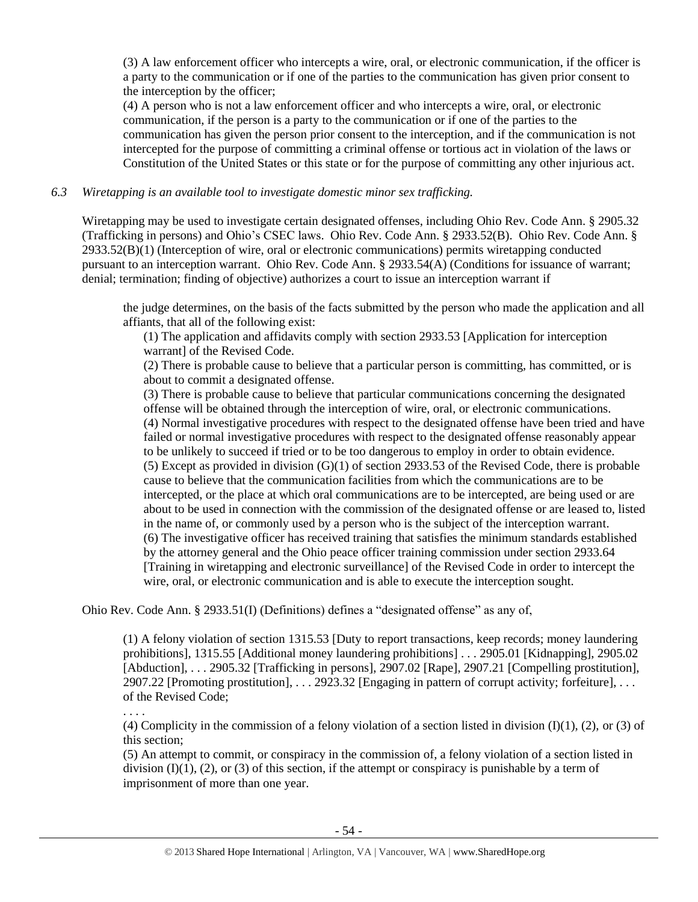(3) A law enforcement officer who intercepts a wire, oral, or electronic communication, if the officer is a party to the communication or if one of the parties to the communication has given prior consent to the interception by the officer;

(4) A person who is not a law enforcement officer and who intercepts a wire, oral, or electronic communication, if the person is a party to the communication or if one of the parties to the communication has given the person prior consent to the interception, and if the communication is not intercepted for the purpose of committing a criminal offense or tortious act in violation of the laws or Constitution of the United States or this state or for the purpose of committing any other injurious act.

## *6.3 Wiretapping is an available tool to investigate domestic minor sex trafficking.*

Wiretapping may be used to investigate certain designated offenses, including Ohio Rev. Code Ann. § 2905.32 (Trafficking in persons) and Ohio's CSEC laws. Ohio Rev. Code Ann. § 2933.52(B). Ohio Rev. Code Ann. § 2933.52(B)(1) (Interception of wire, oral or electronic communications) permits wiretapping conducted pursuant to an interception warrant. Ohio Rev. Code Ann. § 2933.54(A) (Conditions for issuance of warrant; denial; termination; finding of objective) authorizes a court to issue an interception warrant if

the judge determines, on the basis of the facts submitted by the person who made the application and all affiants, that all of the following exist:

(1) The application and affidavits comply with section 2933.53 [Application for interception warrant] of the Revised Code.

(2) There is probable cause to believe that a particular person is committing, has committed, or is about to commit a designated offense.

(3) There is probable cause to believe that particular communications concerning the designated offense will be obtained through the interception of wire, oral, or electronic communications. (4) Normal investigative procedures with respect to the designated offense have been tried and have failed or normal investigative procedures with respect to the designated offense reasonably appear to be unlikely to succeed if tried or to be too dangerous to employ in order to obtain evidence.  $(5)$  Except as provided in division  $(G)(1)$  of section 2933.53 of the Revised Code, there is probable cause to believe that the communication facilities from which the communications are to be intercepted, or the place at which oral communications are to be intercepted, are being used or are about to be used in connection with the commission of the designated offense or are leased to, listed in the name of, or commonly used by a person who is the subject of the interception warrant. (6) The investigative officer has received training that satisfies the minimum standards established by the attorney general and the Ohio peace officer training commission under section 2933.64 [Training in wiretapping and electronic surveillance] of the Revised Code in order to intercept the wire, oral, or electronic communication and is able to execute the interception sought.

Ohio Rev. Code Ann. § 2933.51(I) (Definitions) defines a "designated offense" as any of,

(1) A felony violation of section 1315.53 [Duty to report transactions, keep records; money laundering prohibitions], 1315.55 [Additional money laundering prohibitions] . . . 2905.01 [Kidnapping], 2905.02 [Abduction], . . . 2905.32 [Trafficking in persons], 2907.02 [Rape], 2907.21 [Compelling prostitution], 2907.22 [Promoting prostitution], . . . 2923.32 [Engaging in pattern of corrupt activity; forfeiture], . . . of the Revised Code;

. . . .

(4) Complicity in the commission of a felony violation of a section listed in division  $(I)(1)$ , (2), or (3) of this section;

(5) An attempt to commit, or conspiracy in the commission of, a felony violation of a section listed in division  $(I)(1)$ ,  $(2)$ , or  $(3)$  of this section, if the attempt or conspiracy is punishable by a term of imprisonment of more than one year.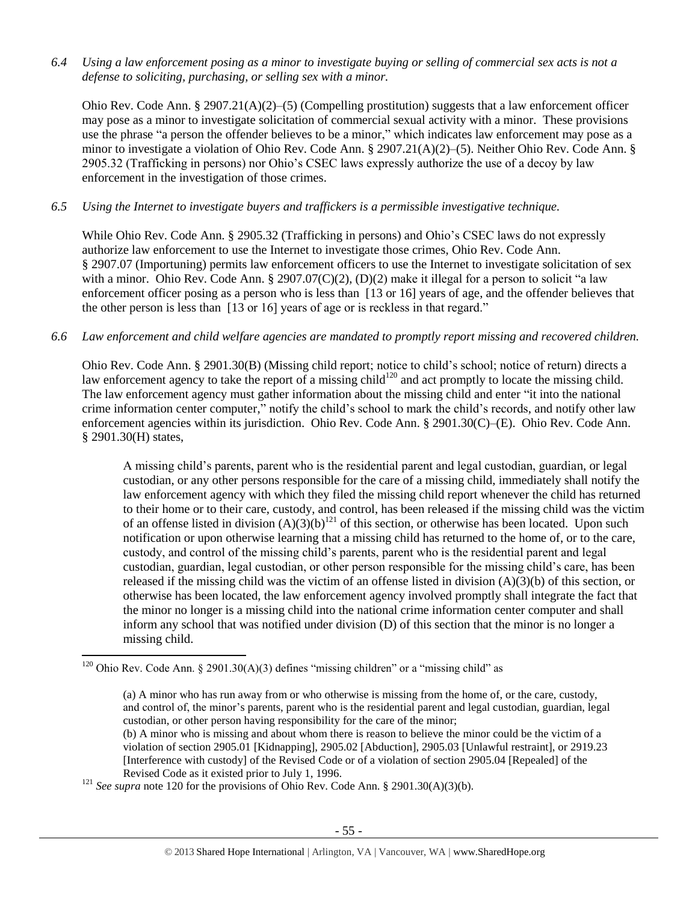*6.4 Using a law enforcement posing as a minor to investigate buying or selling of commercial sex acts is not a defense to soliciting, purchasing, or selling sex with a minor.*

Ohio Rev. Code Ann. § 2907.21(A)(2)–(5) (Compelling prostitution) suggests that a law enforcement officer may pose as a minor to investigate solicitation of commercial sexual activity with a minor. These provisions use the phrase "a person the offender believes to be a minor," which indicates law enforcement may pose as a minor to investigate a violation of Ohio Rev. Code Ann. § 2907.21(A)(2)–(5). Neither Ohio Rev. Code Ann. § 2905.32 (Trafficking in persons) nor Ohio's CSEC laws expressly authorize the use of a decoy by law enforcement in the investigation of those crimes.

## *6.5 Using the Internet to investigate buyers and traffickers is a permissible investigative technique.*

While Ohio Rev. Code Ann. § 2905.32 (Trafficking in persons) and Ohio's CSEC laws do not expressly authorize law enforcement to use the Internet to investigate those crimes, Ohio Rev. Code Ann. § 2907.07 (Importuning) permits law enforcement officers to use the Internet to investigate solicitation of sex with a minor. Ohio Rev. Code Ann. § 2907.07(C)(2), (D)(2) make it illegal for a person to solicit "a law enforcement officer posing as a person who is less than [13 or 16] years of age, and the offender believes that the other person is less than [13 or 16] years of age or is reckless in that regard."

## *6.6 Law enforcement and child welfare agencies are mandated to promptly report missing and recovered children.*

Ohio Rev. Code Ann. § 2901.30(B) (Missing child report; notice to child's school; notice of return) directs a law enforcement agency to take the report of a missing child<sup>120</sup> and act promptly to locate the missing child. The law enforcement agency must gather information about the missing child and enter "it into the national crime information center computer," notify the child's school to mark the child's records, and notify other law enforcement agencies within its jurisdiction. Ohio Rev. Code Ann. § 2901.30(C)–(E). Ohio Rev. Code Ann. § 2901.30(H) states,

<span id="page-54-0"></span>A missing child's parents, parent who is the residential parent and legal custodian, guardian, or legal custodian, or any other persons responsible for the care of a missing child, immediately shall notify the law enforcement agency with which they filed the missing child report whenever the child has returned to their home or to their care, custody, and control, has been released if the missing child was the victim of an offense listed in division  $(A)(3)(b)^{121}$  of this section, or otherwise has been located. Upon such notification or upon otherwise learning that a missing child has returned to the home of, or to the care, custody, and control of the missing child's parents, parent who is the residential parent and legal custodian, guardian, legal custodian, or other person responsible for the missing child's care, has been released if the missing child was the victim of an offense listed in division (A)(3)(b) of this section, or otherwise has been located, the law enforcement agency involved promptly shall integrate the fact that the minor no longer is a missing child into the national crime information center computer and shall inform any school that was notified under division (D) of this section that the minor is no longer a missing child.

 $\overline{\phantom{a}}$ 

<sup>121</sup> *See supra* not[e 120](#page-54-0) for the provisions of Ohio Rev. Code Ann. § 2901.30(A)(3)(b).

<sup>&</sup>lt;sup>120</sup> Ohio Rev. Code Ann. § 2901.30(A)(3) defines "missing children" or a "missing child" as

<sup>(</sup>a) A minor who has run away from or who otherwise is missing from the home of, or the care, custody, and control of, the minor's parents, parent who is the residential parent and legal custodian, guardian, legal custodian, or other person having responsibility for the care of the minor;

<sup>(</sup>b) A minor who is missing and about whom there is reason to believe the minor could be the victim of a violation of section 2905.01 [Kidnapping], 2905.02 [Abduction], 2905.03 [Unlawful restraint], or 2919.23 [Interference with custody] of the Revised Code or of a violation of section 2905.04 [Repealed] of the Revised Code as it existed prior to July 1, 1996.